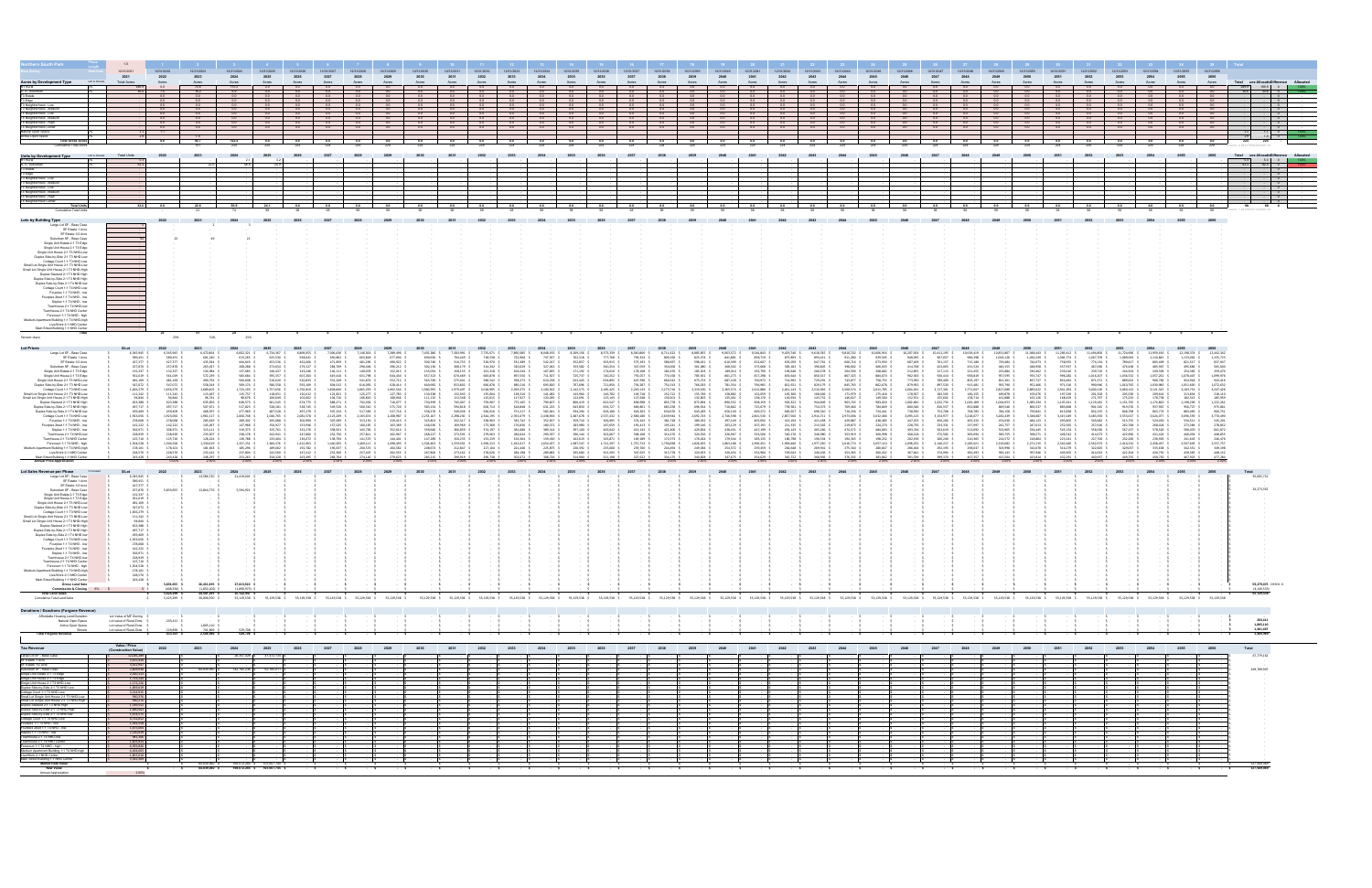| <b>Acres by Development Type</b><br>Left to Alloca<br>C Suburban<br>13 Edge<br>13 Neighborhood - Low<br>T3 Neighborhood - Medium<br>T4 Neighborhood - Low<br>T4 Neighborhood - Medium<br>T4 Neighborhood - High<br>T4 Neighborhood Center<br>Natural Open Space<br>Active Open Space<br><b>Units by Development Type</b>                                                                                                                                                                                                                                                                                                                                                                                                                                                                                                                                             | 12/31/2021<br>2021<br><b>Total Acres</b><br><b>Total Unit</b>                                                                                                                                                                                                                                                            | 12/31/2022<br>2022                                                                                                                                                                                                                                               | 12/31/2023<br>2023                                                                                                                                                                                                                                                                         | 12/31/2024<br>2024<br>2024                                                                                                                                                                                                                                                     | 12/31/2025<br>2025<br>2025                                                                                                                                                                                                                                                    | 12/31/2026<br>2026<br>2026                                                                                                                                                                                                                                                     | 12/31/2027<br>2027<br>2027                                                                                                                                                                                                                                               | 12/31/2028<br>2028<br>2028                                                                                                                                                                                                                                                      | 12/31/2029<br>2029                                                                                                                                                                                                                                                          | 12/31/2030<br>2030                                                                                                                                                                                                                                                                | 12/31/2031<br>2031                                                                                                                                                                                                                                       | 12/31/2032<br>2032<br>2032                                                                                                                                                                                                                                                     | 12/31/2033<br>2033                                                                                                                                                                                                                                                        | 12/31/2034<br>2034<br>2034                                                                                                                                                                                                                                                | 12/31/2035<br>2035<br>2035                                                                                                                                                                                                                                                  | 12/31/2036<br>2036<br>2036                                                                                                                                                                                                                                                    | 12/31/2037<br>2037<br>2037                                                                                                                                                                                                                                                | 12/31/2038<br>2038<br>2038                                                                                                                                                                                                                                                  | 12/31/2039<br>2039<br>2039                                                                                                                                                                                                                                               | 12/31/2040<br>2040                                                                                                                                                                                                                                                         | 12/31/2041<br>2041                                                                                                                                                                                                                                                           | 12/31/2042<br>2042                                                                                                                                                                                                                                                         | 12/31/2043<br>2043<br>2043                                                                                                                                                                                                                                                  | 12/31/2044<br>2044                                                                                                                                                                                                                                                         | 12/31/2045<br>2045<br>2045                                                                                                                                                                                                                                 | 12/31/2046<br>2046                                                                                                                                                                                                                                                              | 12/31/2047<br>2047<br>2047                                                                                                                                                                                                                                                          | 12/31/2048<br>2048                                                                                                                                                                                                                                                             | 12/31/2049<br>2049                                                                                                                                                                                                                                                            | 12/31/2050<br>2050                                                                                                                                                                                                                                                     | 12/31/2051<br>2051                                                                                                                                                                                                                                                            | 12/31/2052<br>2052                                                                                                                                                                                                                                                                      | 12/31/2053<br>2053                                                                                                                                                                                                                                                                 | 12/31/2054<br>2054                                                                                                                                                                                                                                                   | 12/31/2055<br>2055                                                                                                                                                                                                                                                                  | 12/31/2056<br>2056                                                                                                                                                                                                        | 189.9<br>$\frac{0}{0}$<br>$\frac{1}{2}$<br>$\begin{array}{c c}\n\hline\n0 \\ \hline\n0 \\ \hline\n\end{array}$<br>$\begin{array}{c cc}\n1.1 & 0 \\ \hline\n1.9 & 0\n\end{array}$<br>cre AllocaticDifference |  |
|----------------------------------------------------------------------------------------------------------------------------------------------------------------------------------------------------------------------------------------------------------------------------------------------------------------------------------------------------------------------------------------------------------------------------------------------------------------------------------------------------------------------------------------------------------------------------------------------------------------------------------------------------------------------------------------------------------------------------------------------------------------------------------------------------------------------------------------------------------------------|--------------------------------------------------------------------------------------------------------------------------------------------------------------------------------------------------------------------------------------------------------------------------------------------------------------------------|------------------------------------------------------------------------------------------------------------------------------------------------------------------------------------------------------------------------------------------------------------------|--------------------------------------------------------------------------------------------------------------------------------------------------------------------------------------------------------------------------------------------------------------------------------------------|--------------------------------------------------------------------------------------------------------------------------------------------------------------------------------------------------------------------------------------------------------------------------------|-------------------------------------------------------------------------------------------------------------------------------------------------------------------------------------------------------------------------------------------------------------------------------|--------------------------------------------------------------------------------------------------------------------------------------------------------------------------------------------------------------------------------------------------------------------------------|--------------------------------------------------------------------------------------------------------------------------------------------------------------------------------------------------------------------------------------------------------------------------|---------------------------------------------------------------------------------------------------------------------------------------------------------------------------------------------------------------------------------------------------------------------------------|-----------------------------------------------------------------------------------------------------------------------------------------------------------------------------------------------------------------------------------------------------------------------------|-----------------------------------------------------------------------------------------------------------------------------------------------------------------------------------------------------------------------------------------------------------------------------------|----------------------------------------------------------------------------------------------------------------------------------------------------------------------------------------------------------------------------------------------------------|--------------------------------------------------------------------------------------------------------------------------------------------------------------------------------------------------------------------------------------------------------------------------------|---------------------------------------------------------------------------------------------------------------------------------------------------------------------------------------------------------------------------------------------------------------------------|---------------------------------------------------------------------------------------------------------------------------------------------------------------------------------------------------------------------------------------------------------------------------|-----------------------------------------------------------------------------------------------------------------------------------------------------------------------------------------------------------------------------------------------------------------------------|-------------------------------------------------------------------------------------------------------------------------------------------------------------------------------------------------------------------------------------------------------------------------------|---------------------------------------------------------------------------------------------------------------------------------------------------------------------------------------------------------------------------------------------------------------------------|-----------------------------------------------------------------------------------------------------------------------------------------------------------------------------------------------------------------------------------------------------------------------------|--------------------------------------------------------------------------------------------------------------------------------------------------------------------------------------------------------------------------------------------------------------------------|----------------------------------------------------------------------------------------------------------------------------------------------------------------------------------------------------------------------------------------------------------------------------|------------------------------------------------------------------------------------------------------------------------------------------------------------------------------------------------------------------------------------------------------------------------------|----------------------------------------------------------------------------------------------------------------------------------------------------------------------------------------------------------------------------------------------------------------------------|-----------------------------------------------------------------------------------------------------------------------------------------------------------------------------------------------------------------------------------------------------------------------------|----------------------------------------------------------------------------------------------------------------------------------------------------------------------------------------------------------------------------------------------------------------------------|------------------------------------------------------------------------------------------------------------------------------------------------------------------------------------------------------------------------------------------------------------|---------------------------------------------------------------------------------------------------------------------------------------------------------------------------------------------------------------------------------------------------------------------------------|-------------------------------------------------------------------------------------------------------------------------------------------------------------------------------------------------------------------------------------------------------------------------------------|--------------------------------------------------------------------------------------------------------------------------------------------------------------------------------------------------------------------------------------------------------------------------------|-------------------------------------------------------------------------------------------------------------------------------------------------------------------------------------------------------------------------------------------------------------------------------|------------------------------------------------------------------------------------------------------------------------------------------------------------------------------------------------------------------------------------------------------------------------|-------------------------------------------------------------------------------------------------------------------------------------------------------------------------------------------------------------------------------------------------------------------------------|-----------------------------------------------------------------------------------------------------------------------------------------------------------------------------------------------------------------------------------------------------------------------------------------|------------------------------------------------------------------------------------------------------------------------------------------------------------------------------------------------------------------------------------------------------------------------------------|----------------------------------------------------------------------------------------------------------------------------------------------------------------------------------------------------------------------------------------------------------------------|-------------------------------------------------------------------------------------------------------------------------------------------------------------------------------------------------------------------------------------------------------------------------------------|---------------------------------------------------------------------------------------------------------------------------------------------------------------------------------------------------------------------------|-------------------------------------------------------------------------------------------------------------------------------------------------------------------------------------------------------------|--|
| C Suburban<br>3 Neighborhood - Low<br>l'3 Neighborhood - Medium<br>14 Neighborhood - Low<br>4 Neighborhood - Medium<br>T4 Neighborhood - High<br>T4 Neighborhood Center<br><b>Total Uni</b><br>Cumulative Total Units<br><b>Lots by Building Type</b><br>Large Lot SF - Base Case<br>SF Estate 1 Acre<br>SF Estate 1/2 Acre<br>Suburban SF - Base Case<br>Single Unit Estate 2:1 T3 Edge<br>Single Unit House 2:1 T3 Edge<br>Single Unit House 2:1 T3 NHD-Low<br>Duplex Side-by-Side 2:1 T3 NHD Low<br>Cottage Court 1:1 T3 NHD Low<br>Small Lot Single Unit House 2:1 T3 NHD-Low                                                                                                                                                                                                                                                                                    |                                                                                                                                                                                                                                                                                                                          | 2022                                                                                                                                                                                                                                                             | 2023                                                                                                                                                                                                                                                                                       | 2024                                                                                                                                                                                                                                                                           | 2025                                                                                                                                                                                                                                                                          | 2026                                                                                                                                                                                                                                                                           | 2027                                                                                                                                                                                                                                                                     | 2028                                                                                                                                                                                                                                                                            | 2029                                                                                                                                                                                                                                                                        | 2030                                                                                                                                                                                                                                                                              | 2031                                                                                                                                                                                                                                                     | 2032                                                                                                                                                                                                                                                                           | 2033                                                                                                                                                                                                                                                                      | 2034                                                                                                                                                                                                                                                                      | 2035                                                                                                                                                                                                                                                                        | 2036                                                                                                                                                                                                                                                                          | 2037                                                                                                                                                                                                                                                                      | 2038                                                                                                                                                                                                                                                                        | 2039                                                                                                                                                                                                                                                                     | 2040                                                                                                                                                                                                                                                                       |                                                                                                                                                                                                                                                                              | 2042                                                                                                                                                                                                                                                                       | 2043                                                                                                                                                                                                                                                                        | 2044                                                                                                                                                                                                                                                                       | 2045                                                                                                                                                                                                                                                       | 2046                                                                                                                                                                                                                                                                            | 2047                                                                                                                                                                                                                                                                                | 2048                                                                                                                                                                                                                                                                           |                                                                                                                                                                                                                                                                               | 2050                                                                                                                                                                                                                                                                   | 2051                                                                                                                                                                                                                                                                          | 2052                                                                                                                                                                                                                                                                                    | 2053                                                                                                                                                                                                                                                                               | 2054                                                                                                                                                                                                                                                                 | 2055                                                                                                                                                                                                                                                                                | 2056                                                                                                                                                                                                                      | 5.3 0<br>$\begin{array}{c cc}\n & 923 & 0 \\ \hline\n & 0\n\end{array}$<br>$\frac{0}{0}$<br>$\begin{array}{c cc} . & 0 \\ . & 0 \\ . & 0 \\ . & 0 \\ . \end{array}$                                         |  |
| Small Lot Single Unit House 2:1 T3 NHD-High<br>Duplex Stacked 2:1 T3 NHD High<br>Duplex Side-by-Side 2:1 T3 NHD High<br>Duplex Side-by-Side 2:1 T4 NHD low<br>Cottage Court 1:1 T4 NHD Low<br>Fourplex 1:1 T4 NHD - low<br>Fourplex 2bed 1:1 T4 NHD - low<br>Sixplex 1:1 T4 NHD - low<br>Townhouse 2:1 T4 NHD-low<br>Townhouse 2:1 T4 NHD Center<br>Forecourt 1:1 T4 NHD - high<br>Medium Apartment Building 1:1 T4 NHD-high<br>Live/Work 2:1 NHD Center<br>Main Street Building 1:1 NHD Center<br>Percent share<br><b>Lot Prices</b><br>Large Lot SF - Base Case<br>SF Estate 1 Acre<br>SF Estate 1/2 Acre<br>Suburban SF - Base Case                                                                                                                                                                                                                               | \$/Lot<br>6,345,945<br>589,451 \$<br>427.377<br>257,870 \$                                                                                                                                                                                                                                                               | 23%<br>2022<br>6,345,945 \$<br>589,451 \$<br>427,377 S<br>257,870 \$                                                                                                                                                                                             | 52%<br>2023<br>6,472,864 \$<br>601,240 \$<br>435.924 S<br>263,027 \$                                                                                                                                                                                                                       | 25%<br>2024<br>6,602,321<br>613,265 \$<br>444.643 S<br>268,288 \$                                                                                                                                                                                                              | 2025<br>6,734,367 \$<br>625,530 \$<br>453,536 S<br>273,654 \$                                                                                                                                                                                                                 | 2026<br>6,869,055<br>638,041 \$<br>462,606 S<br>279,127 \$                                                                                                                                                                                                                     | 2027<br>7,006,436 \$<br>650,802 \$<br>471,859 \$<br>284,709 \$                                                                                                                                                                                                           | 2028<br>7,146,564 \$<br>663,818 \$<br>481,296 \$<br>290,404 \$                                                                                                                                                                                                                  | 2029<br>7,289,496 \$<br>677,094 \$<br>490.922 S<br>296,212 \$                                                                                                                                                                                                               | 2030<br>7,435,286 \$<br>690,636 \$<br>500.740 \$<br>302,136 \$                                                                                                                                                                                                                    | 2031<br>7,583,991 \$<br>704,449<br>510.755 S<br>308,179 \$                                                                                                                                                                                               | 2032<br>7,735,671<br>718,538 \$<br>520,970 S<br>314,342 \$                                                                                                                                                                                                                     | 2033<br>7,890,385 \$<br>732,908 \$<br>531.389 \$<br>320,629 \$                                                                                                                                                                                                            | 2034<br>8,048,192 :<br>747,567 \$<br>542.017 S<br>327,042 \$                                                                                                                                                                                                              | 2035<br>8,209,156 \$<br>762,518 \$<br>552,857 \$<br>333,582 \$                                                                                                                                                                                                              | 2036<br>8,373,339 \$<br>777,768 \$<br>563,915 \$<br>340,254 \$                                                                                                                                                                                                                | 2037<br>8,540,806 \$<br>793,324 \$<br>575.193 S<br>347,059 \$                                                                                                                                                                                                             | 2038<br>8,711,622 \$<br>809,190 \$<br>586,697 \$<br>354,000 \$                                                                                                                                                                                                              | 2039<br>8,885,855<br>825,374 \$<br>598,431 S<br>361,080 \$                                                                                                                                                                                                               | 2040<br>9,063,572 \$<br>841,881 \$<br>610,399 S<br>368,302 \$                                                                                                                                                                                                              | 2041<br>9,244,843<br>858,719 \$<br>622.607 S<br>375,668 \$                                                                                                                                                                                                                   | 2042<br>9,429,740 \$<br>875,893 \$<br>635,059 \$<br>383,181 \$                                                                                                                                                                                                             | 2043<br>9,618,335 \$<br>893,411 \$<br>647,761 S<br>390,845 \$                                                                                                                                                                                                               | 2044<br>9,810,702 \$<br>911,280 \$<br>660,716 S<br>398,662 \$                                                                                                                                                                                                              | 2045<br>10,006,916 \$<br>929,505 \$<br>673,930 \$<br>406,635 \$                                                                                                                                                                                            | 2046<br>10,207,054 \$<br>948,095 \$<br>687,409 S<br>414,768 \$                                                                                                                                                                                                                  | 2047<br>10,411,195 \$<br>967,057 \$<br>701.157 S<br>423,063 \$                                                                                                                                                                                                                      | 2048<br>10,619,419 \$<br>986,398 \$<br>715,180 \$<br>431,524 \$                                                                                                                                                                                                                | 2049<br>10,831,807 \$<br>1,006,126 \$<br>729,484 S<br>440,155 \$                                                                                                                                                                                                              | 2050<br>11,048,443<br>1,026,249 \$<br>744.073 \$<br>448,958 \$                                                                                                                                                                                                         | 2051<br>11,269,412 \$<br>1,046,774 \$<br>758,955 \$<br>457,937 \$                                                                                                                                                                                                             | 2052<br>11,494,800 :<br>1,067,709 \$<br>774.134 S<br>467,096 \$                                                                                                                                                                                                                         | 2053<br>11,724,696 \$<br>1,089,063 \$<br>789,617 S<br>476,438 \$                                                                                                                                                                                                                   | 2054<br>11,959,190 \$<br>1,110,845 \$<br>805,409 S<br>485,967 \$                                                                                                                                                                                                     | 2055<br>12,198,374 \$<br>1,133,062 \$<br>821.517 S<br>495,686 \$                                                                                                                                                                                                                    | 2056<br>12,442,342<br>1,155,723<br>837.947<br>505,600                                                                                                                                                                     |                                                                                                                                                                                                             |  |
| Single Unit Estate 2:1 T3 Edge<br>Single Unit House 2:1 T3 Edg<br>Single Unit House 2:1 T3 NHD-Lov<br>Duplex Side-by-Side 2:1 T3 NHD Low<br>Cottage Court 1:1 T3 NHD Lov<br>Small Lot Single Unit House 2:1 T3 NHD-Low<br>Small Lot Single Unit House 2:1 T3 NHD-High<br>Duplex Stacked 2:1 T3 NHD High<br>Duplex Side-by-Side 2:1 T3 NHD High<br>Duplex Side-by-Side 2:1 T4 NHD low<br>Cottage Court 1:1 T4 NHD Low<br>Fourplex 1:1 T4 NHD - low<br>Fourplex 2bed 1:1 T4 NHD - low<br>Sixplex 1:1 T4 NHD - low<br>Townhouse 2:1 T4 NHD-low<br>Fownhouse 2:1 T4 NHD Center<br>Forecourt 1:1 T4 NHD - high<br>Medium Apartment Building 1:1 T4 NHD-high<br>Live/Work 2:1 NHD Center<br>Main Street Building 1:1 NHD Center<br><b>Annual Price Appreciation</b>                                                                                                        | 132,337<br>561.019<br>481,169 \$<br>547,072<br>1,656,279<br>111,242 \$<br>94,844<br>623,388<br>497,717<br>459,409<br>1,923,056 \$<br>278,068<br>142,222 \$<br>306,971<br>228.929 9<br>125,710<br>1,304,528<br>178,101 S<br>228,570 \$                                                                                    | 132,337<br>561.019<br>481,169 \$<br>547,072<br>1,656,279 \$<br>111,242 \$<br>94,844 \$<br>623,388 \$<br>497,717<br>459,409 \$<br>1,923,056<br>278,068 \$<br>142,222 \$<br>306,971<br>228.929 S<br>125,710 \$<br>1,304,528 \$<br>178,101 S<br>228,570 \$<br>0.00% | 134,984 \$<br>572.239 S<br>490,792 \$<br>558,014 (<br>1,689,405 \$<br>113,467 \$<br>96,741 \$<br>635,856 \$<br>507,671 \$<br>468,597 9<br>1,961,517 \$<br>283,629 \$<br>145,067 \$<br>313,111 \$<br>233.507 S<br>128,224 \$<br>1,330,619 \$<br>181,663 \$<br>233,142 \$<br>48,297<br>2.00% | 137,683<br>583,684<br>500,608 \$<br>569,174 \$<br>1.723.193 \$<br>115,737 \$<br>98,676 \$<br>648,573 \$<br>517,825 \$<br>477,969 \$<br>2,000,748 \$<br>289,302 \$<br>147,968 \$<br>319,373 \$<br>238,178 S<br>130,788 \$<br>$1,357,231$ \$<br>185,296 S<br>237,804 \$<br>2.00% | 140,437<br>595.357 9<br>510,620 \$<br>580,558 \$<br>1,757,656 S<br>118,051 \$<br>100,649 \$<br>661,545 \$<br>528,181 \$<br>487,528 \$<br>2,040,763 \$<br>295,088<br>150,927 \$<br>325,761 \$<br>242.941 S<br>133,404 \$<br>$1,384,376$ \$<br>189,002 S<br>242,560 \$<br>2.00% | 143,246 \$<br>607,264 \$<br>520,833 \$<br>592,169<br>1,792,810 \$<br>120,412 \$<br>102,662<br>674,775 \$<br>538,745 \$<br>497,279 \$<br>$2,081,578$ \$<br>300,990 \$<br>153,946<br>332,276 \$<br>247,800 S<br>136,072 \$<br>$1,412,063$ \$<br>192.782 S<br>247,412 \$<br>2.00% | $146,111$ \$<br>619,410 \$<br>531,249 \$<br>604,012 \$<br>1.828.666 9<br>122,821 \$<br>104,716 \$<br>688,271 \$<br>549,520 \$<br>507,224 \$<br>2,123,209 \$<br>307,009 \$<br>157,025 \$<br>338,921 \$<br>252,756 S<br>138,794<br>1,440,305 \$<br>196,637 S<br>252,360 \$ | 149,033 \$<br>631,798 \$<br>541,874 \$<br>616,092 \$<br>1,865,239 \$<br>125,277 \$<br>106,810 \$<br>702,036 \$<br>560,510 \$<br>517,369 \$<br>$2,165,674$ \$<br>313,150 \$<br>160,165 \$<br>345,700 \$<br>257,811 \$<br>141,570 \$<br>$1,469,111$ \$<br>200,570 S<br>257,407 \$ | 152,013 \$<br>644,434 \$<br>552,712 \$<br>628,414 \$<br>1,902,544 \$<br>127,783 \$<br>108,946 \$<br>716,077 \$<br>571,720 \$<br>527,716 \$<br>2,208,987 \$<br>319,413 \$<br>163,369 \$<br>352,614 \$<br>262,967 S<br>144,401 \$<br>1,498,493 \$<br>204,582 \$<br>262,555 \$ | 155,054 \$<br>657,323 \$<br>563,766 \$<br>640,982 \$<br>1.940.595 \$<br>130,338 \$<br>$111,125$ \$<br>730,399 \$<br>583,154 \$<br>538,270 \$<br>$2,253,167$ \$<br>325,801 \$<br>166,636 \$<br>359,666 \$<br>268,227 S<br>147,289 \$<br>$1,528,463$ \$<br>208,673 \$<br>267,806 \$ | 158,155 \$<br>670,469<br>575,041 \$<br>653,802<br>1,979,407 \$<br>132,945 \$<br>113,348 \$<br>745,007<br>594,818 \$<br>549,036 \$<br>2,298,230 \$<br>332,317 \$<br>169,969<br>366,859<br>273.591 S<br>150,235<br>1,559,032 \$<br>212,847 S<br>273,162 \$ | 161,318 \$<br>683,878 S<br>586,542 \$<br>666,878 \$<br>2.018.995 \$<br>135,604 \$<br>115,615 \$<br>759,907 \$<br>606,714 \$<br>560,016 \$<br>$2,344,195$ \$<br>338,963 \$<br>173,368 \$<br>374,197 \$<br>279.063 \$<br>153,239 \$<br>$1,590,213$ \$<br>217.104 S<br>278,626 \$ | 164,544 \$<br>697.556 \$<br>598,273 \$<br>680,216 \$<br>2.059.375 \$<br>138,316 \$<br>117,927 \$<br>775,105 \$<br>618,848 \$<br>571,217 \$<br>2,391,079<br>345,742 \$<br>176,836 \$<br>381,680 \$<br>284.644 S<br>156,304 \$<br>$1,622,017$ \$<br>221,446 S<br>284,198 \$ | 167,835 \$<br>711.507 S<br>610,238 \$<br>693,820 \$<br>2,100,562 \$<br>141,082 \$<br>120,285 \$<br>790,607 \$<br>631,225 \$<br>582,641 \$<br>2,438,900 \$<br>352,657 \$<br>180,372 \$<br>389,314 \$<br>290.337 S<br>159,430 \$<br>1,654,457 \$<br>225,875 S<br>289,882 \$ | 171,192 \$<br>725,737 \$<br>622,443 \$<br>707,696 \$<br>2,142,573 \$<br>143,904 \$<br>122,691 \$<br>806,419 \$<br>643,850 \$<br>594,294 \$<br>2,487,678 \$<br>359,710 \$<br>183,980 \$<br>397,100 \$<br>296.144 S<br>162,619 \$<br>1,687,547 \$<br>230.392 \$<br>295,680 \$ | 174,616 \$<br>740,252 \$<br>634,892 \$<br>721,850 \$<br>2,185,425 \$<br>146,782 \$<br>125,145 \$<br>822,547 \$<br>656,727 \$<br>606,180 \$<br>$2,537,432$ \$<br>366,905 \$<br>187,659 \$<br>405,042 \$<br>302.067 S<br>165,871 \$<br>1,721,297 \$<br>235,000 \$<br>301,593 \$ | 178,108 \$<br>755.057 S<br>647,590 \$<br>736,287 \$<br>2.229.133 \$<br>149,718 \$<br>127,648 \$<br>838,998 \$<br>669,861 \$<br>618,303 \$<br>2,588,180 \$<br>374,243 \$<br>191,413 \$<br>413,143 \$<br>308,108 S<br>169,189 \$<br>1,755,723 \$<br>239,700 S<br>307,625 \$ | 181,670 \$<br>770,158 \$<br>660,542 \$<br>751,013 \$<br>2,273,716 \$<br>152,712 \$<br>130,201 \$<br>855,778 \$<br>683,258 \$<br>630,670 \$<br>2,639,944 \$<br>381,728 \$<br>195,241 \$<br>421,406 \$<br>314,270 S<br>172,573 \$<br>1,790,838 \$<br>244,494 \$<br>313,778 \$ | 185,303 \$<br>785.561 S<br>673,753 \$<br>766,033 \$<br>2.319.190 S<br>155,766 \$<br>132,805 \$<br>872,894 \$<br>696,924 \$<br>643,283 \$<br>2,692,743 \$<br>389,362 \$<br>199,146 \$<br>429,834 \$<br>320,556 S<br>176,024 \$<br>1,826,655 \$<br>249.384 S<br>320,053 \$ | 189,010 \$<br>801,273 \$<br>687,228 \$<br>781,354 \$<br>2.365.574 S<br>158,882 \$<br>135,461 \$<br>890,352 \$<br>710,862 \$<br>656,149 \$<br>2,746,598 \$<br>397,149 \$<br>203,129 \$<br>438,431 \$<br>326,967 S<br>179,544 \$<br>1,863,188 \$<br>254,372 \$<br>326,454 \$ | 192,790 \$<br>817.298 \$<br>700,972 \$<br>796,981 \$<br>2,412,886 \$<br>162,059 \$<br>138,170 \$<br>908,159 \$<br>725,079 \$<br>669,272 \$<br>2,801,530 \$<br>405,092 \$<br>207,191 \$<br>447,199 \$<br>333,506 \$<br>183,135 \$<br>1,900,451 \$<br>259,459 \$<br>332,984 \$ | 196,646 \$<br>833,644 S<br>714,992 \$<br>812,921 \$<br>2,461,143 \$<br>165,300 \$<br>140,934 \$<br>926,322 \$<br>739,581 \$<br>682,657 \$<br>2,857,560 \$<br>413,194 \$<br>211,335 \$<br>456,143 \$<br>340,176 S<br>186,798 \$<br>1,938,460 \$<br>264,648 \$<br>339,643 \$ | 200,578 \$<br>850.317 S<br>729,291 \$<br>829,179 \$<br>2,510,366 \$<br>168,606 \$<br>143,752 \$<br>944,849 \$<br>754,373 \$<br>696,310 \$<br>$2,914,711$ \$<br>421,458 \$<br>215,562 \$<br>465,266 \$<br>346,980 S<br>190,534 \$<br>1,977,230 \$<br>269.941 S<br>346,436 \$ | 204,590 \$<br>867,323 \$<br>743,877 \$<br>845,763 \$<br>2.560.574 S<br>171,979 \$<br>146,627 \$<br>963,745 \$<br>769,460 \$<br>710,236 \$<br>2,973,006 \$<br>429,887 \$<br>219,873 \$<br>474,572 \$<br>353,919 S<br>194,345 \$<br>2,016,774 \$<br>275,340 \$<br>353,365 \$ | 208,682<br>884,670 \$<br>758,755<br>862,678<br>2,611,785 \$<br>175,418 \$<br>149,560 \$<br>983,020 \$<br>784,849 \$<br>724,441<br>3,032,466 \$<br>438,485 \$<br>224,270 \$<br>484,063<br>360,998 9<br>198,232<br>$2,057,110$ \$<br>280,847 S<br>360,432 \$ | 212,855 \$<br>902,363 \$<br>773,930 \$<br>879,932 \$<br>2,664,021 \$<br>178,927 \$<br>152,551 \$<br>$1,002,681$ \$<br>800,546 \$<br>738,930 \$<br>3,093,115 \$<br>447,255 \$<br>228,756 \$<br>493,744 \$<br>368,218 S<br>202,196 \$<br>2,098,252 \$<br>286,464 \$<br>367,641 \$ | $217,113$ \$<br>920.410 S<br>789,409 \$<br>897,530 \$<br>2,717,301 \$<br>182,505 \$<br>155,602 \$<br>$1,022,734$ \$<br>816,557 \$<br>753,708 \$<br>3,154,977 \$<br>456,200 \$<br>233,331 \$<br>503,619 \$<br>375,582 \$<br>206,240 \$<br>$2,140,217$ \$<br>292.193 \$<br>374,994 \$ | 221,455 \$<br>938,819 \$<br>805,197 \$<br>915,481 \$<br>2.771.647 \$<br>186,155 \$<br>158,714 \$<br>1,043,189 \$<br>832,888 \$<br>768,783 \$<br>3,218,077 \$<br>465,324 \$<br>237,997 \$<br>513,692 \$<br>383,094 \$<br>210,365 \$<br>2,183,021 \$<br>298,037 \$<br>382,493 \$ | 225,884 \$<br>957,595 S<br>821,301 \$<br>933,790 \$<br>2.827.080 S<br>189,878 \$<br>161,888 \$<br>$1,064,053$ \$<br>849,546 \$<br>784,158 \$<br>3,282,439 \$<br>474,630 \$<br>242,757 \$<br>523,965 \$<br>390,755 S<br>214,572 \$<br>2,226,682 \$<br>303,998 \$<br>390,143 \$ | 230,402 \$<br>976,747<br>837,727 \$<br>952,466 \$<br>2,883,622 \$<br>193,676 \$<br>165,126 \$<br>1,085,334 \$<br>866,537 \$<br>799,841 \$<br>3,348,087 \$<br>484,123 \$<br>247,613<br>534,445 \$<br>398,571 9<br>218,864 \$<br>2,271,215 \$<br>310,078 S<br>397,946 \$ | 235,010 \$<br>996.282 9<br>854,481 \$<br>971,516 \$<br>2,941,294 \$<br>197,549 \$<br>168,429 \$<br>$1,107,041$ \$<br>883,868 \$<br>815,838 \$<br>3,415,049 \$<br>493,805 \$<br>252,565 \$<br>545,134 \$<br>406.542 S<br>223,241 \$<br>2,316,640 \$<br>316.279 S<br>405,905 \$ | 239,710 \$<br>1.016.207 S<br>871,571 \$<br>990,946 \$<br>3.000.120 S<br>201,500 \$<br>171,797 \$<br>$1,129,181$ \$<br>901,545 \$<br>832,155 \$<br>3,483,350 \$<br>503,682 \$<br>257,616 \$<br>556,036 \$<br>414.673 S<br>227,706 \$<br>2,362,973 \$<br>322,605 S<br>414,023 \$<br>2.00% | 244,504 \$<br>1.036.532 S<br>889,002 \$<br>1,010,765 \$<br>3.060.122 S<br>205,530 \$<br>175,233 \$<br>$1,151,765$ \$<br>919,576 \$<br>848,798 \$<br>3,553,017 \$<br>513,755 \$<br>262,768 \$<br>567,157 \$<br>422.966 S<br>232,260 \$<br>$2,410,232$ \$<br>329.057 S<br>422,304 \$ | 249,394 \$<br>1,057,262 \$<br>906,782 \$<br>1,030,980<br>3,121,325 \$<br>209,641 \$<br>178,738 \$<br>1,174,800 \$<br>937,967 \$<br>865,774<br>3,624,077 \$<br>268,024 \$<br>578,500 \$<br>431.426 S<br>236,905<br>2,458,437 \$<br>335,638 S<br>430,750 \$<br>458,750 | 254,382 \$<br>1,078,407 \$<br>924,918 \$<br>$1,051,600$ \$<br>3,183,751 \$<br>213,834 \$<br>182,313 \$<br>1,198,296 \$<br>956,727 \$<br>883,090 \$<br>3,696,559 \$<br>534,511 \$<br>273,384 \$<br>590,070 \$<br>440.054 S<br>241,643 \$<br>2,507,605 \$<br>342,351 \$<br>439,365 \$ | 259,470<br>1,099,976<br>943,416<br>1,072,632<br>3,247,426<br>218,110<br>185,959<br>1,222,262<br>975,861<br>900,751<br>3,770,490<br>545,201<br>278,852<br>601,872<br>448,855<br>246,476<br>2,557,757<br>349,198<br>448,152 |                                                                                                                                                                                                             |  |
| Lot Sales Revenue per Phase % Donated<br>Large Lot SF - Base Case<br>SF Estate 1 Acre<br>SF Estate 1/2 Acre<br>Suburban SF - Base Case<br>Single Unit Estate 2:1 T3 Edge<br>Single Unit House 2:1 T3 Edge<br>Single Unit House 2:1 T3 NHDJ ow<br>Duplex Side-by-Side 2:1 T3 NHD Low<br>Cottage Court 1:1 T3 NHD Low<br>Small Lot Single Unit House 2:1 T3 NHD-Low<br>Small Lot Single Unit House 2:1 T3 NHD-High<br>Duplex Stacked 2:1 T3 NHD High<br>Dunley Side-by-Side 2:1 T3 NHD High<br>Duplex Side-by-Side 2:1 T4 NHD low<br>Cottage Court 1:1 T4 NHD Low<br>Fourplex 1:1 T4 NHD - low<br>Fourplex 2bed 1:1 T4 NHD - low<br>Sixplex 1:1 T4 NHD - low<br>Townhouse 2:1 T4 NHD-low<br>Fownhouse 2:1 T4 NHD Center<br>Forecourt 1:1 T4 NHD - high<br>Medium Apartment Building 1:1 T4 NHD-high<br>Live/Work 2:1 NHD Center<br>Main Street Building 1:1 NHD Center | S/Lot<br>6,345,945<br>589,451<br>427,377<br>257,870 \$<br>132,337<br>561,019 \$<br>481.169<br>547,072<br>1,656,279<br>111.242<br>94,844<br>623,388<br>497.717<br>459,409 \$<br>1,923,056 \$<br>278,068<br>142,222 \$<br>306,971 \$<br>228,929<br>125.710 S<br>$1,304,528$ \$<br>$178,101$ \$<br>228,570 \$<br>243,428 \$ | 2022<br>5.833.655                                                                                                                                                                                                                                                | 13,586,720 \$<br>12.844.776 9                                                                                                                                                                                                                                                              | 21.419.001<br>5.594.921                                                                                                                                                                                                                                                        | 2025                                                                                                                                                                                                                                                                          |                                                                                                                                                                                                                                                                                |                                                                                                                                                                                                                                                                          |                                                                                                                                                                                                                                                                                 |                                                                                                                                                                                                                                                                             | - 5                                                                                                                                                                                                                                                                               |                                                                                                                                                                                                                                                          |                                                                                                                                                                                                                                                                                |                                                                                                                                                                                                                                                                           |                                                                                                                                                                                                                                                                           |                                                                                                                                                                                                                                                                             |                                                                                                                                                                                                                                                                               |                                                                                                                                                                                                                                                                           |                                                                                                                                                                                                                                                                             |                                                                                                                                                                                                                                                                          |                                                                                                                                                                                                                                                                            | $\sim$                                                                                                                                                                                                                                                                       |                                                                                                                                                                                                                                                                            |                                                                                                                                                                                                                                                                             |                                                                                                                                                                                                                                                                            |                                                                                                                                                                                                                                                            |                                                                                                                                                                                                                                                                                 | $\sim$<br>$-5$                                                                                                                                                                                                                                                                      |                                                                                                                                                                                                                                                                                |                                                                                                                                                                                                                                                                               |                                                                                                                                                                                                                                                                        |                                                                                                                                                                                                                                                                               |                                                                                                                                                                                                                                                                                         |                                                                                                                                                                                                                                                                                    |                                                                                                                                                                                                                                                                      |                                                                                                                                                                                                                                                                                     |                                                                                                                                                                                                                           | Total<br>35,005,72<br>24,273,352                                                                                                                                                                            |  |
| Gross Land Sale<br>Commission & Closing 6% \$<br>Total Land Sales<br>Cumulative Total Land Sales<br>Donations / Exactions (Forgone Revenue)<br>Affordable Housing Land Donation<br>Natural Open Space<br>Active Open Space<br>Street:<br>Total Forgone Revenue                                                                                                                                                                                                                                                                                                                                                                                                                                                                                                                                                                                                       | $\overline{0}$<br>Lot Value of MF Zoning \$<br>Lot value of Rural Zone \$<br>Lot value of Rural Zone<br>Lot value of Rural Zone                                                                                                                                                                                          | 5,833,655 \$<br>$(408,356)$ \$<br>5,425,299 \$<br>\$ 5,425,299 \$<br>203,411 \$<br>$$\mathsf{\small 5}$$ 229,890 $$\mathsf{\small S}$$<br>433,301 \$                                                                                                             | $(1,850,205)$ \$<br>24,581,291 \$<br>30,006,590 \$<br>$\sim$ $\sim$<br>1,805,110 \$<br>701.869 S<br>2,506,980 \$                                                                                                                                                                           | 26,431,495 \$ 27,013,922 \$<br>(1.890.975)<br>25,122,947<br>$\cdot$ $\cdot$ $\cdot$<br>529,708<br>529,708 \$                                                                                                                                                                   | $\cdot$ s                                                                                                                                                                                                                                                                     |                                                                                                                                                                                                                                                                                |                                                                                                                                                                                                                                                                          |                                                                                                                                                                                                                                                                                 |                                                                                                                                                                                                                                                                             |                                                                                                                                                                                                                                                                                   |                                                                                                                                                                                                                                                          |                                                                                                                                                                                                                                                                                |                                                                                                                                                                                                                                                                           |                                                                                                                                                                                                                                                                           |                                                                                                                                                                                                                                                                             |                                                                                                                                                                                                                                                                               |                                                                                                                                                                                                                                                                           |                                                                                                                                                                                                                                                                             |                                                                                                                                                                                                                                                                          |                                                                                                                                                                                                                                                                            |                                                                                                                                                                                                                                                                              |                                                                                                                                                                                                                                                                            |                                                                                                                                                                                                                                                                             |                                                                                                                                                                                                                                                                            |                                                                                                                                                                                                                                                            |                                                                                                                                                                                                                                                                                 |                                                                                                                                                                                                                                                                                     |                                                                                                                                                                                                                                                                                |                                                                                                                                                                                                                                                                               |                                                                                                                                                                                                                                                                        |                                                                                                                                                                                                                                                                               |                                                                                                                                                                                                                                                                                         |                                                                                                                                                                                                                                                                                    |                                                                                                                                                                                                                                                                      | $\sim$                                                                                                                                                                                                                                                                              |                                                                                                                                                                                                                           | 59,279,073 CHECK: 0<br>(4, 149, 535)<br>55,129,538<br>203,411<br>1,805,110<br>1,461,467<br>3,469,989                                                                                                        |  |
| <b>Tax Revenue</b><br>Large Lot SF - Base Case<br>SF Estate 1 Acre<br>SF Estate 1/2 Acre<br>Suburban SF - Base Case<br>Single Unit Estate 2:1 T3 Edge<br>Single Unit House 2:1 T3 Edge<br>Single Unit House 2:1 T3 NHD-Low<br>Duplex Side-by-Side 2:1 T3 NHD Low<br>Cottage Court 1:1 T3 NHD Low<br>Small Lot Single Unit House 2:1 T3 NHD-Low<br>Small Lot Single Unit House 2:1 T3 NHD-High<br>Duplex Stacked 2:1 T3 NHD High<br>Duplex Side-by-Side 2:1 T3 NHD High<br>Duplex Side-by-Side 2:1 T4 NHD low<br>Cottage Court 1:1 T4 NHD Low                                                                                                                                                                                                                                                                                                                         | Value / Price<br>(Construction Value)<br>12,046,289<br>3,615<br>3,012,9<br>2,809,93<br>2,410,123<br>1,859,61<br>3,214,9<br>930<br>930,276<br>1,339,5<br>1,690,5<br>4,722,0                                                                                                                                               | 2022 2023                                                                                                                                                                                                                                                        | 64,839,060                                                                                                                                                                                                                                                                                 | 2024<br>26,307,028 \$<br>142,765,236                                                                                                                                                                                                                                           | 2025<br>41,472,134 \$<br>62,185,6                                                                                                                                                                                                                                             | 2026                                                                                                                                                                                                                                                                           | 2027                                                                                                                                                                                                                                                                     | 2028                                                                                                                                                                                                                                                                            | 2029                                                                                                                                                                                                                                                                        | 2030                                                                                                                                                                                                                                                                              | 2031                                                                                                                                                                                                                                                     | 2032                                                                                                                                                                                                                                                                           | 2033                                                                                                                                                                                                                                                                      | 2034                                                                                                                                                                                                                                                                      | 2035                                                                                                                                                                                                                                                                        | 2036                                                                                                                                                                                                                                                                          | 2037 12:00                                                                                                                                                                                                                                                                | 2038                                                                                                                                                                                                                                                                        | 2039                                                                                                                                                                                                                                                                     | 2040                                                                                                                                                                                                                                                                       | 2041                                                                                                                                                                                                                                                                         | 2042                                                                                                                                                                                                                                                                       | 2043                                                                                                                                                                                                                                                                        | 2044                                                                                                                                                                                                                                                                       | 2045                                                                                                                                                                                                                                                       | 2046                                                                                                                                                                                                                                                                            | 2047                                                                                                                                                                                                                                                                                | 2048                                                                                                                                                                                                                                                                           | 2049                                                                                                                                                                                                                                                                          | 2050                                                                                                                                                                                                                                                                   | 2051                                                                                                                                                                                                                                                                          | 2052                                                                                                                                                                                                                                                                                    | 2053                                                                                                                                                                                                                                                                               | 2054                                                                                                                                                                                                                                                                 | 2055                                                                                                                                                                                                                                                                                | 2056                                                                                                                                                                                                                      | Total<br>67,779,162<br>269,789,907                                                                                                                                                                          |  |
| Fourplex 1:1 T4 NHD - low<br>Fourplex 2bed 1:1 T4 NHD - low<br>Sixplex 1:1 T4 NHD - low<br>Townhouse 2:1 T4 NHD-low<br>Townhouse 2:1 T4 NHD Center<br>Forecourt 1:1 T4 NHD - high<br>Medium Apartment Building 1:1 T4 NHD-high<br>Live/Work 2:1 NHD Center<br>Main Street Building 1:1 NHD Center<br>Market Rate Value<br><b>New Value</b>                                                                                                                                                                                                                                                                                                                                                                                                                                                                                                                           | $\frac{1,392,558}{1,675,004}$<br>2,230,039<br>981,306<br>1,605,92<br>4,464,603<br>$1,807,610$<br>$3,341,309$<br>$\sim$                                                                                                                                                                                                   |                                                                                                                                                                                                                                                                  | 64.839.060<br>- \$ 64,839,060 \$ 169,072,265 \$ 103,657,745 \$                                                                                                                                                                                                                             |                                                                                                                                                                                                                                                                                |                                                                                                                                                                                                                                                                               |                                                                                                                                                                                                                                                                                |                                                                                                                                                                                                                                                                          |                                                                                                                                                                                                                                                                                 |                                                                                                                                                                                                                                                                             |                                                                                                                                                                                                                                                                                   |                                                                                                                                                                                                                                                          |                                                                                                                                                                                                                                                                                |                                                                                                                                                                                                                                                                           |                                                                                                                                                                                                                                                                           |                                                                                                                                                                                                                                                                             | $\cdot$ s                                                                                                                                                                                                                                                                     | $\cdot$ s                                                                                                                                                                                                                                                                 | $\cdot$ s                                                                                                                                                                                                                                                                   | $\cdot$ s                                                                                                                                                                                                                                                                | $\cdot$ s                                                                                                                                                                                                                                                                  | . s                                                                                                                                                                                                                                                                          |                                                                                                                                                                                                                                                                            |                                                                                                                                                                                                                                                                             |                                                                                                                                                                                                                                                                            |                                                                                                                                                                                                                                                            |                                                                                                                                                                                                                                                                                 |                                                                                                                                                                                                                                                                                     |                                                                                                                                                                                                                                                                                |                                                                                                                                                                                                                                                                               |                                                                                                                                                                                                                                                                        |                                                                                                                                                                                                                                                                               |                                                                                                                                                                                                                                                                                         |                                                                                                                                                                                                                                                                                    |                                                                                                                                                                                                                                                                      |                                                                                                                                                                                                                                                                                     | . s                                                                                                                                                                                                                       | 337,569,069<br>337,569,069                                                                                                                                                                                  |  |

Annual Appreciation 2.00%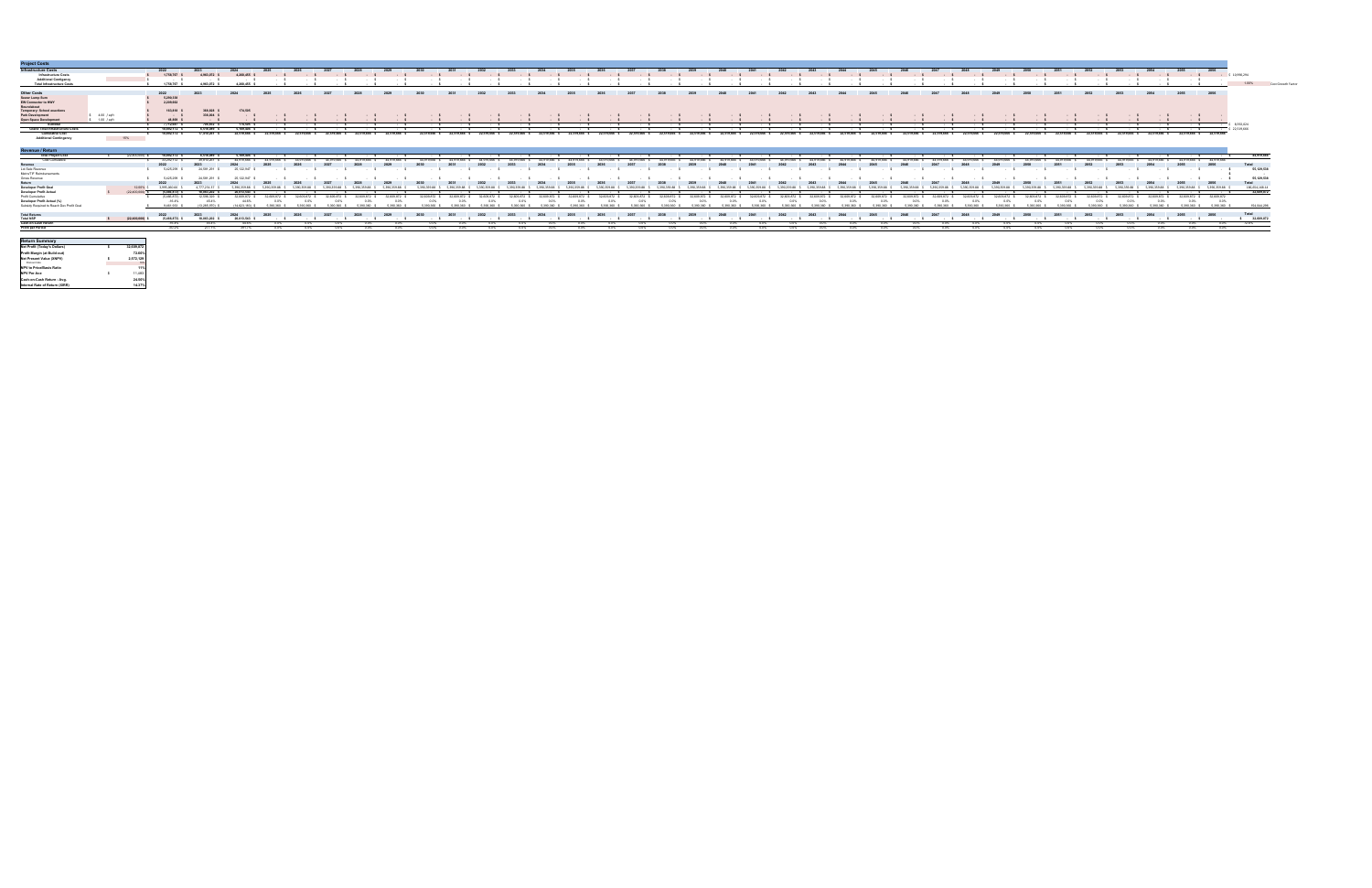| <b>Project Costs</b>                                                   |                |               |                                   |                                        |               |               |                             |                             |                 |                                                                                  |                      |                             |                      |                             |                         |                      |                      |                                 |                      |               |                                    |                                 |                 |                             |                                                                                                                                                                                                                                                   |                                    |                                         |                             |                             |                 |                            |                                        |                      |                      |                                    |                                                                                                                                                                                                                                               |                          |                   |                           |
|------------------------------------------------------------------------|----------------|---------------|-----------------------------------|----------------------------------------|---------------|---------------|-----------------------------|-----------------------------|-----------------|----------------------------------------------------------------------------------|----------------------|-----------------------------|----------------------|-----------------------------|-------------------------|----------------------|----------------------|---------------------------------|----------------------|---------------|------------------------------------|---------------------------------|-----------------|-----------------------------|---------------------------------------------------------------------------------------------------------------------------------------------------------------------------------------------------------------------------------------------------|------------------------------------|-----------------------------------------|-----------------------------|-----------------------------|-----------------|----------------------------|----------------------------------------|----------------------|----------------------|------------------------------------|-----------------------------------------------------------------------------------------------------------------------------------------------------------------------------------------------------------------------------------------------|--------------------------|-------------------|---------------------------|
| <b>Infrastructure Costs</b>                                            |                |               | 2022                              |                                        |               |               |                             |                             |                 |                                                                                  |                      |                             |                      |                             |                         |                      |                      |                                 |                      |               |                                    |                                 |                 |                             |                                                                                                                                                                                                                                                   |                                    |                                         |                             |                             |                 |                            |                                        |                      |                      |                                    |                                                                                                                                                                                                                                               | 2056                     |                   |                           |
| <b>Infrastructure Costs</b>                                            |                |               | 1.758.767 \$                      | 4.963.072 \$                           | 4,268,455 \$  |               |                             |                             |                 |                                                                                  |                      | $\sim$ $\sim$               |                      | $\sim$                      |                         | $\sim$ $\sim$ $\sim$ | $\sim$ $\sim$ $\sim$ | $\cdot$ $\cdot$ $\cdot$ $\cdot$ | $\sim$ $\sim$ $\sim$ | $\sim$ $\sim$ | $\sim$ $\sim$ $\sim$               |                                 | $\cdot$ $\cdot$ |                             | $\sim$ $\sim$                                                                                                                                                                                                                                     | $\sim$                             |                                         |                             |                             |                 |                            | $\cdot$ s                              |                      | $\sim$ $\sim$ $\sim$ | $\sim$ $\sim$ $\sim$ $\sim$ $\sim$ |                                                                                                                                                                                                                                               |                          |                   |                           |
| <b>Additional Contigency</b>                                           |                |               | $\sim$ $s$                        | $\sim$ $s$                             | $\cdot$ s     |               |                             |                             |                 |                                                                                  |                      | $\cdot$ s                   | $\sim$ $s$           |                             |                         |                      | $\cdot$ s            | .                               | $\cdot$ s            | .             | $\sim$ s                           | $\sim$ s                        | $\cdot$ s       |                             |                                                                                                                                                                                                                                                   | $\cdot$ s                          | .                                       |                             |                             |                 |                            | $\cdot$ s                              |                      |                      | $\sim$ $s$                         | $\sim$ $\sim$ $\sim$ $\sim$                                                                                                                                                                                                                   | the contract of the con- |                   |                           |
| <b>Total Infrastructure Costs</b><br><b>Contract Contract Contract</b> |                |               | 1,758,767 \$                      | 4.963.072 \$                           | 4,268,455 \$  | $\sim$        | $\cdot$ $\cdot$             | $\cdot$ $\cdot$             | $\cdot$ $\cdot$ |                                                                                  |                      | $\sim$                      | $\sim$ $\sim$        | $\cdot$ $\cdot$             | $\cdot$ $\cdot$ $\cdot$ | $\sim$ $\sim$        | $\cdot$ $\cdot$      | $\cdot$ $\cdot$                 |                      | $\sim$ $\sim$ | $\sim$ $\sim$                      | $\cdot$ $\cdot$                 | $\cdot$ $\cdot$ |                             | $\cdot$ $\cdot$                                                                                                                                                                                                                                   | $\sim$ $\sim$                      | $\cdot$ $\cdot$                         |                             | $\cdot$ $\cdot$             | $\cdot$ $\cdot$ | $\cdot$ $\cdot$            | $\sim$ $\sim$                          |                      | $\sim$               | $\sim$ $\sim$ $\sim$               | $\sim$ $\sim$ $\sim$                                                                                                                                                                                                                          |                          |                   | . 1.00% Cost Growth Facto |
|                                                                        |                |               |                                   |                                        |               | 2025          |                             | 2027                        |                 |                                                                                  |                      |                             |                      |                             |                         |                      | 2036                 |                                 |                      | 2039          | 2040                               |                                 |                 |                             |                                                                                                                                                                                                                                                   |                                    |                                         |                             |                             | 2049            |                            |                                        |                      | 2053                 |                                    |                                                                                                                                                                                                                                               | 2056                     |                   |                           |
| <b>Other Costs</b>                                                     |                |               |                                   |                                        | 2024          |               | 2026                        |                             |                 | 2029                                                                             |                      |                             | 2032                 |                             | 2034                    |                      |                      |                                 |                      |               |                                    |                                 | 2042            |                             | 2044                                                                                                                                                                                                                                              |                                    |                                         |                             |                             |                 |                            | 2051                                   |                      |                      |                                    | 2055                                                                                                                                                                                                                                          |                          |                   |                           |
| Sewer Lump Sum                                                         |                |               | 5,290,338                         |                                        |               |               |                             |                             |                 |                                                                                  |                      |                             |                      |                             |                         |                      |                      |                                 |                      |               |                                    |                                 |                 |                             |                                                                                                                                                                                                                                                   |                                    |                                         |                             |                             |                 |                            |                                        |                      |                      |                                    |                                                                                                                                                                                                                                               |                          |                   |                           |
| EW Connector to HWY                                                    |                |               | 2,209,662                         |                                        |               |               |                             |                             |                 |                                                                                  |                      |                             |                      |                             |                         |                      |                      |                                 |                      |               |                                    |                                 |                 |                             |                                                                                                                                                                                                                                                   |                                    |                                         |                             |                             |                 |                            |                                        |                      |                      |                                    |                                                                                                                                                                                                                                               |                          |                   |                           |
| <b>Roundabout<br/>Temporary: School exactions</b>                      |                |               |                                   |                                        |               |               |                             |                             |                 |                                                                                  |                      |                             |                      |                             |                         |                      |                      |                                 |                      |               |                                    |                                 |                 |                             |                                                                                                                                                                                                                                                   |                                    |                                         |                             |                             |                 |                            |                                        |                      |                      |                                    |                                                                                                                                                                                                                                               |                          |                   |                           |
|                                                                        |                |               | 163,818 \$                        | 368,828 \$                             | 174,505       |               |                             |                             |                 |                                                                                  |                      |                             |                      |                             |                         |                      |                      |                                 |                      |               |                                    |                                 |                 |                             |                                                                                                                                                                                                                                                   |                                    |                                         |                             |                             |                 |                            |                                        |                      |                      |                                    |                                                                                                                                                                                                                                               |                          |                   |                           |
| Park Development                                                       | \$4.00 / soft  |               | $\cdot$ s                         | 336,004 \$                             | $\cdot$ s     | $\cdot$ s     | $\sim$ $\sim$ $\sim$ $\sim$ |                             |                 |                                                                                  |                      |                             |                      |                             |                         |                      |                      |                                 |                      |               | $\sim$ $\sim$ $\sim$ $\sim$ $\sim$ | $\cdot$ $\cdot$ $\cdot$ $\cdot$ |                 |                             | $\sim$ $\sim$ $\sim$ $\sim$ $\sim$                                                                                                                                                                                                                | $\sim$ $\sim$ $\sim$ $\sim$ $\sim$ | $\cdot$ $\cdot$ $\cdot$ $\cdot$ $\cdot$ |                             |                             |                 |                            |                                        |                      |                      |                                    |                                                                                                                                                                                                                                               |                          |                   |                           |
| Open Space Development                                                 | \$ 1.00 / saft |               | 48,869 \$                         |                                        |               |               |                             |                             |                 |                                                                                  |                      |                             |                      |                             |                         | $\sim$               |                      |                                 |                      |               |                                    |                                 |                 |                             |                                                                                                                                                                                                                                                   |                                    |                                         |                             |                             |                 |                            | $\cdot$ $\cdot$                        |                      |                      | $\sim$                             | $\sim$ $\sim$ $\sim$                                                                                                                                                                                                                          |                          |                   |                           |
| Subtotal                                                               |                |               | \$7.712.687 \$                    | 704.832 \$                             | 174,505 \$    | .             | $\sim$ $\sim$               | .                           | $\sim$          | .                                                                                | $\sim$ $\sim$        | $\sim$ $\sim$               | $\sim$ $\sim$        | .                           | $\sim$                  | $\cdot$ s            | $\sim$ $\sim$        | .                               | $\sim$               | $\sim$ $\sim$ | $\sim$ $\sim$                      | . .                             | $\sim$          | $\sim$ $\sim$               | $\sim$ $\sim$                                                                                                                                                                                                                                     | .                                  | $\sim$ $\sim$                           | $\sim$ $\sim$               | $\sim$ $\sim$               | .               | .                          | $\sim$ $\sim$                          | $\sim$ $\sim$        | $\sim$ $\sim$        |                                    | $\sim$ $\sim$ $\sim$ $\sim$                                                                                                                                                                                                                   | 58.592.024               |                   |                           |
| <b>Grand Total Infrastructure Cost</b>                                 |                |               | \$ 10.892.172 \$                  | 6,518,089 \$                           | 5.109.404 \$  |               |                             |                             |                 |                                                                                  |                      | .                           | $\sim$               |                             | $\cdot$ $\cdot$         | $\sim$ $\sim$        |                      | .                               | $\sim$ $\sim$        |               |                                    |                                 |                 |                             |                                                                                                                                                                                                                                                   | .                                  |                                         |                             |                             |                 | .                          | $\sim$ $\sim$                          | $\sim$ $\sim$        | $\sim$ $\sim$        |                                    | $\sim$ $\sim$ $\sim$                                                                                                                                                                                                                          | 522.519.666              |                   |                           |
| <b>Cumulative Cost</b>                                                 |                | - 5           |                                   | 10.892.172 \$ 17.410.261 \$            | 22.519.666 \$ | 22.519.666 \$ | 22.519.666 \$               | 22.519.666 \$               | 22.519.666 \$   | 22.519.666 \$                                                                    |                      | 22 519 666 \$ 22 519 666 \$ |                      | 22 819 666 \$ 22 519 666 \$ | 22.519.666 \$           | 22.519.666 \$        |                      | 22.519.666 \$ 22.519.666 \$     | 22.519.666 \$        | 22.519.666 \$ |                                    | 22 519 666 \$22 519 666 \$      |                 | 22.519 666 \$ 22.519 666 \$ |                                                                                                                                                                                                                                                   | 22 519 666 \$ 22 519 666 \$        | 22.519.666 \$                           |                             | 22 519 666 \$ 22 519 666 \$ |                 | 22.519.666 \$22.519.666 \$ |                                        |                      |                      |                                    | 22 519 666 \$ 22 519 666 \$ 22 519 666 \$ 22 519 666 \$ 22 519 666 \$ 22 519 666 \$                                                                                                                                                           |                          |                   |                           |
| <b>Additional Contingency</b>                                          |                | 15%           |                                   |                                        |               |               |                             |                             |                 |                                                                                  |                      |                             |                      |                             |                         |                      |                      |                                 |                      |               |                                    |                                 |                 |                             |                                                                                                                                                                                                                                                   |                                    |                                         |                             |                             |                 |                            |                                        |                      |                      |                                    |                                                                                                                                                                                                                                               |                          |                   |                           |
|                                                                        |                |               |                                   |                                        |               |               |                             |                             |                 |                                                                                  |                      |                             |                      |                             |                         |                      |                      |                                 |                      |               |                                    |                                 |                 |                             |                                                                                                                                                                                                                                                   |                                    |                                         |                             |                             |                 |                            |                                        |                      |                      |                                    |                                                                                                                                                                                                                                               |                          |                   |                           |
| Revenue / Return                                                       |                |               |                                   |                                        |               |               |                             |                             |                 |                                                                                  |                      |                             |                      |                             |                         |                      |                      |                                 |                      |               |                                    |                                 |                 |                             |                                                                                                                                                                                                                                                   |                                    |                                         |                             |                             |                 |                            |                                        |                      |                      |                                    |                                                                                                                                                                                                                                               |                          |                   |                           |
| Total Project Cost                                                     |                |               | $$$ (22.400.000) \$ 10.892.172 \$ | 6,518,089 \$                           | 5.109.404     |               |                             |                             |                 |                                                                                  |                      |                             |                      |                             |                         |                      |                      |                                 |                      |               |                                    |                                 |                 |                             |                                                                                                                                                                                                                                                   |                                    |                                         |                             |                             |                 |                            |                                        |                      |                      |                                    |                                                                                                                                                                                                                                               |                          | 44.919.666        |                           |
| Cost Cumulative                                                        |                | $\sim$ $\sim$ | 33.292.172 \$                     | 39 810 261 \$                          | 44 919 666 1  | 44 919 666 \$ | 44 919 666 5                | 44 919 666 \$               | 44 919 666 \$   | 44 919 666 S                                                                     | 44 919 666 5         | 44 919 666 \$               |                      | 44 919 666 \$               | 44 919 666 S            | 44 919 686 \$        | 44 919 666 \$        | 44 919 666 \$                   | 44 919 666 \$        | 44 919 666 \$ | 44 919 666 \$                      | 44 919 666 \$                   | 44919666 \$     | 44 919 666 \$               | 44 919 666 \$                                                                                                                                                                                                                                     | 44 919 666 \$                      | 44 919 666 \$                           | 44 919 666 1                | 44.919.666 \$               | 44 919 666 \$   | 44919666 \$                | 44 919 666 \$                          | 44.919.666 S         | 44919666 \$          | 44 919 666 \$                      | 44 919 666 \$44 919 666                                                                                                                                                                                                                       |                          |                   |                           |
| Revenue                                                                |                |               | 2022                              |                                        |               |               |                             |                             |                 |                                                                                  |                      |                             |                      |                             |                         |                      | 2036                 |                                 |                      | 2039          |                                    | 2041                            |                 |                             |                                                                                                                                                                                                                                                   |                                    |                                         |                             |                             |                 |                            |                                        |                      |                      |                                    |                                                                                                                                                                                                                                               | 2056                     | Total             |                           |
| Lot Sale Revenue                                                       |                | - \$          | 5.425.299 \$                      | 24.581.291 \$                          | 25.122.947 \$ | $\sim$ $s$    | $\sim$ s                    | $\sim$ $\sim$ $\sim$ $\sim$ |                 | $\sim$ s $\sim$ s                                                                | $\sim$ $\sim$ $\sim$ | $\sim$ $\sim$               | $\sim$ $\sim$ $\sim$ |                             |                         |                      |                      | $\sim$ s $\sim$ s               | $\sim$ $\sim$ $\sim$ | $\sim$ $\sim$ | $\sim$ $\sim$                      | $\sim$ $s$                      | $\sim$          | $\sim$ $\sim$               | $\sim$ $s$                                                                                                                                                                                                                                        | $\sim$ $\sim$ $\sim$ $\sim$        | $\sim$ $\sim$                           | $\sim$ $\sim$ $\sim$ $\sim$ | $\sim$ $\sim$               | $\sim$          | $\sim$                     | $\sim$ $\sim$                          | $\sim$ $\sim$ $\sim$ | $\sim$ $\sim$        | $\sim$ $\sim$                      |                                                                                                                                                                                                                                               |                          | 55.129.538        |                           |
| Metro/TIF Reimbursements                                               |                |               |                                   |                                        |               |               |                             |                             |                 |                                                                                  |                      |                             |                      |                             |                         |                      |                      |                                 |                      |               |                                    |                                 |                 |                             |                                                                                                                                                                                                                                                   |                                    |                                         |                             |                             |                 |                            |                                        |                      |                      |                                    |                                                                                                                                                                                                                                               |                          |                   |                           |
| Gross Revenue                                                          |                |               | 5.425.299 S                       | 24 581 291 S                           | 25.122.947 \$ | $\sim$ $\sim$ | $\sim$ $\sim$               |                             | $\sim$ $\sim$   |                                                                                  | $\sim$ $\sim$ $\sim$ | $\sim$ $\sim$               | .                    | $\sim$                      |                         | $\sim$ $\sim$        |                      | $\sim$ $\sim$                   | $\sim$               | $\sim$ $\sim$ | $\sim$ $\sim$ $\sim$               | $\sim$ $\sim$                   |                 |                             |                                                                                                                                                                                                                                                   | $\sim$ $\sim$ $\sim$ $\sim$        | .                                       |                             | .                           |                 |                            |                                        |                      |                      |                                    | $\sim$ $\sim$ $\sim$                                                                                                                                                                                                                          | $\sim$                   | <b>55 129 538</b> |                           |
| Return                                                                 |                |               |                                   |                                        |               |               |                             |                             |                 |                                                                                  |                      |                             |                      |                             |                         |                      |                      |                                 |                      |               |                                    |                                 |                 |                             |                                                                                                                                                                                                                                                   |                                    |                                         |                             |                             |                 |                            |                                        |                      |                      |                                    |                                                                                                                                                                                                                                               | 2056                     | Total             |                           |
| Developer Profit Goal                                                  |                |               |                                   | 12.00% S 3.995.060.66 S 4.777.231.37 S |               |               |                             |                             |                 |                                                                                  |                      |                             |                      |                             |                         |                      |                      |                                 |                      |               |                                    |                                 |                 |                             |                                                                                                                                                                                                                                                   |                                    |                                         |                             |                             |                 |                            |                                        |                      |                      |                                    | 0.000.359.88 \$ 5390.359.88 \$ 5390.359.88 \$ 5390.359.88 \$ 5390.359.88 \$ 5390.359.88 \$ 5390.359.88 \$ 5390.359.88 \$ 5390.359.88 \$ 5390.359.88 \$ 5390.359.88 \$ 5390.359.88 \$ 5390.359.88 \$ 5390.359.88 \$ 5390.359.88 \$ 5390.359.88 |                          | 186,654,168,14    |                           |
| <b>Developer Profit Actual</b>                                         |                |               | (22.400.000) \$ (5.466.873) \$    | 18.063.202 \$                          | 20.013.543    |               |                             |                             |                 |                                                                                  |                      |                             |                      |                             |                         |                      |                      |                                 |                      |               |                                    |                                 |                 |                             |                                                                                                                                                                                                                                                   |                                    |                                         |                             |                             |                 |                            |                                        |                      |                      |                                    |                                                                                                                                                                                                                                               |                          | 32,609.87         |                           |
| Profit Cumulative                                                      |                |               | $(5.466.873)$ S                   | 12.596.329 \$                          | 32.609.872 \$ | 32 609 872 \$ | 32.609.872 \$               | 32 609 872 \$               | 32 609 872 \$   | 32.609.872 \$                                                                    | 32 609 872 \$        | 32 609 872 \$               | 32609872 \$          | 32 609 872 \$               | 32 609 872 \$           | 32 609 872 S         | 32.609.872 \$        | 32 609 872 \$                   | 32.609.872 \$        | 32 609 872 S  |                                    | 32 609 872 S 32 609 872 S       |                 | 32609872 \$ 32609872 \$     | 32 609 872 \$                                                                                                                                                                                                                                     | 32 609 872 S                       | 32609872 \$                             | 32 609 872 S                | 32 609 872 \$               | 32 609 872 \$   | 32609872 \$                | 32 609 872 \$                          | 32 609 872 S         | 32609872 \$          | 32 609 872 S                       | 32 609 872 \$ 32 609 872                                                                                                                                                                                                                      |                          |                   |                           |
| Developer Profit Actual (%)                                            |                |               | $-16.4%$                          | 45.4%                                  | 44.6%         | 0.0%          | 0.0%                        | 0.0%                        | 0.0%            | 0.0%                                                                             | 0.0%                 | 0.0%                        | 0.0%                 | 0.0%                        | 0.0%                    | 0.0%                 | 0.0%                 | 0.0%                            | 0.0%                 | 0.0%          | 0.0%                               | 0.0%                            | 0.0%            | 0.0%                        | 0.0%                                                                                                                                                                                                                                              | 0.0%                               | 0.0%                                    | 0.0%                        | 0.0%                        | 0.0%            | 0.0%                       | 0.0%                                   | 0.0%                 | 0.0%                 | 0.0%                               | 0.0%                                                                                                                                                                                                                                          | $0.0\%$                  |                   |                           |
| Subsidy Required to Reach Dev Profit Goal                              |                |               | 9 461 933 5                       | $(13.285.970)$ S                       |               |               |                             |                             |                 | (14.623.183) \$ 5.390.360 \$ 5.390.360 \$ 5.390.360 \$ 5.390.360 \$ 5.390.360 \$ |                      |                             |                      |                             |                         |                      |                      |                                 |                      |               |                                    |                                 |                 |                             | 5.390.360 \$ 5.390.360 \$ 5.390.360 \$ 5.390.360 \$ 5.390.360 \$ 5.390.360 \$ 5.390.360 \$ 5.390.360 \$ 5.390.360 \$ 5.390.360 \$ 5.390.360 \$ 5.390.360 \$ 5.390.360 \$ 5.390.360 \$ 5.390.360 \$ 5.390.360 \$ 5.390.360 \$ 5.390.360 \$ 5.390.3 |                                    |                                         |                             |                             |                 |                            | 5,390,360 \$ 5,390,360 \$ 5,390,360 \$ |                      |                      |                                    | 5.390.360 \$ 5.390.360 \$ 5.390.360 \$ 5.390.360 \$                                                                                                                                                                                           |                          | 154.044.296       |                           |
|                                                                        |                |               |                                   |                                        |               |               |                             |                             |                 |                                                                                  |                      |                             |                      |                             |                         |                      |                      |                                 |                      |               |                                    |                                 |                 |                             |                                                                                                                                                                                                                                                   |                                    |                                         |                             |                             |                 |                            |                                        |                      |                      |                                    |                                                                                                                                                                                                                                               |                          |                   |                           |
| <b>Total Returns</b>                                                   |                |               | 2022                              |                                        | 2024          |               |                             |                             |                 |                                                                                  |                      |                             |                      |                             |                         |                      |                      |                                 |                      |               |                                    |                                 |                 |                             |                                                                                                                                                                                                                                                   |                                    |                                         |                             |                             |                 |                            |                                        |                      |                      |                                    |                                                                                                                                                                                                                                               |                          | Total             |                           |
| <b>Total NSP</b>                                                       |                |               | \$ (22,400,000) \$ (5,466,873) \$ | 18.063.202 \$                          | 20.013.543    |               | $\sim$                      |                             | $\sim$          |                                                                                  |                      | $\sim$ $\sim$               |                      | $\sim$ $\sim$               |                         | $\sim$               |                      | $\sim$ $\sim$                   |                      |               |                                    |                                 |                 |                             | $\sim$                                                                                                                                                                                                                                            |                                    |                                         |                             |                             |                 |                            | $\sim$                                 |                      | $\sim$ $\epsilon$    | $\cdot$ $\cdot$                    | $\sim$ $\epsilon$                                                                                                                                                                                                                             |                          | \$32.609.872      |                           |
| Cash-on-Cash Return                                                    |                |               | $-16.4%$                          | 45.4%                                  | 44.6%         | 0.0%          | 0.0%                        | 0.0%                        | 0.0%            | $0.0\%$                                                                          | 0.0%                 | 0.0%                        | $0.0\%$              | $0.0\%$                     | $0.0\%$                 | $0.0\%$              | $0.0\%$              | 0.0%                            | $0.0\%$              | $0.0\%$       | $0.0\%$                            | $0.0\%$                         | $0.0\%$         | 0.0%                        | $0.0\%$                                                                                                                                                                                                                                           | 0.0%                               | 0.0%                                    | $0.0\%$                     | $0.0\%$                     | $0.0\%$         | 0.0%                       | $0.0\%$                                | 0.0%                 | $0.0\%$              | $0.0\%$                            | $0.0\%$                                                                                                                                                                                                                                       | 0.0% 72.6%               |                   |                           |
| <b>Profit per Period</b>                                               |                |               | -50.2%                            | 277.1%                                 | 391.7%        | 0.05          | 0.0%                        | $0.0\%$                     | 0.0%            | 0.0%                                                                             | 0.036                | 0.05                        | $0.0\%$              | 0.0%                        | 0.05                    | $0.0\%$              | $0.0\%$              | 0.0%                            | 0.0%                 | 0.0%          | 0.0%                               | 0.025                           | 0.0%            | 0.05                        | 0.0%                                                                                                                                                                                                                                              | $0.0\%$                            | 0.0%                                    | $0.0\%$                     | 0.0%                        | 0.0%            | 0.0%                       | 0.0%                                   | 0.0%                 | 0.056                | $0.0\%$                            | $0.0\%$                                                                                                                                                                                                                                       | $0.0\%$                  |                   |                           |
|                                                                        |                |               |                                   |                                        |               |               |                             |                             |                 |                                                                                  |                      |                             |                      |                             |                         |                      |                      |                                 |                      |               |                                    |                                 |                 |                             |                                                                                                                                                                                                                                                   |                                    |                                         |                             |                             |                 |                            |                                        |                      |                      |                                    |                                                                                                                                                                                                                                               |                          |                   |                           |
| <b>Return Summary</b>                                                  |                |               |                                   |                                        |               |               |                             |                             |                 |                                                                                  |                      |                             |                      |                             |                         |                      |                      |                                 |                      |               |                                    |                                 |                 |                             |                                                                                                                                                                                                                                                   |                                    |                                         |                             |                             |                 |                            |                                        |                      |                      |                                    |                                                                                                                                                                                                                                               |                          |                   |                           |
|                                                                        |                |               |                                   |                                        |               |               |                             |                             |                 |                                                                                  |                      |                             |                      |                             |                         |                      |                      |                                 |                      |               |                                    |                                 |                 |                             |                                                                                                                                                                                                                                                   |                                    |                                         |                             |                             |                 |                            |                                        |                      |                      |                                    |                                                                                                                                                                                                                                               |                          |                   |                           |
| Net Profit (Today's Dollars)                                           |                | 32.609.872    |                                   |                                        |               |               |                             |                             |                 |                                                                                  |                      |                             |                      |                             |                         |                      |                      |                                 |                      |               |                                    |                                 |                 |                             |                                                                                                                                                                                                                                                   |                                    |                                         |                             |                             |                 |                            |                                        |                      |                      |                                    |                                                                                                                                                                                                                                               |                          |                   |                           |
| Profit Margin (at Build-out)                                           |                | 72.60         |                                   |                                        |               |               |                             |                             |                 |                                                                                  |                      |                             |                      |                             |                         |                      |                      |                                 |                      |               |                                    |                                 |                 |                             |                                                                                                                                                                                                                                                   |                                    |                                         |                             |                             |                 |                            |                                        |                      |                      |                                    |                                                                                                                                                                                                                                               |                          |                   |                           |
| Net Present Value (XNPV)                                               |                | 2,572,129     |                                   |                                        |               |               |                             |                             |                 |                                                                                  |                      |                             |                      |                             |                         |                      |                      |                                 |                      |               |                                    |                                 |                 |                             |                                                                                                                                                                                                                                                   |                                    |                                         |                             |                             |                 |                            |                                        |                      |                      |                                    |                                                                                                                                                                                                                                               |                          |                   |                           |
| Discount rate                                                          |                |               |                                   |                                        |               |               |                             |                             |                 |                                                                                  |                      |                             |                      |                             |                         |                      |                      |                                 |                      |               |                                    |                                 |                 |                             |                                                                                                                                                                                                                                                   |                                    |                                         |                             |                             |                 |                            |                                        |                      |                      |                                    |                                                                                                                                                                                                                                               |                          |                   |                           |
| <b>NPV to Price/Basis Ratio</b>                                        |                |               |                                   |                                        |               |               |                             |                             |                 |                                                                                  |                      |                             |                      |                             |                         |                      |                      |                                 |                      |               |                                    |                                 |                 |                             |                                                                                                                                                                                                                                                   |                                    |                                         |                             |                             |                 |                            |                                        |                      |                      |                                    |                                                                                                                                                                                                                                               |                          |                   |                           |
| <b>NPV Per Ace</b>                                                     |                | 11,483        |                                   |                                        |               |               |                             |                             |                 |                                                                                  |                      |                             |                      |                             |                         |                      |                      |                                 |                      |               |                                    |                                 |                 |                             |                                                                                                                                                                                                                                                   |                                    |                                         |                             |                             |                 |                            |                                        |                      |                      |                                    |                                                                                                                                                                                                                                               |                          |                   |                           |
|                                                                        |                |               |                                   |                                        |               |               |                             |                             |                 |                                                                                  |                      |                             |                      |                             |                         |                      |                      |                                 |                      |               |                                    |                                 |                 |                             |                                                                                                                                                                                                                                                   |                                    |                                         |                             |                             |                 |                            |                                        |                      |                      |                                    |                                                                                                                                                                                                                                               |                          |                   |                           |
| Cash-on-Cash Return - Avg.                                             |                |               |                                   |                                        |               |               |                             |                             |                 |                                                                                  |                      |                             |                      |                             |                         |                      |                      |                                 |                      |               |                                    |                                 |                 |                             |                                                                                                                                                                                                                                                   |                                    |                                         |                             |                             |                 |                            |                                        |                      |                      |                                    |                                                                                                                                                                                                                                               |                          |                   |                           |
| Internal Rate of Return (XIRR)                                         |                |               |                                   |                                        |               |               |                             |                             |                 |                                                                                  |                      |                             |                      |                             |                         |                      |                      |                                 |                      |               |                                    |                                 |                 |                             |                                                                                                                                                                                                                                                   |                                    |                                         |                             |                             |                 |                            |                                        |                      |                      |                                    |                                                                                                                                                                                                                                               |                          |                   |                           |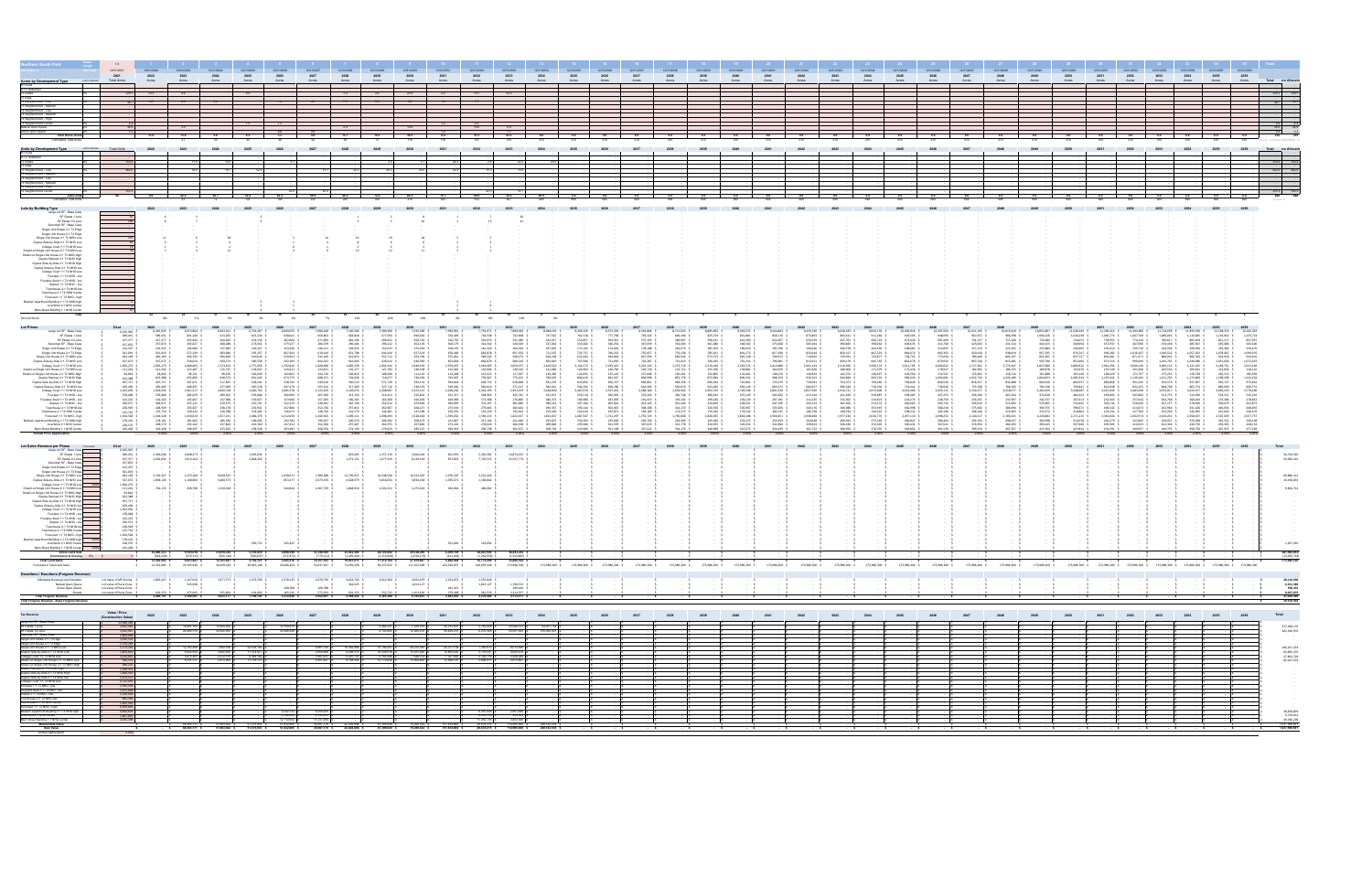|                                                                                                                                                                                                                                                 | 12/31/2021                                                                                                  | 12/31/2022                                                                                                                                                                                                                                                                               | 12/31/2023                                                                                                                                 | 12/31/2024                                                                                                                   | 12/31/2025                                              | 12/31/2026                                                                                                           | 12/31/2027                                                               | 12/31/2028                                              | 12/31/2029                                                            | 12/31/2030                                                                                                                                                                                                                                     |                                                                                                                          |                                                        | 12/31/2033                                                                                                                                                                                                         | 12/31/2034                                                       | 12/31/2035                                             | 12/31/2036                                           | 12/31/2037                                                                                             | 12/31/2038                                      | 12/31/2039                                             | 12/31/2040                                                                                           |                                                        |                                                          | 12/31/2043                                             | 12/31/2044                                             | 12/31/2045                                           | 12/31/2046                                             | 12/31/2047                                             | 12/31/2048                                             | 12/31/2049                                              | 12/31/2050                                                                                 | 12/31/2051                                             | 12/31/2052                                                                                                                  | 12/31/2053                                                   | 12/31/2054                                               | 12/31/2055                                               |                                                       |                                                  |
|-------------------------------------------------------------------------------------------------------------------------------------------------------------------------------------------------------------------------------------------------|-------------------------------------------------------------------------------------------------------------|------------------------------------------------------------------------------------------------------------------------------------------------------------------------------------------------------------------------------------------------------------------------------------------|--------------------------------------------------------------------------------------------------------------------------------------------|------------------------------------------------------------------------------------------------------------------------------|---------------------------------------------------------|----------------------------------------------------------------------------------------------------------------------|--------------------------------------------------------------------------|---------------------------------------------------------|-----------------------------------------------------------------------|------------------------------------------------------------------------------------------------------------------------------------------------------------------------------------------------------------------------------------------------|--------------------------------------------------------------------------------------------------------------------------|--------------------------------------------------------|--------------------------------------------------------------------------------------------------------------------------------------------------------------------------------------------------------------------|------------------------------------------------------------------|--------------------------------------------------------|------------------------------------------------------|--------------------------------------------------------------------------------------------------------|-------------------------------------------------|--------------------------------------------------------|------------------------------------------------------------------------------------------------------|--------------------------------------------------------|----------------------------------------------------------|--------------------------------------------------------|--------------------------------------------------------|------------------------------------------------------|--------------------------------------------------------|--------------------------------------------------------|--------------------------------------------------------|---------------------------------------------------------|--------------------------------------------------------------------------------------------|--------------------------------------------------------|-----------------------------------------------------------------------------------------------------------------------------|--------------------------------------------------------------|----------------------------------------------------------|----------------------------------------------------------|-------------------------------------------------------|--------------------------------------------------|
| cres by Development Type                                                                                                                                                                                                                        | 2021                                                                                                        | 2022                                                                                                                                                                                                                                                                                     | 2023                                                                                                                                       | 2024                                                                                                                         | 2025                                                    | 2026                                                                                                                 | 2027                                                                     | 2028                                                    | 2029                                                                  | 2030                                                                                                                                                                                                                                           | 2031                                                                                                                     | 2032                                                   | 2033                                                                                                                                                                                                               | 2034                                                             | 2035                                                   | 2036                                                 | 2037                                                                                                   | 2038                                            | 2039                                                   | 2040                                                                                                 | 2041                                                   | 2042                                                     | 2043                                                   | 2044                                                   | 2045                                                 | 2046                                                   | 2047                                                   | 2048                                                   | 2049                                                    | 2050                                                                                       | 2051                                                   | 2052                                                                                                                        | 2053                                                         | 2054                                                     | 2055<br>2056                                             |                                                       |                                                  |
| Neighborhood - Me                                                                                                                                                                                                                               |                                                                                                             |                                                                                                                                                                                                                                                                                          |                                                                                                                                            |                                                                                                                              |                                                         |                                                                                                                      |                                                                          |                                                         |                                                                       |                                                                                                                                                                                                                                                |                                                                                                                          |                                                        |                                                                                                                                                                                                                    |                                                                  |                                                        |                                                      |                                                                                                        |                                                 |                                                        |                                                                                                      |                                                        |                                                          |                                                        |                                                        |                                                      |                                                        |                                                        |                                                        |                                                         |                                                                                            |                                                        |                                                                                                                             |                                                              |                                                          |                                                          |                                                       |                                                  |
| Neighborhood - Medi<br>Neighborhood - High<br>4 Neighborhood Cente                                                                                                                                                                              |                                                                                                             |                                                                                                                                                                                                                                                                                          |                                                                                                                                            |                                                                                                                              |                                                         |                                                                                                                      |                                                                          |                                                         |                                                                       |                                                                                                                                                                                                                                                |                                                                                                                          |                                                        |                                                                                                                                                                                                                    |                                                                  |                                                        |                                                      |                                                                                                        |                                                 |                                                        |                                                                                                      |                                                        |                                                          |                                                        |                                                        |                                                      |                                                        |                                                        |                                                        |                                                         |                                                                                            |                                                        |                                                                                                                             |                                                              |                                                          |                                                          |                                                       |                                                  |
| Active Open Space                                                                                                                                                                                                                               |                                                                                                             |                                                                                                                                                                                                                                                                                          |                                                                                                                                            |                                                                                                                              |                                                         |                                                                                                                      |                                                                          |                                                         |                                                                       |                                                                                                                                                                                                                                                |                                                                                                                          |                                                        |                                                                                                                                                                                                                    |                                                                  |                                                        |                                                      |                                                                                                        |                                                 |                                                        |                                                                                                      |                                                        |                                                          |                                                        |                                                        |                                                      |                                                        |                                                        |                                                        |                                                         |                                                                                            |                                                        |                                                                                                                             |                                                              |                                                          |                                                          |                                                       |                                                  |
| Units by Development Type                                                                                                                                                                                                                       |                                                                                                             |                                                                                                                                                                                                                                                                                          |                                                                                                                                            |                                                                                                                              |                                                         |                                                                                                                      |                                                                          |                                                         |                                                                       |                                                                                                                                                                                                                                                |                                                                                                                          |                                                        |                                                                                                                                                                                                                    |                                                                  |                                                        |                                                      |                                                                                                        |                                                 |                                                        |                                                                                                      |                                                        |                                                          |                                                        |                                                        |                                                      |                                                        |                                                        |                                                        |                                                         |                                                                                            |                                                        |                                                                                                                             |                                                              |                                                          |                                                          |                                                       |                                                  |
| 3 Neighborhood - Low<br>3 Neighborhood - Medium                                                                                                                                                                                                 |                                                                                                             |                                                                                                                                                                                                                                                                                          |                                                                                                                                            |                                                                                                                              |                                                         |                                                                                                                      |                                                                          |                                                         |                                                                       |                                                                                                                                                                                                                                                |                                                                                                                          |                                                        |                                                                                                                                                                                                                    |                                                                  |                                                        |                                                      |                                                                                                        |                                                 |                                                        |                                                                                                      |                                                        |                                                          |                                                        |                                                        |                                                      |                                                        |                                                        |                                                        |                                                         |                                                                                            |                                                        |                                                                                                                             |                                                              |                                                          |                                                          |                                                       |                                                  |
| 1 Neighborhood - Low<br>Weighborhood - Mediun<br>Neighborhood - High                                                                                                                                                                            |                                                                                                             |                                                                                                                                                                                                                                                                                          |                                                                                                                                            |                                                                                                                              |                                                         |                                                                                                                      |                                                                          |                                                         |                                                                       |                                                                                                                                                                                                                                                |                                                                                                                          |                                                        |                                                                                                                                                                                                                    |                                                                  |                                                        |                                                      |                                                                                                        |                                                 |                                                        |                                                                                                      |                                                        |                                                          |                                                        |                                                        |                                                      |                                                        |                                                        |                                                        |                                                         |                                                                                            |                                                        |                                                                                                                             |                                                              |                                                          |                                                          |                                                       |                                                  |
|                                                                                                                                                                                                                                                 |                                                                                                             | 2022                                                                                                                                                                                                                                                                                     | 2023                                                                                                                                       | 2024                                                                                                                         | 2025                                                    |                                                                                                                      |                                                                          |                                                         |                                                                       |                                                                                                                                                                                                                                                |                                                                                                                          |                                                        |                                                                                                                                                                                                                    |                                                                  |                                                        |                                                      |                                                                                                        |                                                 |                                                        |                                                                                                      |                                                        |                                                          |                                                        |                                                        |                                                      |                                                        |                                                        |                                                        |                                                         |                                                                                            |                                                        | 2052                                                                                                                        | 2053                                                         | 2054                                                     |                                                          |                                                       |                                                  |
| <b>Lots by Building Type</b><br>Large Lot SF - Base Case<br>SF Estate 1 Acre<br>SF Estate 1/2 Acre<br>Suburban SF - Base Case                                                                                                                   |                                                                                                             |                                                                                                                                                                                                                                                                                          |                                                                                                                                            |                                                                                                                              |                                                         |                                                                                                                      |                                                                          |                                                         |                                                                       |                                                                                                                                                                                                                                                |                                                                                                                          |                                                        |                                                                                                                                                                                                                    |                                                                  |                                                        |                                                      |                                                                                                        |                                                 |                                                        |                                                                                                      |                                                        |                                                          |                                                        |                                                        |                                                      |                                                        |                                                        |                                                        |                                                         |                                                                                            |                                                        |                                                                                                                             |                                                              |                                                          |                                                          |                                                       |                                                  |
| Single Unit Estate 2:1 T3 Edge<br>Single Unit House 2:1 T3 Edge<br>Single Unit House 2:1 T3 NHD-Low                                                                                                                                             |                                                                                                             |                                                                                                                                                                                                                                                                                          |                                                                                                                                            |                                                                                                                              |                                                         |                                                                                                                      |                                                                          |                                                         |                                                                       |                                                                                                                                                                                                                                                |                                                                                                                          |                                                        |                                                                                                                                                                                                                    |                                                                  |                                                        |                                                      |                                                                                                        |                                                 |                                                        |                                                                                                      |                                                        |                                                          |                                                        |                                                        |                                                      |                                                        |                                                        |                                                        |                                                         |                                                                                            |                                                        |                                                                                                                             |                                                              |                                                          |                                                          |                                                       |                                                  |
| Duplex Side-by-Side 2:1 T3 NHD Low<br>Cottage Court 1:1 T3 NHD Low<br>Small Lot Single Unit House 2:1 T3 NHD-Low<br>Small Lot Single Unit House 2:1 T3 NHD-High                                                                                 |                                                                                                             |                                                                                                                                                                                                                                                                                          |                                                                                                                                            |                                                                                                                              |                                                         |                                                                                                                      |                                                                          |                                                         |                                                                       |                                                                                                                                                                                                                                                |                                                                                                                          |                                                        |                                                                                                                                                                                                                    |                                                                  |                                                        |                                                      |                                                                                                        |                                                 |                                                        |                                                                                                      |                                                        |                                                          |                                                        |                                                        |                                                      |                                                        |                                                        |                                                        |                                                         |                                                                                            |                                                        |                                                                                                                             |                                                              |                                                          |                                                          |                                                       |                                                  |
| Duplex Stacked 2:1 T3 NHD High<br>Duplex Side-by-Side 2:1 T3 NHD High<br>Duplex Side-by-Side 2:1 T4 NHD low<br>Cottage Court 1:1 T4 NHD Low                                                                                                     |                                                                                                             |                                                                                                                                                                                                                                                                                          |                                                                                                                                            |                                                                                                                              |                                                         |                                                                                                                      |                                                                          |                                                         |                                                                       |                                                                                                                                                                                                                                                |                                                                                                                          |                                                        |                                                                                                                                                                                                                    |                                                                  |                                                        |                                                      |                                                                                                        |                                                 |                                                        |                                                                                                      |                                                        |                                                          |                                                        |                                                        |                                                      |                                                        |                                                        |                                                        |                                                         |                                                                                            |                                                        |                                                                                                                             |                                                              |                                                          |                                                          |                                                       |                                                  |
| Fourplex 1:1 T4 NHD - low<br>Fourplex 2bed 1:1 T4 NHD - low<br>Steplex 1:1 T4 NHD - low<br>Townhouse 2:1 T4 NHD-low                                                                                                                             |                                                                                                             |                                                                                                                                                                                                                                                                                          |                                                                                                                                            |                                                                                                                              |                                                         |                                                                                                                      |                                                                          |                                                         |                                                                       |                                                                                                                                                                                                                                                |                                                                                                                          |                                                        |                                                                                                                                                                                                                    |                                                                  |                                                        |                                                      |                                                                                                        |                                                 |                                                        |                                                                                                      |                                                        |                                                          |                                                        |                                                        |                                                      |                                                        |                                                        |                                                        |                                                         |                                                                                            |                                                        |                                                                                                                             |                                                              |                                                          |                                                          |                                                       |                                                  |
| Townhouse 2:1 T4 NHD Center<br>Forecourt 1:1 T4 NHD - high<br>Medium Apartment Building 1:1 T4 NHD-high<br>Live/Work 2:1 NHD Center                                                                                                             |                                                                                                             |                                                                                                                                                                                                                                                                                          |                                                                                                                                            |                                                                                                                              |                                                         |                                                                                                                      |                                                                          |                                                         |                                                                       |                                                                                                                                                                                                                                                |                                                                                                                          |                                                        |                                                                                                                                                                                                                    |                                                                  |                                                        |                                                      |                                                                                                        |                                                 |                                                        |                                                                                                      |                                                        |                                                          |                                                        |                                                        |                                                      |                                                        |                                                        |                                                        |                                                         |                                                                                            |                                                        |                                                                                                                             |                                                              |                                                          |                                                          |                                                       |                                                  |
| Main Street Building 1:1 NHD Cente<br>Percent Share                                                                                                                                                                                             |                                                                                                             | 8%                                                                                                                                                                                                                                                                                       |                                                                                                                                            |                                                                                                                              |                                                         |                                                                                                                      |                                                                          | 12%                                                     | 10%                                                                   | 14%                                                                                                                                                                                                                                            | 4%                                                                                                                       |                                                        | 14%                                                                                                                                                                                                                |                                                                  |                                                        |                                                      |                                                                                                        |                                                 |                                                        |                                                                                                      |                                                        |                                                          |                                                        |                                                        |                                                      |                                                        |                                                        |                                                        |                                                         |                                                                                            |                                                        |                                                                                                                             |                                                              |                                                          |                                                          |                                                       |                                                  |
| <b>Lot Prices</b><br>Large Lot SF - Base Case<br>SF Estate 1 Acre                                                                                                                                                                               | \$/Lot<br>6,345,945<br>589,451 \$                                                                           | 2022<br>6,345,945<br>589,451 \$                                                                                                                                                                                                                                                          | 2023<br>6,472,864 \$<br>601,240 \$                                                                                                         | 2024<br>6,602,321 \$<br>613,265 \$                                                                                           | 2025<br>6,734,367 \$<br>625,530 \$                      | 2026<br>6,869,055<br>638,041 \$                                                                                      | 2027<br>7,006,436 \$<br>650,802 \$                                       | 2028<br>7,146,564<br>663,818 \$                         | 2029<br>7,289,496 \$                                                  | 2030<br>7,435,286<br>690,636 \$                                                                                                                                                                                                                | 2031<br>7,583,991<br>704,449 \$                                                                                          | 2032<br>7,735,671 \$<br>718,538 \$                     | 2033<br>7,890,385 \$<br>732,908 \$                                                                                                                                                                                 | 2034<br>8,048,192 \$<br>747,567 \$                               | 8,209,156 \$<br>762,518 \$                             | 2036<br>8,373,339 \$<br>777,768 \$                   | 2037<br>8,540,806<br>793,324 \$                                                                        | 2038<br>8,711,622<br>809,190 3                  | 2039<br>8,885,855 \$                                   | 2040<br>9,063,572<br>841,881 \$                                                                      | 2041<br>9,244,843<br>858,719 \$                        | $9,429,740$ \$<br>875,893 \$                             | 9,618,335<br>893,411 \$                                | 9,810,702<br>911,280 \$                                | 10,006,916<br>929,505 \$                             | 2046<br>10,207,054 \$<br>948,095 \$                    | 10,411,195 \$<br>967,057 \$                            | 2048<br>10,619,419<br>986,398 \$                       | 2049<br>10,831,807<br>1,006,126                         | 2050<br>$\begin{array}{r} 11,048,443 \quad \  \, 5 \\ 1,026,249 \quad \  \, 5 \end{array}$ | 2051<br>11,269,412<br>1,046,774 \$                     | 2052<br>$11,494,800 \t 51,067,709 \t 5$                                                                                     | 2053<br>$\begin{matrix} 11,724,696\\ 1,089,063 \end{matrix}$ | 2054<br>11,959,190<br>1,110,845                          | 2055<br>2056<br>$12,198,374 \quad S$ $1,133,062 \quad S$ | 12,442,342<br>1,155,723                               |                                                  |
| SF Estate 1/2 Acre<br>Suburban SF - Base Case<br>Single Unit Estate 2:1 T3 Edge<br>Single Unit House 2:1 T3 Edge                                                                                                                                | 427,377 \$<br>257,870 \$<br>132,337 \$<br>561,019 \$<br>481,169 \$                                          | 427,377 \$<br>257,870 \$<br>132,337 \$<br>561,019 \$                                                                                                                                                                                                                                     | $435,924$ \$<br>263,027 \$<br>134,984 \$<br>572,239 \$                                                                                     | 444,643<br>268,288 \$<br>137,683<br>583,684 \$                                                                               | 453,536 \$<br>273,654 \$<br>140,437<br>595,357 \$       | 462,606 \$<br>279,127 \$<br>143,246 \$<br>607,264 \$                                                                 | 471,859 \$<br>284,709<br>$146,111$ \$<br>619,410 \$                      | 481,296 \$<br>290,404 \$<br>149,033<br>631,798 \$       | 490,922 \$<br>296,212 \$<br>152,013<br>644,434 \$                     | 500,740 \$<br>302,136 \$<br>$155,054$ \$<br>657,323 \$                                                                                                                                                                                         | 510,755<br>308,179 \$<br>$\begin{array}{ccc} 158,155 & \text{\$} \\ 670,469 & \text{\$} \end{array}$                     | 520,970 \$<br>314,342 \$<br>$161,318$ \$<br>683,878 \$ | 531,389 \$<br>320,629 \$<br>164,544 \$<br>697,556 \$                                                                                                                                                               | 542,017<br>327,042 \$<br>167,835<br>711,507 \$                   | 552,857 \$<br>333,582 \$<br>$171,192$ \$<br>725,737 \$ | 563,915 \$<br>340,254 \$<br>174,616 \$<br>740,252 \$ | 575,193 \$<br>347,059 \$<br>178,108 \$<br>755,057 \$                                                   | 586,697<br>354,000 \$<br>$181,670$ :<br>770,158 | 598,431 \$<br>361,080 \$<br>185,303<br>785,561 9       | 610,399 \$<br>368,302 \$<br>$189,010$ \$<br>$801,273$ \$                                             | 622,607 \$<br>375,668 \$<br>192,790 \$<br>817,298 \$   | 635,059 \$<br>383,181 \$<br>196,646 \$<br>833,644 \$     | 647,761 \$<br>390,845 \$<br>200,578 \$<br>850,317 \$   | 660,716 \$<br>398,662 \$<br>204,590 \$<br>867,323 \$   | 673,930<br>406,635 \$<br>208,682<br>884,670 \$       | 687,409 \$<br>414,768 \$<br>212,855<br>902,363 \$      | 701,157 \$<br>423,063 \$<br>$217,113$ S<br>920,410 \$  | 715,180 \$<br>431,524 \$<br>221,455 \$<br>938,819 \$   | 729,484<br>440,155<br>225,884<br>957,595 \$             | 744,073<br>448,958<br>230,402<br>976,747                                                   | 758,955 \$<br>457,937 \$<br>235,010 \$<br>996,282 \$   | $774,134$ \$<br>467,096 \$<br>239,710 \$<br>1,016,207 \$                                                                    | 789,617 9<br>476,438<br>244,504 \$<br>1,036,532 \$           | $805,409$ \$<br>485,967 \$<br>249,394 \$<br>1,057,262 \$ | 821,517 \$<br>495,686 \$<br>254,382 \$<br>1,078,407 \$   | 837,947<br>505,600<br>259,470<br>1,099,976            |                                                  |
| Single Unit House 2:1 T3 NHD-Low<br>Duplex Side-by-Side 2:1 T3 NHD Low<br>Cottage Court 1:1 T3 NHD Low<br>Small Lot Single Unit House 2:1 T3 NHD-Low                                                                                            | 547,072 \$<br>1,656,279 \$<br>$\begin{array}{rr} 111,242 & S \\ 94,844 & S \end{array}$                     | $481,169$ \$<br>547,072 \$<br>1,656,279 \$<br>111,242 \$                                                                                                                                                                                                                                 | 490,792 \$<br>558,014 S<br>$1,689,405$ \$<br>113,467 \$                                                                                    | 500,608 \$<br>569.174 S<br>1,723,193 \$<br>115.737 S                                                                         | 510,620 \$<br>580,558 S<br>1,757,656 \$<br>118.051 S    | 520,833 \$<br>592.169 S<br>1,792,810 \$<br>120.412 9                                                                 | 531,249 \$<br>604.012 S<br>1,828,666 \$<br>122.821 S                     | $541,874$ \$<br>616.092 S<br>1,865,239 \$<br>125, 277 9 | 552,712 \$<br>628,414 \$<br>1,902,544<br>127,783 \$                   | 563,766 \$<br>$\begin{array}{ccc} 640,982 & \text{\bf \large{\textbf{\large{5}}}}\\ 1,940,595 & \text{\bf \large{\textbf{\large{\small{5}}}}}\end{array}$<br>$\begin{array}{ccc} 130,338 & \text{\bf 5} \\ 111,125 & \text{\bf 5} \end{array}$ | 575,041<br>653,802 \$<br>1,979,407 \$                                                                                    | 586,542 \$<br>666.878 S<br>2,018,995 \$<br>135,604 \$  | 598,273 \$<br>680,216 S<br>2,059,375 \$<br>138,316 S                                                                                                                                                               | $610,238$ \$<br>693,820 S<br>2,100,562 \$<br>141.082 S           | 622,443 \$<br>707.696 S<br>2,142,573 \$<br>143,904 S   | 634,892 \$<br>721.850 S<br>2,185,425 \$<br>146,782 S | 647,590 \$<br>736,287 \$<br>2,229,133 \$<br>149,718 S                                                  | 660,542<br>751.013 S<br>2,273,716<br>152,712    | 673,753 \$<br>766.033 S<br>2,319,190 \$<br>155,766 \$  | 687,228 \$<br>781,354 \$<br>2,365,574 \$<br>$\begin{matrix} 158,882 & 5 \\ 135,461 & 5 \end{matrix}$ | 700,972 \$<br>796,981 \$<br>2,412,886 \$<br>162.059 9  | 714,992 \$<br>812,921 \$<br>2,461,143 \$<br>165,300 \$   | 729,291 \$<br>829.179 S<br>2,510,366 \$<br>168,606 9   | 743,877 \$<br>845.763 S<br>2,560,574 \$<br>171.979 S   | 758,755 \$<br>862.678 S<br>2,611,785 \$<br>175,418 S | 773,930 \$<br>879.932 S<br>2,664,021 \$<br>178,927 S   | 789,409 \$<br>897,530 S<br>2,717,301 \$<br>182.505 S   | 805,197 \$<br>915.481 S<br>$2,771,647$ \$<br>186.155 S | $821,301$ 3<br>933,790 \$<br>2,827,080 \$<br>189,878 \$ | 837,727 \$<br>952,466 S<br>2,883,622<br>193,676 S                                          | 854,481 \$<br>971,516 \$<br>2,941,294 \$<br>197,549 \$ | 871,571 \$<br>990,946 S<br>$3,000,120$ \$<br>201,500 \$                                                                     | 889,002 \$<br>1.010.765 S<br>3,060,122 \$<br>205,530 9       | 906,782 \$<br>1.030.980 S<br>3,121,325 \$<br>209.641 S   | 924,918 \$<br>1,051,600 S<br>3,183,751 \$<br>213,834 \$  | 943,416<br>1,072,632<br>3,247,426                     |                                                  |
| Small Lot Single Unit House 2:1 T3 NHD-High<br>Duplex Stacked 2:1 T3 NHD Hig<br>Duplex Side-by-Side 2:1 T3 NHD High<br>Duplex Side-by-Side 2:1 T4 NHD low                                                                                       | 623,388 \$<br>497,717 \$<br>459,409 \$                                                                      | 94,844 \$<br>623,388 \$<br>497,717 \$<br>459,409 S                                                                                                                                                                                                                                       | 96,741S<br>635,856 S<br>$507,671$ \$<br>468,597 S                                                                                          | 98,676 \$<br>648,573 S<br>517,825 \$<br>477,969 S                                                                            | 100,649 \$<br>661.545 S<br>528,181 \$<br>487.528 S      | 102,662 \$<br>674,775 9<br>538,745 \$<br>497.279 S                                                                   | $104,716$ \$<br>688,271 \$<br>549,520 \$<br>507.224 S                    | 106,810 \$<br>702,036 \$<br>560,510 \$<br>517,369 S     | 108,946<br>716.077 9<br>571,720<br>527,716 \$                         | 730,399 \$<br>583,154 \$                                                                                                                                                                                                                       | $\begin{array}{ccc} 132,945 & \text{\bf $5$}\\ 113,348 & \text{\bf $5$} \end{array}$<br>745,007<br>594,818<br>549,036 \$ | 115,615 \$<br>759,907 9<br>606,714 \$<br>560,016 \$    | 117,927 \$<br>775,105 \$<br>618,848 \$<br>571.217 S                                                                                                                                                                | 120,285 \$<br>790.607 S<br>631,225 \$<br>582.641 S               | 122,691 \$<br>806.419 S<br>643,850 \$<br>594.294 S     | 125,145 \$<br>822.547 S<br>656,727<br>606,180 S      | 127,648 \$<br>838,998 \$<br>669,861 \$<br>618,303 \$                                                   | 130,201<br>855,778 9<br>683,258<br>630.670      | 132,805<br>872,894 \$<br>696,924<br>643,283 \$         | 890,352 \$<br>710,862 \$<br>656,149 \$                                                               | 138,170 \$<br>908,159 \$<br>725,079 \$<br>669,272 9    | 140,934 \$<br>926,322 \$<br>739,581 \$<br>682,657 \$     | 143,752 \$<br>944,849<br>754,373 \$<br>696,310 S       | $146,627$ \$<br>963,745 S<br>769,460 \$<br>710,236 \$  | 149,560 \$<br>983.020 S<br>784,849 \$<br>724.441 S   | 152,551 \$<br>1.002.681 S<br>800,546 \$<br>738.930 S   | 155,602 \$<br>1.022.734 S<br>816,557 \$<br>753.708 S   | 158,714 \$<br>1.043.189 S<br>832,888 \$<br>768,783 S   | 161,888<br>1.064.053 9<br>849,546<br>784.158 S          | 165,126 \$<br>1.085.334<br>866,537<br>799.841                                              | 168,429 \$<br>1,107,041 \$<br>883,868 \$<br>815,838 \$ | 171,797 \$<br>1,129,181 \$<br>901,545 \$<br>832.155 S                                                                       | 175,233 \$<br>1.151.765 S<br>919,576 \$<br>848,798 S         | 178,738 \$<br>1,174,800 \$<br>937,967<br>865,774 \$      | 182,313 \$<br>1,198,296 \$<br>956,727 \$<br>883,090 S    | 218,110<br>185,959<br>1,222,262<br>975,861<br>900,751 |                                                  |
| Cottage Court 1:1 T4 NHD Low<br>Fourplex 1:1 T4 NHD - low<br>Fourplex 2bed 1:1 T4 NHD - low<br>Steplex 1:1 T4 NHD - low                                                                                                                         | 1,923,056 \$<br>$\begin{array}{r} 278,068 \quad \  \  \, 5 \\ 142,222 \quad \  \  \, 5 \end{array}$         | 1,923,056 \$<br>$\begin{array}{r} 278,068 \quad \  \  \, 5 \\ 142,222 \quad \  \  \, 5 \end{array}$<br>306.971 S                                                                                                                                                                         | $1,961,517$ \$<br>283,629 \$<br>145,067 \$<br>313,111 \$                                                                                   | 2,000,748 \$<br>289,302 S<br>147,968 \$<br>319.373 S                                                                         | 2,040,763 \$<br>295,088 \$<br>325,761 \$                | 2,081,578 \$<br>300,990 \$<br>153,946 \$<br>332,276 9                                                                | 2,123,209 \$<br>307,009 \$<br>338,921 \$                                 | 2,165,674 \$<br>313,150 \$<br>160,165 \$<br>345,700 \$  | 2,208,987<br>$319,413$ \$<br>163,369 \$                               | $538,270$ \$<br>2,253,167 \$<br>$\begin{matrix} 325,801 & 5 \\ 166,636 & 5 \end{matrix}$                                                                                                                                                       | 2,298,230 \$<br>332,317<br>169,969                                                                                       | 2,344,195 \$<br>338,963 \$<br>173,368 \$<br>374,197 \$ | 2,391,079 \$<br>345,742 \$<br>176,836 \$<br>381,680 \$                                                                                                                                                             | 2,438,900 S<br>352.657 S<br>180,372 \$<br>389.314 S              | 2,487,678 \$<br>359,710 \$<br>183,980 \$<br>397,100 \$ | 2,537,432 \$<br>366,905 S<br>187,659 \$<br>405.042 S | 2,588,180 \$<br>$\begin{array}{rr} 374,243 & \text{S} \\ 191,413 & \text{S} \end{array}$<br>413,143 \$ | 2,639,944<br>381,728 \$<br>195,241<br>421,406   | 2,692,743 \$<br>389,362 \$<br>199,146 \$<br>429,834 \$ | 2,746,598 \$<br>397,149 \$<br>203,129 \$                                                             | 2,801,530 \$<br>405,092 \$<br>207,191 \$<br>447,199 \$ | 2,857,560 \$<br>$413,194$ \$<br>211,335 \$<br>456,143 \$ | 2,914,711 \$<br>421,458 \$<br>215,562 \$<br>465,266 \$ | 2,973,006 \$<br>429,887 \$<br>219,873 \$<br>474.572 S  | 3,032,466 \$<br>438,485 9<br>224,270 \$<br>484.063 9 | 3,093,115 \$<br>447.255 S<br>228,756 \$<br>493,744 S   | 3,154,977 \$<br>456,200 \$<br>233,331 \$<br>503,619 \$ | 3,218,077 \$<br>465,324 \$<br>237,997 \$<br>513,692 \$ | 3,282,439 \$<br>474,630 \$<br>242,757<br>523,965        | 3,348,087 \$<br>484,123<br>247,613<br>534,445                                              | 3,415,049 \$<br>493,805 \$<br>252,565 \$<br>545,134 \$ | 3,483,350 \$<br>$503,682$ \$<br>257,616 \$                                                                                  | 3,553,017 \$<br>513,755 \$<br>262,768<br>567.157 9           | 3,624,077<br>524,030 \$<br>268,024 \$<br>578,500 \$      | 3,696,559 \$<br>534,511 \$<br>273,384 \$<br>590,070 S    | 3,770,490<br>545,201<br>278,852<br>601,872<br>448,855 |                                                  |
| Townhouse 2:1 T4 NHD-low<br>Townhouse 2:1 T4 NHD Center<br>Forecourt 1:1 T4 NHD - high<br>Medium Apartment Building 1:1 T4 NHD-high                                                                                                             | 306,971 \$<br>228,929 \$<br>$125,710$ \$<br>1,304,528 \$<br>$178,101$ \$                                    | 228,929 \$<br>125,710 \$<br>1,304,528 \$<br>$178,101$ \$                                                                                                                                                                                                                                 | 233,507 \$<br>128,224 \$<br>1,330,619 \$<br>181,663 \$                                                                                     | 238,178 \$<br>130,788 \$<br>1,357,231 \$<br>185,296 \$                                                                       | 242,941 \$<br>$133,404$ \$<br>1,384,376 \$<br>189,002 S | 247,800 \$<br>136,072 \$<br>1,412,063 \$<br>192,782 \$                                                               | 252,756 \$<br>138,794 \$<br>1,440,305 \$                                 | 257,811 \$<br>141,570 \$<br>1,469,111 \$                | 352,614 \$<br>262,967 \$<br>$144,401$ 3<br>1,498,493 \$<br>204,582 \$ | 359,666 \$<br>268,227 \$<br>147,289 \$<br>1,528,463 \$<br>208,673 \$                                                                                                                                                                           | 366,859 \$<br>273,591 \$<br>150,235 \$<br>1,559,032 \$                                                                   | 279,063 \$<br>153,239 \$<br>1,590,213 \$<br>217,104 \$ | 284,644 \$<br>156,304 \$<br>1,622,017 \$<br>221,446 \$                                                                                                                                                             | 290,337 \$<br>159,430 \$<br>1,654,457 \$<br>225,875 \$           | 296,144 \$<br>$162,619$ \$<br>1,687,547 \$             | 302,067 :<br>165,871 \$<br>1,721,297 \$              | 308,108 \$<br>169,189 \$<br>1,755,723 \$                                                               | 314,270<br>$172,573$ :<br>1,790,838             | 320,556 \$<br>176,024 \$<br>1,826,655 \$               | $438,431$ \$<br>326,967 \$<br>179,544 \$<br>1,863,188 \$<br>254,372 \$                               | 333,506 \$<br>183,135 \$<br>1,900,451 \$<br>259,459 \$ | 340,176 \$<br>186,798 \$<br>1,938,460 \$<br>264,648 \$   | 346,980 \$<br>190,534 \$<br>1,977,230 \$<br>269,941 \$ | 353,919 \$<br>194,345 \$<br>2,016,774 \$<br>275,340 \$ | 360,998<br>198,232 \$<br>2,057,110 \$<br>280,847 \$  | 368,218 \$<br>202,196 \$<br>2,098,252 \$<br>286,464 \$ | 375,582 \$<br>206,240 \$<br>2,140,217 \$<br>292,193 S  | 383,094 \$<br>210,365 \$<br>2,183,021 \$<br>298,037 \$ | 390,755<br>214,572<br>2,226,682 \$                      | 398,571<br>218,864<br>2,271,215 \$                                                         | 406,542 \$<br>223,241 \$<br>2,316,640 \$               | $\begin{array}{ccc} 556,036 & \text{\$5$} \\ 414,673 & \text{\$5$} \end{array}$<br>227,706 \$<br>2,362,973 \$<br>322,605 \$ | 422,966<br>232,260 \$<br>2,410,232 \$                        | 431,426 \$<br>236,905 \$<br>2,458,437 \$                 | 440,054 \$<br>241,643 \$<br>2,507,605 \$                 | 246,476<br>2,557,757                                  |                                                  |
| Live/Work 2:1 NHD Center<br>Main Street Building 1:1 NHD Center<br>Annual Price Appreciation                                                                                                                                                    | 228,570 \$<br>243,428 \$                                                                                    | 228,570 \$                                                                                                                                                                                                                                                                               | 233,142 \$                                                                                                                                 | 237,804 \$                                                                                                                   | 242,560 \$                                              | 247,412 \$                                                                                                           | $196,637$ \$<br>$252,360$ \$                                             | $200,570$ \$<br>257,407 \$                              | 262,555 \$                                                            | 267,806 \$                                                                                                                                                                                                                                     | 212,847<br>273,162                                                                                                       | 278,626 \$                                             | 284,198 \$                                                                                                                                                                                                         | 289,882 \$                                                       | 230,392 \$<br>295,680 \$                               | $235,000$ \$<br>301,593 \$                           | $239,700$ \$<br>307,625 \$                                                                             | 244,494 \$<br>313,778 \$                        | $249,384$ \$<br>320,053 \$<br>340,858                  | 326,454 \$                                                                                           | 332,984 \$                                             | 339,643 \$                                               | 346,436 \$                                             | 353,365 \$                                             | 360,432 \$                                           | 367,641 \$                                             | 374,994 \$<br>99,370                                   | 382,493 \$<br>407,357                                  | 303,998<br>390,143<br>15,504                            | 310,078 \$<br>397,946 \$                                                                   | $316,279$ \$<br>405,905 \$<br>432,291                  | 414,023 \$                                                                                                                  | $329,057$ \$<br>422,304 \$<br>449,755                        | $335,638$ \$<br>430,750 \$<br>458,750 \$                 | $342,351$ \$<br>439,365 \$                               | 349,198<br>448,152                                    |                                                  |
| Lot Sales Revenue per Phase<br>Large Lot SF - Base Case                                                                                                                                                                                         | \$/Lot<br>6,345,945 \$<br>589,451 \$                                                                        | 2,346,648                                                                                                                                                                                                                                                                                | 2,008,273 \$                                                                                                                               |                                                                                                                              | 1,943,634                                               |                                                                                                                      |                                                                          | 876,605 \$                                              | $1,157,119$ \$                                                        | 5,606,240 \$                                                                                                                                                                                                                                   | 2031<br>601,933 \$                                                                                                       | 5,330,392 \$                                           | 2033<br>14,873,467 \$                                                                                                                                                                                              |                                                                  |                                                        |                                                      |                                                                                                        |                                                 |                                                        |                                                                                                      |                                                        |                                                          |                                                        |                                                        |                                                      |                                                        |                                                        |                                                        |                                                         |                                                                                            |                                                        |                                                                                                                             |                                                              |                                                          |                                                          |                                                       | 34,744,310                                       |
| SF Estate 1/2 Acre<br>Suburban SF - Base Case<br>Single Unit Estate 2:1 T3 Edge                                                                                                                                                                 | 427,377 \$<br>257,870<br>132,337 \$                                                                         | 3,402,836 \$                                                                                                                                                                                                                                                                             | 2,912,164 \$                                                                                                                               |                                                                                                                              | 2,818,432 \$                                            |                                                                                                                      |                                                                          | 1,271,151 \$                                            | 1,677,919 \$                                                          | 8,129,518 \$                                                                                                                                                                                                                                   | 872,854 \$                                                                                                               | 7,729,515 \$                                           | 21.567.774 S                                                                                                                                                                                                       |                                                                  |                                                        |                                                      |                                                                                                        |                                                 |                                                        |                                                                                                      |                                                        |                                                          |                                                        |                                                        |                                                      |                                                        |                                                        |                                                        |                                                         |                                                                                            |                                                        |                                                                                                                             |                                                              |                                                          |                                                          |                                                       | 50,382,161                                       |
| Single Unit House 2:1 T3 Edge<br>Single Unit House 2:1 T3 NHD-Low<br>Duplex Side-by-Side 2:1 T3 NHD Low<br>Cottage Court 1:1 T3 NHD Low                                                                                                         | 561,019<br>481,169 \$<br>547,072 \$<br>1,656,279 \$                                                         | 5.136.327 9<br>1,858,126 \$                                                                                                                                                                                                                                                              | 3.175.184 S<br>1,148,660 \$                                                                                                                | 9.068.325<br>3,280,573 \$                                                                                                    |                                                         | 2.358.671<br>853,277 9                                                                                               | 7.389.380 S<br>2,673,195 \$                                              | 12,795,657 9<br>4,628,979 \$                            | 10.548.530 9<br>3,816,054                                             | 10.212.407 S<br>3,694,458 \$                                                                                                                                                                                                                   | 2.976.187<br>1,076,671                                                                                                   | 3.225.443<br>1,166,842 \$                              |                                                                                                                                                                                                                    |                                                                  |                                                        |                                                      |                                                                                                        |                                                 |                                                        |                                                                                                      |                                                        |                                                          |                                                        |                                                        |                                                      |                                                        |                                                        |                                                        |                                                         |                                                                                            |                                                        |                                                                                                                             |                                                              |                                                          |                                                          |                                                       | 66.886.112<br>24,196,835                         |
| Small Lot Single Unit House 2:1 T3 NHD-Lo<br>Small Lot Single Unit House 2:1 T3 NHD-Hig<br>Duplex Stacked 2:1 T3 NHD High<br>Duplex Side-by-Side 2:1 T3 NHD Hig                                                                                 | 111,242<br>94,844<br>623,388 \$<br>497,717 :                                                                | 742,174 \$                                                                                                                                                                                                                                                                               | 458,798 \$                                                                                                                                 | 1,310,328                                                                                                                    |                                                         | 340,816                                                                                                              | 1,067,729                                                                | 1,848,910                                               | 1,524,211                                                             | 1,475,643                                                                                                                                                                                                                                      | 430,044                                                                                                                  | 466,061                                                |                                                                                                                                                                                                                    |                                                                  |                                                        |                                                      |                                                                                                        |                                                 |                                                        |                                                                                                      |                                                        |                                                          |                                                        |                                                        |                                                      |                                                        |                                                        |                                                        |                                                         |                                                                                            |                                                        |                                                                                                                             |                                                              |                                                          |                                                          |                                                       | 9,664,714                                        |
| Duplex Side-by-Side 2:1 T4 NHD lo<br>Cottage Court 1:1 T4 NHD Low<br>Fourplex 1:1 T4 NHD - low<br>Fourplex 2bed 1:1 T4 NHD - low                                                                                                                | 459,409<br>$\begin{array}{ccc} 1,923,056 & \text{\$5$} \\ 278,068 & \text{\$5$} \end{array}$<br>$142,222$ : |                                                                                                                                                                                                                                                                                          |                                                                                                                                            |                                                                                                                              |                                                         |                                                                                                                      |                                                                          |                                                         |                                                                       |                                                                                                                                                                                                                                                |                                                                                                                          |                                                        |                                                                                                                                                                                                                    |                                                                  |                                                        |                                                      |                                                                                                        |                                                 |                                                        |                                                                                                      |                                                        |                                                          |                                                        |                                                        |                                                      |                                                        |                                                        |                                                        |                                                         |                                                                                            |                                                        |                                                                                                                             |                                                              |                                                          |                                                          |                                                       |                                                  |
| Steplex 1:1 T4 NHD - low<br>Townhouse 2:1 T4 NHD-low<br>Townhouse 2:1 T4 NHD Cente<br>Forecourt 1:1 T4 NHD - high                                                                                                                               | 306,971<br>228,929<br>125,710 \$<br>1,304,528 \$                                                            |                                                                                                                                                                                                                                                                                          |                                                                                                                                            |                                                                                                                              |                                                         |                                                                                                                      |                                                                          |                                                         |                                                                       |                                                                                                                                                                                                                                                |                                                                                                                          |                                                        |                                                                                                                                                                                                                    |                                                                  |                                                        |                                                      |                                                                                                        |                                                 |                                                        |                                                                                                      |                                                        |                                                          |                                                        |                                                        |                                                      |                                                        |                                                        |                                                        |                                                         |                                                                                            |                                                        |                                                                                                                             |                                                              |                                                          |                                                          |                                                       |                                                  |
| Medium Apartment Building 1:1 T4 NHD-high<br>Live/Work 2:1 NHD Center<br>fain Street Building 1:1 NHD Center                                                                                                                                    | 178,101 \$<br>228,570 \$<br>243,428                                                                         |                                                                                                                                                                                                                                                                                          |                                                                                                                                            | 13,659,226                                                                                                                   | 390,752 \$<br>5,152,819 \$                              | 345,425 \$<br>3,898,190                                                                                              | 11,130,305                                                               | 21,421,302 \$                                           | 18,723,832                                                            | 29,118,265 \$                                                                                                                                                                                                                                  | 352,040<br>6.309.729                                                                                                     | 119,694 \$<br>18.037.945                               |                                                                                                                                                                                                                    |                                                                  |                                                        |                                                      |                                                                                                        |                                                 |                                                        |                                                                                                      |                                                        |                                                          |                                                        |                                                        |                                                      |                                                        |                                                        |                                                        |                                                         |                                                                                            |                                                        |                                                                                                                             |                                                              |                                                          |                                                          |                                                       | 1,207,910<br>187,082,043                         |
| Gross Land Sal<br>Commission & Closing 6%<br><b>Total Land Sales</b><br>Cumulative Total Land Sales                                                                                                                                             | 0 <sub>5</sub><br>$\sim$                                                                                    | $(944, 028)$ \$<br>12,542,083 \$<br>$\texttt{5}~~12,92,0883~~12,985,9893~~12,985,9893~~12,985,9893~~12,985,9893~~12,985,9893~~12,985,9893~~12,985,9803~~12,985,9803~~12,985,9803~~12,985,9803~~12,985,9803~~12,985,9803~~12,985,9803~~12,985,9803~~12,985,9803~~12,985,9803~~12,985,980$ | $(679,215)$ \$<br>9,023,863 \$                                                                                                             | $(956, 146)$ \$<br>12,703,081 \$                                                                                             | $(360, 697)$ S<br>4,792,121 \$                          | $(272, 873)$ S<br>3,625,316 \$                                                                                       | $(779, 121)$ \$<br>10,351,183 \$19,921,811 \$                            | $(1,499,491)$ \$                                        | $(1,310,668)$ \$<br>17,413,164 \$                                     | $(2,038,279)$ \$<br>27,079,987 \$                                                                                                                                                                                                              | $(441,681)$ \$<br>5,868,048 \$                                                                                           | (1,262,656)<br>16,775,289 \$                           | (2,550,887)<br>33,890,354 \$                                                                                                                                                                                       |                                                                  |                                                        |                                                      |                                                                                                        |                                                 |                                                        |                                                                                                      |                                                        |                                                          |                                                        |                                                        |                                                      |                                                        |                                                        |                                                        |                                                         |                                                                                            |                                                        |                                                                                                                             |                                                              |                                                          |                                                          |                                                       | 173,986,300                                      |
| Donations / Exactions (Forgone Revenue)<br>Affordable Housing Land Donation<br>Natural Open Space                                                                                                                                               | Lot Value of MF Zoning S<br>Lot value of Rural Zone \$                                                      |                                                                                                                                                                                                                                                                                          |                                                                                                                                            |                                                                                                                              |                                                         | 1,856,427 \$ 1,147,610 \$ 3,277,573 \$ 1,273,336 \$ 1,978,125 \$ 2,670,750 \$ 4,624,746 \$ 3,812,564 \$ 3,691,079 \$ |                                                                          |                                                         |                                                                       |                                                                                                                                                                                                                                                |                                                                                                                          |                                                        |                                                                                                                                                                                                                    |                                                                  |                                                        |                                                      |                                                                                                        |                                                 |                                                        |                                                                                                      |                                                        |                                                          |                                                        |                                                        |                                                      |                                                        |                                                        |                                                        |                                                         |                                                                                            |                                                        |                                                                                                                             |                                                              |                                                          |                                                          |                                                       | 28,110,900<br>6,331,388                          |
| Streets<br>Total Forgone Revenue<br>Total Forgone Revenue - Base Forgone Revenue                                                                                                                                                                | Active Open Space Lot value of Rural Zone \$<br>Streets Lot value of Rural Zone \$                          |                                                                                                                                                                                                                                                                                          | $\begin{array}{cccccc} 624,370 & {\textbf{5}} & 475,043 & {\textbf{5}} \\ 2,480,797 & {\textbf{5}} & 2,166,591 & {\textbf{5}} \end{array}$ | 3,633,177 \$ 1,708,136 \$                                                                                                    |                                                         | $185,136$ \$<br>2,272,049 \$                                                                                         | 273,053 \$<br>3,052,591 \$                                               | 5,588,524 \$                                            | 4,365,286 \$                                                          | 6,705,633 \$                                                                                                                                                                                                                                   | $279,468$ \$<br>2,683,652 \$                                                                                             | 4,279,484 \$                                           | 2,114,557 \$<br>4,112,571                                                                                                                                                                                          |                                                                  |                                                        |                                                      |                                                                                                        |                                                 |                                                        |                                                                                                      |                                                        |                                                          |                                                        |                                                        |                                                      |                                                        |                                                        |                                                        |                                                         |                                                                                            |                                                        |                                                                                                                             |                                                              |                                                          |                                                          |                                                       | 598,332<br>8,007,870<br>43,048,490<br>39,578,502 |
| Tax Revenue                                                                                                                                                                                                                                     | Value / Price                                                                                               | 2022 2023 2024 2025 2026 2027 2028 2029 2030 2031 2032 2033 2034 2034 2035 2036 2036 2037 2038 2039 2040                                                                                                                                                                                 |                                                                                                                                            |                                                                                                                              |                                                         |                                                                                                                      |                                                                          |                                                         |                                                                       |                                                                                                                                                                                                                                                |                                                                                                                          |                                                        |                                                                                                                                                                                                                    |                                                                  |                                                        |                                                      |                                                                                                        |                                                 |                                                        |                                                                                                      | 2041 - 2041                                            | 2042                                                     |                                                        | 2043 2044 2045                                         |                                                      |                                                        |                                                        | 2046 2047 2048 2049 2050 2051 2052 2053 2054 2055 2066 |                                                         |                                                                                            |                                                        |                                                                                                                             |                                                              |                                                          |                                                          |                                                       | Total                                            |
| Large Lot SF - Base Case<br>SF Estate 1 Acre<br>SF Estate 1/2 Acre<br>Sultriban SF - Base Case<br>Single Unit Estate 2:1 T3 Edge<br>Single Unit House 2:1 T3 Edge<br>Single Unit House 2:1 T3 Edge                                              |                                                                                                             |                                                                                                                                                                                                                                                                                          |                                                                                                                                            |                                                                                                                              |                                                         |                                                                                                                      |                                                                          |                                                         |                                                                       |                                                                                                                                                                                                                                                | 494,237 5 5 5 5 5<br>5,484,237 5 7,239,193 5 35,073,891 5<br>9,140,665 5 12,065,678 5 58,458,210 5                       |                                                        | $\begin{array}{ c c c c c }\hline &\text{\$} & &\text{\$} & \text{\$} \\ \hline 3,765,828 & \text{\$} & & 33,348,121 & \text{\$} \\ \hline 6,276,566 & \text{\$} & & 55,581,843 & \text{\$} \\ \hline \end{array}$ | $\begin{array}{r} 93,051,734 & S \\ 155,090,801 & S \end{array}$ |                                                        |                                                      |                                                                                                        |                                                 |                                                        |                                                                                                      |                                                        |                                                          |                                                        |                                                        |                                                      |                                                        |                                                        |                                                        |                                                         |                                                                                            |                                                        |                                                                                                                             |                                                              |                                                          |                                                          |                                                       | 217,368,170<br>362,290,976                       |
|                                                                                                                                                                                                                                                 | (Construction Value)<br>$\frac{5}{4}$ 12,046,289                                                            |                                                                                                                                                                                                                                                                                          |                                                                                                                                            |                                                                                                                              |                                                         | $\begin{array}{r} 3.1598308 \\ 2099688888 \end{array}$                                                               |                                                                          |                                                         |                                                                       |                                                                                                                                                                                                                                                |                                                                                                                          |                                                        |                                                                                                                                                                                                                    |                                                                  |                                                        |                                                      |                                                                                                        |                                                 |                                                        |                                                                                                      |                                                        |                                                          |                                                        |                                                        |                                                      |                                                        |                                                        |                                                        |                                                         |                                                                                            |                                                        |                                                                                                                             |                                                              |                                                          |                                                          |                                                       |                                                  |
| Single Unit House 2:1 T3 NHOJ nw                                                                                                                                                                                                                |                                                                                                             |                                                                                                                                                                                                                                                                                          | $5$<br>14,681,153 \$<br>24,469,310 \$<br>$\sim$<br>$12.763$ 406                                                                            | $\begin{array}{r} 12,564,202 \overline{\smash)5} \\ 20,940,955 \overline{\smash)5} \end{array}$<br>7.890.106 \$22.534.142 \$ |                                                         |                                                                                                                      | — I<br>5861130 S 18362084 S                                              |                                                         | 31 796 297                                                            | <u>.</u><br>____<br>76212345                                                                                                                                                                                                                   | $\sim$ $\sim$ $\sim$<br>25.377104                                                                                        |                                                        | $\sim$ $\sim$ $\sim$<br>7305613 8 POLA DOG T                                                                                                                                                                       |                                                                  |                                                        |                                                      |                                                                                                        |                                                 |                                                        |                                                                                                      |                                                        |                                                          |                                                        |                                                        |                                                      |                                                        |                                                        |                                                        |                                                         |                                                                                            |                                                        |                                                                                                                             |                                                              |                                                          |                                                          |                                                       | 166,207,223                                      |
|                                                                                                                                                                                                                                                 |                                                                                                             |                                                                                                                                                                                                                                                                                          | 6.442,504 \$3.982,639 \$3.675,481 \$3.982,639 \$3.675,481 \$2.772,115 \$                                                                   |                                                                                                                              | 11,374,417<br>$6,489,162$ \$<br>11,178,113              |                                                                                                                      | 2,958,486 \$9,268,513 \$1,687,831 \$9,768,733 \$2,907,427 \$9,108,554 \$ |                                                         | 16,049,616 \$<br>9,156,386 \$<br>15,772,626 \$                        | $\begin{array}{r l} \hline 13,231,040 & S \\ \hline 7,548,374 & S \\ \hline 13,002,694 & S \\ \hline \end{array}$                                                                                                                              | 12,809,440 \$<br>7,307,850 \$<br>12,588,370 \$                                                                           |                                                        | 3,733,037 \$4,045,679 \$2,129,716 \$2,308,080 \$3,668,611 \$3,975,857 \$                                                                                                                                           |                                                                  |                                                        |                                                      |                                                                                                        |                                                 |                                                        |                                                                                                      |                                                        |                                                          |                                                        |                                                        |                                                      |                                                        |                                                        |                                                        |                                                         |                                                                                            |                                                        |                                                                                                                             |                                                              |                                                          |                                                          |                                                       | 83, 895, 370<br>47,862,729<br>82,447,474         |
|                                                                                                                                                                                                                                                 | 930,376<br>930,276<br>1,339,552<br>1,690,563                                                                |                                                                                                                                                                                                                                                                                          |                                                                                                                                            |                                                                                                                              |                                                         |                                                                                                                      |                                                                          |                                                         |                                                                       |                                                                                                                                                                                                                                                |                                                                                                                          |                                                        |                                                                                                                                                                                                                    |                                                                  |                                                        |                                                      |                                                                                                        |                                                 |                                                        |                                                                                                      |                                                        |                                                          |                                                        |                                                        |                                                      |                                                        |                                                        |                                                        |                                                         |                                                                                            |                                                        |                                                                                                                             |                                                              |                                                          |                                                          |                                                       |                                                  |
|                                                                                                                                                                                                                                                 | 1,674,575<br>4,722,052<br>1,392,558                                                                         |                                                                                                                                                                                                                                                                                          |                                                                                                                                            |                                                                                                                              |                                                         |                                                                                                                      |                                                                          |                                                         |                                                                       |                                                                                                                                                                                                                                                |                                                                                                                          |                                                        |                                                                                                                                                                                                                    |                                                                  |                                                        |                                                      |                                                                                                        |                                                 |                                                        |                                                                                                      |                                                        |                                                          |                                                        |                                                        |                                                      |                                                        |                                                        |                                                        |                                                         |                                                                                            |                                                        |                                                                                                                             |                                                              |                                                          |                                                          |                                                       |                                                  |
| Single Unit House 2:1 T3 NHC Low<br>Coday Court 1:1 T3 NHC Low<br>Coday Side 2:1 T3 NHC Low<br>Small Lot Bright Unit House 2:1 T3 NHC Low<br>Small Lot Bright Unit House 2:1 T3 NHC Low<br>Digital Side by Side 2:1 T3 NHC High<br>Courts: 05:6 |                                                                                                             |                                                                                                                                                                                                                                                                                          | $\sim$ $\sim$<br>$\sim$ $\sim$ $\sim$                                                                                                      | $\sim$ $\sim$ $\sim$                                                                                                         |                                                         |                                                                                                                      | $8,258,445$ \$                                                           |                                                         | $\sim$ $\sim$ $\sim$                                                  | $\sim$ $\sim$                                                                                                                                                                                                                                  |                                                                                                                          |                                                        | $\sim$ $\sim$ $\sim$<br>$\overline{06}$ \$ 2,861,646 \$                                                                                                                                                            | $\sim$ $\sim$                                                    |                                                        |                                                      |                                                                                                        |                                                 |                                                        |                                                                                                      |                                                        | $\sim$                                                   |                                                        |                                                        |                                                      |                                                        |                                                        |                                                        |                                                         |                                                                                            |                                                        |                                                                                                                             |                                                              |                                                          |                                                          |                                                       | 28,878,829<br>9,743,614                          |

Annual Appreciation 2.00%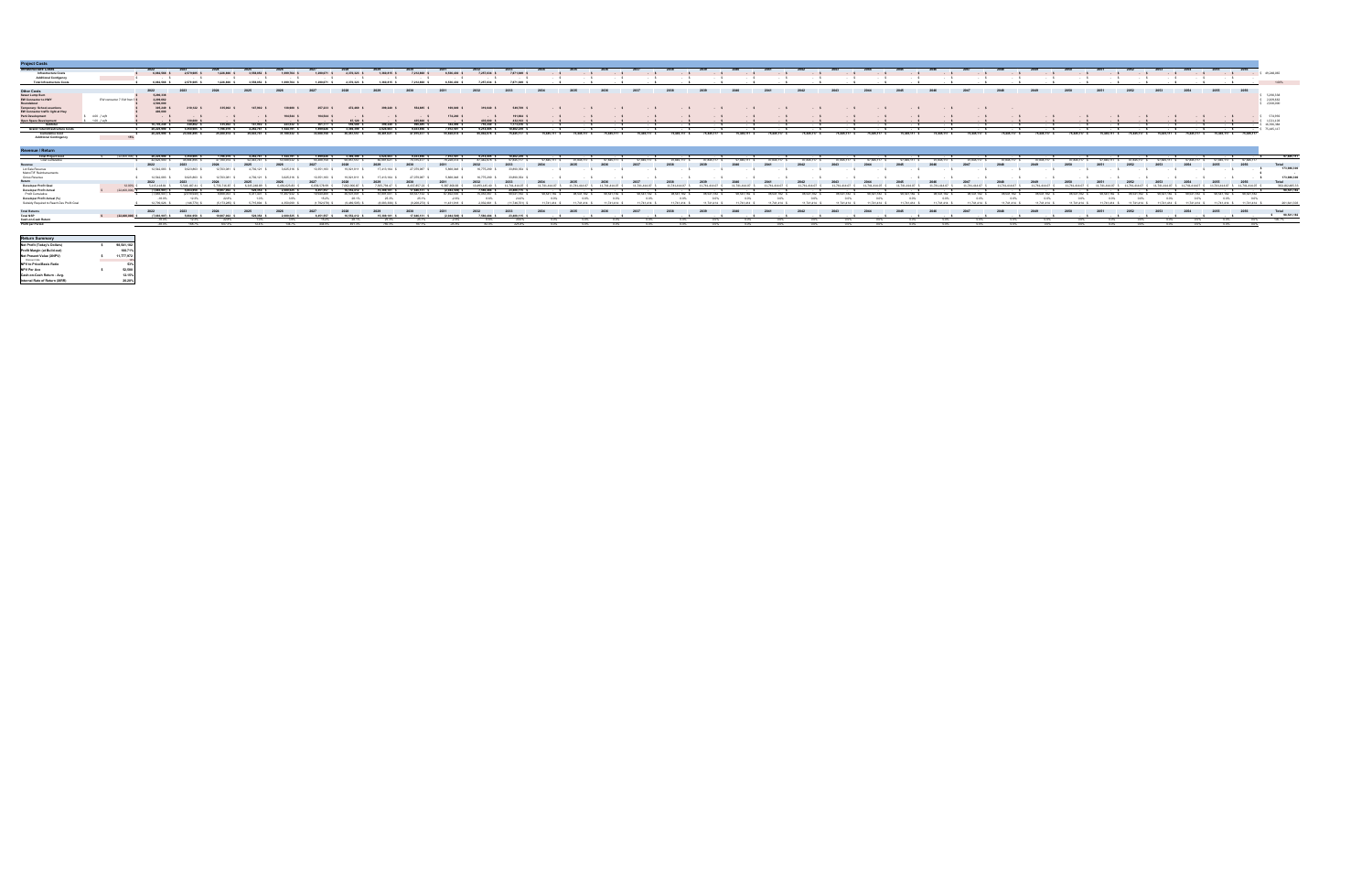| <b>Project Costs<br/>Infrastructure Costs</b>             |                |                              |                      |                 |                |               |              |                |            |              |            |                   |            |            |            |              |               |                             |                             |                             |             |            |            |           |            |             |               |             |                          |             |             |             |               |                                                      |                          |                          |               |
|-----------------------------------------------------------|----------------|------------------------------|----------------------|-----------------|----------------|---------------|--------------|----------------|------------|--------------|------------|-------------------|------------|------------|------------|--------------|---------------|-----------------------------|-----------------------------|-----------------------------|-------------|------------|------------|-----------|------------|-------------|---------------|-------------|--------------------------|-------------|-------------|-------------|---------------|------------------------------------------------------|--------------------------|--------------------------|---------------|
|                                                           |                |                              |                      |                 |                |               |              |                |            |              |            |                   |            |            |            |              |               |                             |                             |                             |             |            |            |           |            |             |               |             |                          |             |             |             |               |                                                      |                          |                          |               |
| <b>Infrastructure Cost</b>                                |                |                              | 6,882,568 \$         |                 |                |               |              |                |            |              |            |                   |            |            |            |              |               |                             |                             |                             |             |            |            |           |            |             |               |             |                          |             |             |             |               |                                                      | $\sim$ $\sim$            | $S = 49.248.065$         |               |
| <b>Additional Contigency</b>                              |                |                              | . . s                |                 |                |               |              |                |            |              |            |                   |            |            |            |              |               |                             |                             |                             |             |            |            |           |            |             |               |             |                          |             |             |             |               |                                                      | $\sim$ $\sim$            | the contract of the con- |               |
| Total Infrastructure Costs                                |                |                              | 6,882,568            | 2.579.985       |                |               |              | 1.290.071      |            |              |            | 6.536.430         |            |            |            |              |               |                             |                             |                             |             |            |            |           |            |             |               |             |                          |             |             |             |               |                                                      |                          | 1.00%                    |               |
|                                                           |                |                              |                      |                 |                |               |              |                |            |              |            |                   |            |            |            |              |               |                             |                             |                             |             |            |            |           |            |             |               |             |                          |             |             |             |               |                                                      |                          |                          |               |
| Other Costs                                               |                |                              | 2022                 |                 |                |               | 2026         | 2027           |            |              |            |                   |            |            |            |              |               |                             |                             |                             |             |            |            |           |            |             |               |             |                          |             |             |             |               | 2054                                                 | 2055                     | 2056                     |               |
| Sewer Lump Sum                                            |                |                              | 5,290,338            |                 |                |               |              |                |            |              |            |                   |            |            |            |              |               |                             |                             |                             |             |            |            |           |            |             |               |             |                          |             |             |             |               |                                                      |                          |                          | 5, 290, 338   |
| EW Connector to HWY                                       |                | EW connector 7.5 M from F \$ | 2,209,662            |                 |                |               |              |                |            |              |            |                   |            |            |            |              |               |                             |                             |                             |             |            |            |           |            |             |               |             |                          |             |             |             |               |                                                      |                          |                          | $5$ 2,209,662 |
| Roundabout                                                |                |                              | 2,500,000            |                 |                |               |              |                |            |              |            |                   |            |            |            |              |               |                             |                             |                             |             |            |            |           |            |             |               |             |                          |             |             |             |               |                                                      |                          |                          | \$ 2,500,000  |
| <b>Temporary: School exactions</b>                        |                |                              | 305,249 \$           | 210.122 \$      | 335,002        | 147,902 \$    | 138,988      | 257.233 \$     | 472,469 \$ | 399.240 S    | 554,885 \$ | 169,849 S         | 319,640 \$ | 549,709 \$ |            | $\cdot$ s    | $\cdot$ s     | $\sim$ $\sim$ $\sim$ $\sim$ | $\sim$ $\sim$ $\sim$ $\sim$ | $\sim$ $\sim$ $\sim$ $\sim$ | $\sim$ s    | $\sim$ s   | $\sim$ s   | $\cdot$ s | $\sim$ s   | $\sim$ s    | $\sim$ s      | $\sim$ s    | <b>Contract Contract</b> |             |             |             |               |                                                      |                          |                          |               |
| EW Connector traffic light at Hwy                         |                |                              | 400,000              |                 |                |               |              |                |            |              |            |                   |            |            |            |              |               |                             |                             |                             |             |            |            |           |            |             |               |             |                          |             |             |             |               |                                                      |                          |                          |               |
| Park Development                                          | \$ 4.00 / sqft |                              | $\sim$ s             |                 |                |               |              |                |            |              |            | 174 240           |            | 191,664 1  |            |              |               |                             |                             |                             |             |            |            |           |            |             |               |             |                          |             |             |             |               |                                                      | .                        | $-5$ 574.992             |               |
| Open Space Development                                    | \$ 1.00 / saft |                              |                      |                 |                |               |              |                |            |              | 435,600    |                   |            | 432.100    |            |              |               |                             |                             |                             |             |            |            |           |            |             |               |             |                          |             |             |             |               |                                                      |                          | $-5$ 1.521.103           |               |
| Subtotal                                                  |                |                              | 10,705,249           |                 |                |               |              |                |            |              |            |                   |            |            |            |              |               |                             |                             |                             |             |            |            |           |            |             |               |             |                          |             |             |             |               |                                                      |                          | 5 16.356.384             |               |
| Grand Total Infrastructure Cost                           |                |                              | 20 225 990           | 3.358.905       |                |               |              |                |            |              |            |                   |            | 10,402.23  |            |              |               |                             |                             |                             |             |            |            |           |            |             |               |             |                          |             |             |             |               |                                                      |                          |                          | \$75,445.117  |
| <b>Cumulative Cost</b>                                    |                |                              | 20,225,990 \$        | 23,584,895 \$   | 25,380,974 \$  | 29 643 741 \$ | 31,188,532   | 33 088 158 \$  | 36 457 557 | 38 481 621 S | 47 915 477 | <b>55 828 074</b> | 65.042.878 | 75,445,117 | 75 445 117 | 75445117 9   | 75 445 117 \$ | 75445117 \$                 | 75445117 \$                 | 75 445 117 \$               | 75445117 \$ | 75 445 117 | 75445117 1 | 75445117  | 75445117   | 75445117 \$ | 75 445 117 \$ | 75445117 \$ | 75445117 \$              | 75445117 \$ | 75445117 \$ | 75445117 \$ | 75 445 117 \$ | 75,445,117 \$ 75,445,117 \$ 75,445,117 \$ 75,445,117 |                          |                          |               |
| <b>Additional Contingency</b>                             |                |                              |                      |                 |                |               |              |                |            |              |            |                   |            |            |            |              |               |                             |                             |                             |             |            |            |           |            |             |               |             |                          |             |             |             |               |                                                      |                          |                          |               |
|                                                           |                |                              |                      |                 |                |               |              |                |            |              |            |                   |            |            |            |              |               |                             |                             |                             |             |            |            |           |            |             |               |             |                          |             |             |             |               |                                                      |                          |                          |               |
|                                                           |                |                              |                      |                 |                |               |              |                |            |              |            |                   |            |            |            |              |               |                             |                             |                             |             |            |            |           |            |             |               |             |                          |             |             |             |               |                                                      |                          |                          |               |
| Revenue / Return<br>Total Project Cost<br>Cost Cumulative |                |                              |                      |                 |                |               |              |                |            |              |            |                   |            |            |            |              |               |                             |                             |                             |             |            |            |           |            |             |               |             |                          |             |             |             |               |                                                      |                          |                          |               |
|                                                           |                | S (22,400,000) S 20,225,990  |                      | 3.358.905 1     | 1.796.079 1    |               | 1 644 701    | 1899 626 1     |            | 2.024.052.1  |            |                   |            | 10 402 239 |            |              |               |                             |                             |                             |             |            |            |           |            |             |               |             |                          |             |             |             |               |                                                      | .                        |                          | 97.845.117    |
|                                                           |                |                              | 42 625 990           |                 |                |               |              |                |            |              |            |                   |            |            |            |              |               |                             | 97 845 117                  | 97 845 117                  | 97 845 117  |            |            |           |            |             |               | 97 845 117  |                          |             |             |             |               | 97.845.117 S                                         | 97.845.117 \$ 97.845.117 |                          |               |
| Revenue<br>Lot Sale Revenue                               |                |                              | 2022                 |                 |                |               |              |                |            |              |            |                   |            |            |            |              |               |                             |                             |                             |             |            |            |           |            |             |               |             |                          |             |             |             |               |                                                      |                          | 2056                     | Total         |
|                                                           |                |                              | 12.542.083           | 9.023.863       | 12.702.001     |               |              | 10.351.183     | 19 921 811 | 17.413.104 0 | 27.079.987 | 5 BRR DAR         | 16 776 790 | 33,890,354 |            |              |               |                             |                             |                             |             |            |            |           |            |             |               |             |                          |             |             |             |               |                                                      |                          |                          | 173,986,300   |
| Metro/TIF Reimbursements                                  |                |                              |                      |                 |                |               |              |                |            |              |            |                   |            |            |            |              |               |                             |                             |                             |             |            |            |           |            |             |               |             |                          |             |             |             |               |                                                      |                          |                          |               |
| Gross Revenue                                             |                |                              |                      |                 |                |               |              |                |            |              |            |                   |            |            |            |              |               |                             |                             |                             |             |            |            |           |            |             |               |             |                          |             |             |             |               |                                                      |                          |                          | 173 986 30    |
| Return                                                    |                |                              |                      |                 |                |               |              |                |            |              |            |                   |            |            |            |              |               |                             |                             |                             |             |            |            |           |            |             |               |             |                          |             |             |             |               |                                                      |                          |                          |               |
| <b>Developer Profit Goal</b>                              |                | 12.00% S                     | 5 115 118 81         |                 |                |               |              |                |            |              |            |                   |            |            |            |              |               |                             |                             |                             |             |            |            |           |            |             |               |             |                          |             |             |             |               |                                                      |                          |                          | 360 182 485 3 |
| <b>Developer Profit Actual</b>                            |                | $(22.400.000)$ \$            | (7.683.907)          |                 |                |               |              |                |            |              |            |                   |            |            |            |              |               |                             |                             |                             |             |            |            |           |            |             |               |             |                          |             |             |             |               |                                                      |                          |                          | 98.541.182    |
| Profit Cumulative                                         |                |                              | $5$ $(7,683,907)$ \$ | $(2.018.949)$ S |                |               |              |                |            |              |            | 67.492.583        |            |            |            |              |               |                             |                             |                             |             |            |            |           |            |             |               |             |                          |             |             |             |               |                                                      | 8.541.182 S 98.541.182   |                          |               |
| Developer Profit Actual (%)                               |                |                              | $-18.0%$             | 12.3%           | 22.8%          |               |              | 15.2%          | 28.1%      |              |            |                   |            |            |            |              |               |                             |                             |                             |             |            |            |           |            |             |               |             |                          |             |             |             |               |                                                      |                          |                          |               |
| Subsidy Required to Reach Dev Profit Goal                 |                |                              | 12,799.026           | (146,770) S     | (5.173.285) \$ | 5.715.894 \$  | 4.350.099 \$ | (1.792.978) \$ | (9.02.98)  |              |            |                   |            |            | 1.741.414  | 11 741 414 1 | 1741 414      | 11741414                    | 11741414                    | 11 741 414                  | 11741414    | 11 741 414 |            | 11741414  | 11 741 414 | 11741414    | 11741414      |             |                          |             |             |             |               | 11741414                                             | 11 741 414 \$            | 11741414 3               | 261.641.30    |
| <b>Total Returns</b>                                      |                |                              |                      |                 |                |               |              |                |            |              |            |                   |            |            |            |              |               |                             |                             |                             |             |            |            |           |            |             |               |             |                          |             |             |             |               |                                                      |                          |                          | Total         |
| <b>Total NSP</b>                                          |                | \$ (22,400,000) \$           | (7,683,907)          | 5 664 958       |                |               |              |                |            | 15,389,101 * | 17 646 131 |                   |            |            |            |              |               |                             |                             |                             |             |            |            |           |            |             |               |             |                          |             |             |             |               |                                                      |                          |                          | 98.541.1      |
| Cash-on-Cash Return                                       |                |                              |                      |                 |                |               |              |                |            |              |            |                   |            |            |            |              |               |                             |                             |                             |             |            |            |           |            |             |               |             |                          |             |             |             |               |                                                      |                          |                          | 100.7%        |
| Profit per Period                                         |                |                              | -38.0%               |                 |                |               |              |                |            |              |            |                   |            |            |            |              |               |                             |                             |                             |             |            |            |           |            |             |               |             |                          |             |             |             |               |                                                      |                          |                          |               |
|                                                           |                |                              |                      |                 |                |               |              |                |            |              |            |                   |            |            |            |              |               |                             |                             |                             |             |            |            |           |            |             |               |             |                          |             |             |             |               |                                                      |                          |                          |               |

| <b>Return Summary</b>                     |                   |
|-------------------------------------------|-------------------|
| Net Profit (Today's Dollars)              | 98.541.182        |
| Profit Margin (at Build-out)              | 100.71%           |
| Net Present Value (XNPV)<br>Discount rate | 11,777,972<br>10% |
| <b>NPV to Price/Basis Ratio</b>           | 53%               |
| <b>NPV Per Ace</b>                        | 52,580            |
| Cash-on-Cash Return - Avg.                | 12.15%            |
| Internal Rate of Return (XIRR)            | 20.20%            |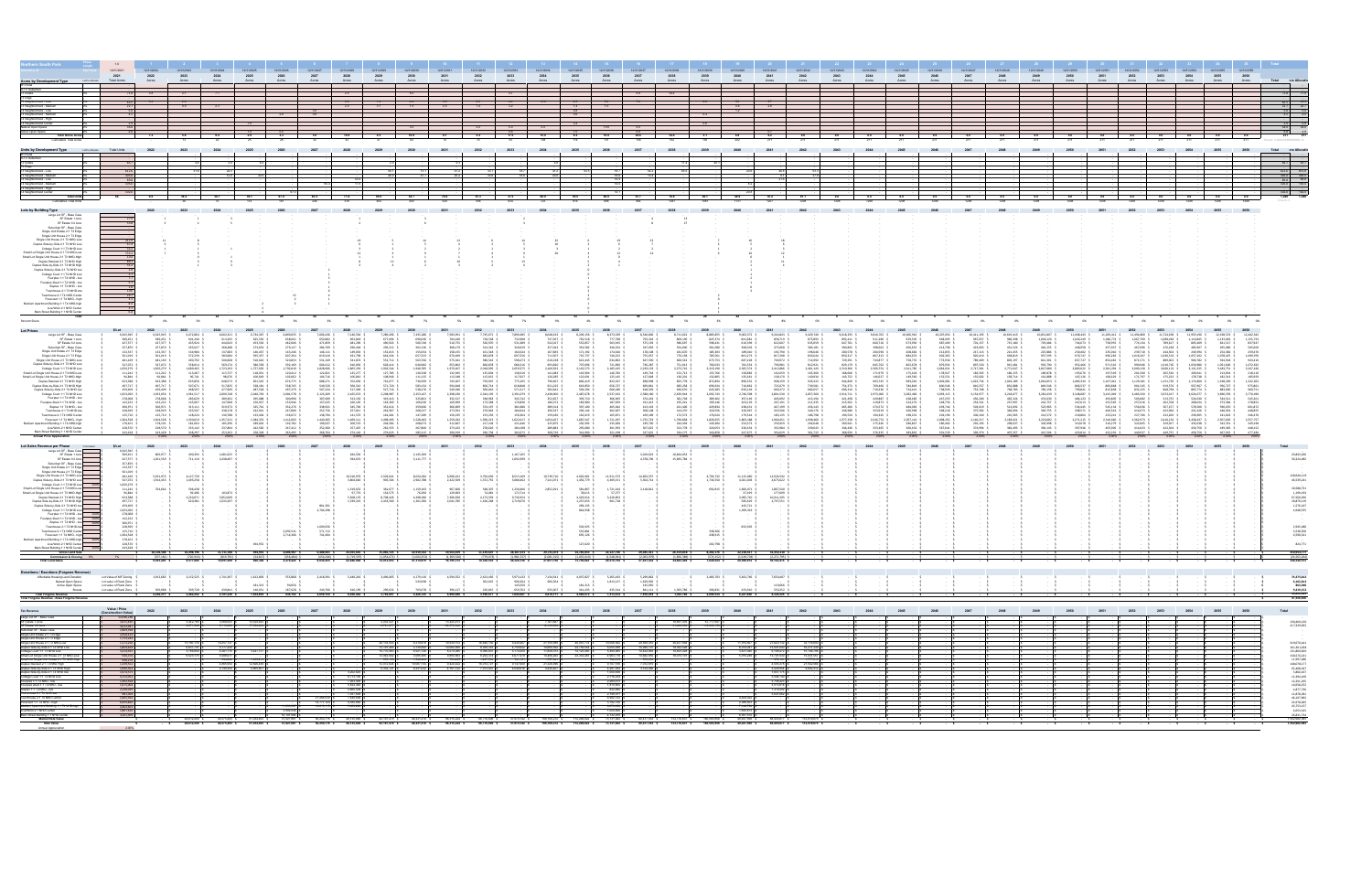| <b>Acres by Development Type</b><br>Neighborhood - Mes<br>4 Neighborhood - Medi<br>4 Neighborhood - High<br>4 Neighborhood Cente<br>Active Open Space<br>Total Gros-<br><b>Units by Development Type</b>                                                                                                                                                                                                                                                                                                                                                                                                                                                                                                                                                                                                                                                                                         | 12/31/2021<br>2021                                                                                                                                                                                                                                                                                                                                                                                                                                                                             | 12/31/2022<br>2022<br>Acres                                                                                                                                                                                                                                                                                                               | 12/31/2023<br>2023                                                                                                                                                                                                                                                                                                                           | 12/31/2024<br>2024                                                                                                                                                                                                                                                                                                                     | 12/31/2025<br>2025                                                                                                                                                                                                                                                                                                                                                                                                                          | 12/31/2026<br>2026                                                                                                                                                                                                                                                                                                                          | 12/31/2027<br>2027                                                                                                                                                                                                                                                                                                                                               | 12/31/2028<br>2028                                                                                                                                                                                                                                                                                                                                                                                                                                       | 12/31/2029<br>2029                                                                                                                                                                                                                                                                                                                                                                                                              | 12/31/2030<br>2030                                                                                                                                                                                                                                                                                                                                                                                      | 12/31/2031<br>2031                                                                                                                                                                                                                                                                                                                                                                      | 12/31/2032<br>2032                                                                                                                                                                                                                                                                                                                                               | 12/31/2033<br>2033                                                                                                                                                                                                                                                                                                                       | 12/31/2034<br>2034                                                                                                                                                                                                                                                                                            | 12/31/2035<br>2035                                                                                                                                                                                                                                                                                                               | 12/31/2036<br>2036                                                                                                                                                                                                                                                                                                                                                                                                                                                                                           | 12/31/2037<br>2037                                                                                                                                                                                                                                                                                                                                                                      | 12/31/2038<br>2038                                                                                                                                                                                                                                                                                                                                                                               | 12/31/2039<br>2039                                                                                                                                                                                                                                                                                                                                                       | 12/31/2040<br>2040                                                                                                                                                                                                                                                                                                                         | 12/31/2041<br>2041                                                                                                                                                                                                                                                                                                                                                                                                                                                                                                                                                       | 12/31/2042<br>2042                                                                                                                                                                                                                                                                                                                    | 12/31/2043<br>2043                                                                                                                                                                                                                                                                                                                    | 12/31/2044<br>2044                                                                                                                                                                                                                                                                              | 12/31/2045<br>2045                                                                                                                                                                                                                                                                                                                  | 12/31/2046<br>2046                                                                                                                                                                                                                                                                                                                               | 12/31/2047<br>2047                                                                                                                                                                                                                                                                                                                                                                                                                                                                     | 12/31/2048<br>2048                                                                                                                                                                                                                                                                                                                            | 12/31/2049<br>2049                                                                                                                                                                                                                                                                                                  | 12/31/2050<br>2050                                                                                                                                                                                                                                                                                                                                 | 12/31/2051<br>2051                                                                                                                                                                                                                                                                                                                                        | 12/31/2052<br>2052                                                                                                                                                                                                                                                                                                                       | 12/31/2053<br>2053                                                                                                                                                                                                                                                                                                                                   | 12/31/2054<br>2054                                                                                                                                                                                                                                                                                                                       | 2055                                                                                                                                                                                                                                                                                                                                             | 2056                                                                                                                                                                                                                                                                                                              |                                                                                                                                                                                                                                                                                              |
|--------------------------------------------------------------------------------------------------------------------------------------------------------------------------------------------------------------------------------------------------------------------------------------------------------------------------------------------------------------------------------------------------------------------------------------------------------------------------------------------------------------------------------------------------------------------------------------------------------------------------------------------------------------------------------------------------------------------------------------------------------------------------------------------------------------------------------------------------------------------------------------------------|------------------------------------------------------------------------------------------------------------------------------------------------------------------------------------------------------------------------------------------------------------------------------------------------------------------------------------------------------------------------------------------------------------------------------------------------------------------------------------------------|-------------------------------------------------------------------------------------------------------------------------------------------------------------------------------------------------------------------------------------------------------------------------------------------------------------------------------------------|----------------------------------------------------------------------------------------------------------------------------------------------------------------------------------------------------------------------------------------------------------------------------------------------------------------------------------------------|----------------------------------------------------------------------------------------------------------------------------------------------------------------------------------------------------------------------------------------------------------------------------------------------------------------------------------------|---------------------------------------------------------------------------------------------------------------------------------------------------------------------------------------------------------------------------------------------------------------------------------------------------------------------------------------------------------------------------------------------------------------------------------------------|---------------------------------------------------------------------------------------------------------------------------------------------------------------------------------------------------------------------------------------------------------------------------------------------------------------------------------------------|------------------------------------------------------------------------------------------------------------------------------------------------------------------------------------------------------------------------------------------------------------------------------------------------------------------------------------------------------------------|----------------------------------------------------------------------------------------------------------------------------------------------------------------------------------------------------------------------------------------------------------------------------------------------------------------------------------------------------------------------------------------------------------------------------------------------------------|---------------------------------------------------------------------------------------------------------------------------------------------------------------------------------------------------------------------------------------------------------------------------------------------------------------------------------------------------------------------------------------------------------------------------------|---------------------------------------------------------------------------------------------------------------------------------------------------------------------------------------------------------------------------------------------------------------------------------------------------------------------------------------------------------------------------------------------------------|-----------------------------------------------------------------------------------------------------------------------------------------------------------------------------------------------------------------------------------------------------------------------------------------------------------------------------------------------------------------------------------------|------------------------------------------------------------------------------------------------------------------------------------------------------------------------------------------------------------------------------------------------------------------------------------------------------------------------------------------------------------------|------------------------------------------------------------------------------------------------------------------------------------------------------------------------------------------------------------------------------------------------------------------------------------------------------------------------------------------|---------------------------------------------------------------------------------------------------------------------------------------------------------------------------------------------------------------------------------------------------------------------------------------------------------------|----------------------------------------------------------------------------------------------------------------------------------------------------------------------------------------------------------------------------------------------------------------------------------------------------------------------------------|--------------------------------------------------------------------------------------------------------------------------------------------------------------------------------------------------------------------------------------------------------------------------------------------------------------------------------------------------------------------------------------------------------------------------------------------------------------------------------------------------------------|-----------------------------------------------------------------------------------------------------------------------------------------------------------------------------------------------------------------------------------------------------------------------------------------------------------------------------------------------------------------------------------------|--------------------------------------------------------------------------------------------------------------------------------------------------------------------------------------------------------------------------------------------------------------------------------------------------------------------------------------------------------------------------------------------------|--------------------------------------------------------------------------------------------------------------------------------------------------------------------------------------------------------------------------------------------------------------------------------------------------------------------------------------------------------------------------|--------------------------------------------------------------------------------------------------------------------------------------------------------------------------------------------------------------------------------------------------------------------------------------------------------------------------------------------|--------------------------------------------------------------------------------------------------------------------------------------------------------------------------------------------------------------------------------------------------------------------------------------------------------------------------------------------------------------------------------------------------------------------------------------------------------------------------------------------------------------------------------------------------------------------------|---------------------------------------------------------------------------------------------------------------------------------------------------------------------------------------------------------------------------------------------------------------------------------------------------------------------------------------|---------------------------------------------------------------------------------------------------------------------------------------------------------------------------------------------------------------------------------------------------------------------------------------------------------------------------------------|-------------------------------------------------------------------------------------------------------------------------------------------------------------------------------------------------------------------------------------------------------------------------------------------------|-------------------------------------------------------------------------------------------------------------------------------------------------------------------------------------------------------------------------------------------------------------------------------------------------------------------------------------|--------------------------------------------------------------------------------------------------------------------------------------------------------------------------------------------------------------------------------------------------------------------------------------------------------------------------------------------------|----------------------------------------------------------------------------------------------------------------------------------------------------------------------------------------------------------------------------------------------------------------------------------------------------------------------------------------------------------------------------------------------------------------------------------------------------------------------------------------|-----------------------------------------------------------------------------------------------------------------------------------------------------------------------------------------------------------------------------------------------------------------------------------------------------------------------------------------------|---------------------------------------------------------------------------------------------------------------------------------------------------------------------------------------------------------------------------------------------------------------------------------------------------------------------|----------------------------------------------------------------------------------------------------------------------------------------------------------------------------------------------------------------------------------------------------------------------------------------------------------------------------------------------------|-----------------------------------------------------------------------------------------------------------------------------------------------------------------------------------------------------------------------------------------------------------------------------------------------------------------------------------------------------------|------------------------------------------------------------------------------------------------------------------------------------------------------------------------------------------------------------------------------------------------------------------------------------------------------------------------------------------|------------------------------------------------------------------------------------------------------------------------------------------------------------------------------------------------------------------------------------------------------------------------------------------------------------------------------------------------------|------------------------------------------------------------------------------------------------------------------------------------------------------------------------------------------------------------------------------------------------------------------------------------------------------------------------------------------|--------------------------------------------------------------------------------------------------------------------------------------------------------------------------------------------------------------------------------------------------------------------------------------------------------------------------------------------------|-------------------------------------------------------------------------------------------------------------------------------------------------------------------------------------------------------------------------------------------------------------------------------------------------------------------|----------------------------------------------------------------------------------------------------------------------------------------------------------------------------------------------------------------------------------------------------------------------------------------------|
| 3 Neighborhood<br>T3 Neighborhood - Medium<br>4 Neighborhood - Low                                                                                                                                                                                                                                                                                                                                                                                                                                                                                                                                                                                                                                                                                                                                                                                                                               |                                                                                                                                                                                                                                                                                                                                                                                                                                                                                                |                                                                                                                                                                                                                                                                                                                                           |                                                                                                                                                                                                                                                                                                                                              |                                                                                                                                                                                                                                                                                                                                        |                                                                                                                                                                                                                                                                                                                                                                                                                                             |                                                                                                                                                                                                                                                                                                                                             |                                                                                                                                                                                                                                                                                                                                                                  |                                                                                                                                                                                                                                                                                                                                                                                                                                                          |                                                                                                                                                                                                                                                                                                                                                                                                                                 |                                                                                                                                                                                                                                                                                                                                                                                                         |                                                                                                                                                                                                                                                                                                                                                                                         |                                                                                                                                                                                                                                                                                                                                                                  |                                                                                                                                                                                                                                                                                                                                          |                                                                                                                                                                                                                                                                                                               |                                                                                                                                                                                                                                                                                                                                  |                                                                                                                                                                                                                                                                                                                                                                                                                                                                                                              |                                                                                                                                                                                                                                                                                                                                                                                         |                                                                                                                                                                                                                                                                                                                                                                                                  |                                                                                                                                                                                                                                                                                                                                                                          |                                                                                                                                                                                                                                                                                                                                            |                                                                                                                                                                                                                                                                                                                                                                                                                                                                                                                                                                          |                                                                                                                                                                                                                                                                                                                                       |                                                                                                                                                                                                                                                                                                                                       |                                                                                                                                                                                                                                                                                                 |                                                                                                                                                                                                                                                                                                                                     |                                                                                                                                                                                                                                                                                                                                                  |                                                                                                                                                                                                                                                                                                                                                                                                                                                                                        |                                                                                                                                                                                                                                                                                                                                               |                                                                                                                                                                                                                                                                                                                     |                                                                                                                                                                                                                                                                                                                                                    |                                                                                                                                                                                                                                                                                                                                                           |                                                                                                                                                                                                                                                                                                                                          |                                                                                                                                                                                                                                                                                                                                                      |                                                                                                                                                                                                                                                                                                                                          |                                                                                                                                                                                                                                                                                                                                                  |                                                                                                                                                                                                                                                                                                                   |                                                                                                                                                                                                                                                                                              |
| Neighborhood Cent<br><b>Lots by Building Type</b><br>Large Lot SF - Base Case<br>SF Estate 1 Acre<br>SF Estate 1/2 Acre<br>Suburban SF - Base Case<br>Single Unit Estate 2:1 T3 Edge<br>Single Unit House 2:1 T3 Edge<br>Single Unit House 2:1 T3 NHD-Low<br>Duplex Side-by-Side 2:1 T3 NHD Low<br>Cottage Court 1:1 T3 NHD Low<br>Small Lot Single Unit House 2:1 T3 NHD-Low<br>Small Lot Single Unit House 2.1 T3 NHD-High<br>Duplex Stacked 2:1 T3 NHD High<br>Duplex Side-by-Side 2:1 T3 NHD High<br>Duplex Side-by-Side 2:1 T4 NHD low<br>Cottage Court 1:1 T4 NHD Low<br>Fourplex 1:1 T4 NHD - low<br>Fourplex 2bed 1:1 T4 NHD - low<br>Steplex 1:1 T4 NHD - low<br>Townhouse 2:1 T4 NHD-low<br>Townhouse 2:1 T4 NHD Center<br>Forecourt 1:1 T4 NHD - high<br>Medium Apartment Building 1:1 T4 NHD-high<br>Live/Work 2:1 NHD Center<br>Main Street Building 1:1 NHD Cente<br>Percent Share |                                                                                                                                                                                                                                                                                                                                                                                                                                                                                                | 2022<br>4%                                                                                                                                                                                                                                                                                                                                | 2023<br>3%                                                                                                                                                                                                                                                                                                                                   | 3%                                                                                                                                                                                                                                                                                                                                     | 1%                                                                                                                                                                                                                                                                                                                                                                                                                                          | 3%                                                                                                                                                                                                                                                                                                                                          | 3%                                                                                                                                                                                                                                                                                                                                                               | 7%                                                                                                                                                                                                                                                                                                                                                                                                                                                       | 4%                                                                                                                                                                                                                                                                                                                                                                                                                              |                                                                                                                                                                                                                                                                                                                                                                                                         |                                                                                                                                                                                                                                                                                                                                                                                         | 3%                                                                                                                                                                                                                                                                                                                                                               |                                                                                                                                                                                                                                                                                                                                          | 9%                                                                                                                                                                                                                                                                                                            |                                                                                                                                                                                                                                                                                                                                  |                                                                                                                                                                                                                                                                                                                                                                                                                                                                                                              | 8%                                                                                                                                                                                                                                                                                                                                                                                      | 5%                                                                                                                                                                                                                                                                                                                                                                                               | 3%                                                                                                                                                                                                                                                                                                                                                                       | 6%                                                                                                                                                                                                                                                                                                                                         |                                                                                                                                                                                                                                                                                                                                                                                                                                                                                                                                                                          |                                                                                                                                                                                                                                                                                                                                       | <b>Q%</b>                                                                                                                                                                                                                                                                                                                             | 0%                                                                                                                                                                                                                                                                                              | 0%                                                                                                                                                                                                                                                                                                                                  | 0%                                                                                                                                                                                                                                                                                                                                               | $O\%$                                                                                                                                                                                                                                                                                                                                                                                                                                                                                  | 0%                                                                                                                                                                                                                                                                                                                                            | 0%                                                                                                                                                                                                                                                                                                                  |                                                                                                                                                                                                                                                                                                                                                    | O96                                                                                                                                                                                                                                                                                                                                                       | 0%                                                                                                                                                                                                                                                                                                                                       | 0%                                                                                                                                                                                                                                                                                                                                                   |                                                                                                                                                                                                                                                                                                                                          |                                                                                                                                                                                                                                                                                                                                                  |                                                                                                                                                                                                                                                                                                                   |                                                                                                                                                                                                                                                                                              |
| <b>Lot Prices</b><br>Large Lot SF - Base Case<br>SF Estate 1 Acre<br>SF Estate 1/2 Acre<br>Suburban SF - Base Case<br>Single Unit Estate 2:1 T3 Edge<br>Single Unit House 2:1 T3 Edge<br>Single Unit House 2:1 T3 NHD-Los<br>Duplex Side-by-Side 2:1 T3 NHD Low<br>Cottage Court 1:1 T3 NHD Los<br>Small Lot Single Unit House 2:1 T3 NHD-Low<br>Small Lot Single Unit House 2:1 T3 NHD-High<br>Duplex Stacked 2:1 T3 NHD High<br>Duplex Side-by-Side 2:1 T3 NHD High<br>Duplex Side-by-Side 2:1 T4 NHD los<br>Cottage Court 1:1 T4 NHD Low<br>Fourplex 1:1 T4 NHD - low<br>Fourplex 2bed 1:1 T4 NHD - low<br>Steplex 1:1 T4 NHD - Iow<br>Townhouse 2:1 T4 NHD-low<br>Townhouse 2:1 T4 NHD Center<br>Forecourt 1:1 T4 NHD - high<br>Medium Apartment Building 1:1 T4 NHD-high<br>Live/Work 2:1 NHD Center<br>Main Street Building 1:1 NHD Center<br>Annual Price Appreciation                    | \$/Lot<br>6,345,945 \$<br>589,451 \$<br>$427,377$ \$<br>257,870 \$<br>132,337 \$<br>561,019 \$<br>$481,169$ \$<br>547,072 \$<br>$1,656,279$ \$<br>111,242 \$<br>94,844 \$<br>623,388 \$<br>497,717 \$<br>459,409 \$<br>1,923,056 \$<br>$\begin{array}{ccc} 278,068 & \text{\bf $5$} \\ 142,222 & \text{\bf $5$} \end{array}$<br>306,971 \$<br>228,929 \$<br>125,710 S<br>$1,304,528$ \$<br>$178,101$ \$<br>228,570 \$                                                                          | 2022<br>6,345,945 \$<br>589,451 \$<br>427,377 \$<br>257,870 \$<br>132,337 \$<br>561,019 \$<br>481,169 \$<br>547,072 \$<br>$1,656,279$ \$<br>111,242 \$<br>94,844 \$<br>623,388 \$<br>497,717 S<br>459,409 S<br>1,923,056<br>278,068 S<br>142,222 \$<br>306.971 S<br>228,929 \$<br>125,710 S<br>$1,304,528$ \$<br>178,101 \$<br>228,570 \$ | 2023<br>6,472,864 \$<br>601,240 \$<br>435,924<br>263,027 \$<br>134,984 \$<br>572,239 \$<br>490,792 \$<br>558,014 \$<br>1,689,405 \$<br>113,467 \$<br>96,741 \$<br>635,856 \$<br>$507,671$ \$<br>468.597 S<br>1,961,517 \$<br>283.629 S<br>145,067 \$<br>313,111 \$<br>233,507 \$<br>128,224 \$<br>1,330,619 \$<br>$181,663$ \$<br>233,142 \$ | 2024<br>6,602,321 \$<br>613,265 \$<br>444,643<br>268,288 \$<br>137,683 \$<br>583,684 \$<br>500,608 :<br>569,174 \$<br>$1,723,193$ \$<br>115.737 S<br>98,676 \$<br>648.573 S<br>517,825 \$<br>477,969 S<br>2,000,748 \$<br>289.302 S<br>147,968 \$<br>319.373 S<br>238,178 \$<br>130,788 \$<br>1,357,231 \$<br>185,296 \$<br>237,804 \$ | 2025<br>6,734,367 \$<br>625,530 \$<br>453,536 \$<br>273,654 \$<br>140,437 \$<br>595,357 \$<br>510,620 \$<br>580,558 \$<br>$1,757,656$ \$<br>118,051 \$<br>100,649 \$<br>661,545 \$<br>528,181 \$<br>487,528 \$<br>2,040,763 \$<br>295,088 \$<br>150,927 \$<br>$\begin{array}{ccc} 325,761 & \text{\bf \large{\textbf{S}}} \\ 242,941 & \text{\bf \large{\textbf{S}}} \end{array}$<br>133,404 \$<br>1,384,376 \$<br>189,002 \$<br>242,560 \$ | 2026<br>6,869,055 \$<br>638,041 \$<br>462,606<br>279,127 \$<br>143,246 \$<br>607,264 \$<br>520,833 \$<br>592,169 \$<br>1,792,810 \$<br>120,412 \$<br>102,662 \$<br>674,775 S<br>538,745 \$<br>497,279 \$<br>2,081,578 \$<br>300,990 \$<br>153,946 \$<br>332,276 \$<br>247,800 \$<br>136.072 S<br>$1,412,063$ \$<br>192,782 \$<br>247,412 \$ | 2027<br>7,006,436 \$<br>650,802 \$<br>471,859 9<br>284,709 \$<br>146,111<br>619,410 \$<br>531,249<br>604,012 \$<br>$1,828,666$ \$<br>122,821 \$<br>104,716 \$<br>688,271 9<br>549,520<br>507,224 \$<br>2,123,209<br>307,009 \$<br>157,025<br>338,921 \$<br>252,756<br>138,794 9<br>1,440,305 \$<br>196,637 \$<br>252,360 \$                                      | 2028<br>7,146,564<br>663,818 \$<br>481,296 \$<br>290,404 \$<br>149,033 \$<br>631,798 \$<br>541,874 \$<br>616,092<br>1,865,239 \$<br>$\begin{array}{ccc} 125,277 & \text{\$} \\ 106,810 & \text{\$} \end{array}$<br>702,036 \$<br>560,510 \$<br>$517,369$ \$<br>2,165,674 \$<br>$\begin{array}{ccc} 313,150 & \text{\bf 5} \\ 160,165 & \text{\bf 5} \end{array}$<br>345,700 \$<br>257,811 \$<br>141,570 \$<br>$1,469,111$ \$<br>200,570 \$<br>257,407 \$ | 2029<br>7,289,496 \$<br>677,094 \$<br>490,922 \$<br>296,212 \$<br>$152,013$ \$<br>644,434 \$<br>552,712 \$<br>628,414 \$<br>1,902,544 \$<br>127,783 \$<br>$108,946 \t$ 5716,077 \t$ 5571,720 \t$$<br>$\begin{array}{r} 527,716 \> \ 5 \\ 2,208,987 \> \ 5 \end{array}$<br>$\begin{array}{r} 319,413 \> \ 5 \\ 163,369 \> \ 5 \end{array}$<br>352,614 \$<br>262,967 \$<br>144,401 \$<br>1,498,493 \$<br>204,582 \$<br>262,555 \$ | 2030<br>7,435,286 \$<br>690,636 \$<br>500,740 \$<br>302,136 \$<br>$155,054$ \$<br>657,323 \$<br>563,766 \$<br>640,982 \$<br>1,940,595 \$<br>130,338 \$<br>111,125 \$<br>730,399 \$<br>583,154 \$<br>538,270 \$<br>2,253,167 \$<br>$\begin{array}{ccc} 325,801 & \text{\$5$} \\ 166,636 & \text{\$5$} \end{array}$<br>359,666 \$<br>268,227 \$<br>147,289 \$<br>1,528,463 \$<br>208,673 \$<br>267,806 \$ | 2031<br>7,583,991 \$<br>510,755 \$<br>308,179 \$<br>158,155 \$<br>670,469 \$<br>575,041 \$<br>653,802 \$<br>1,979,407 S<br>$\begin{array}{r} 132,945 \quad \  \  \, 5 \\ 113,348 \quad \  \  5 \end{array}$<br>745,007 \$<br>594,818 \$<br>549,036 \$<br>2,298,230 \$<br>332,317 \$<br>169,969 \$<br>366,859 \$<br>273,591 \$<br>150,235 \$<br>1,559,032 \$<br>212,847 \$<br>273,162 \$ | 2032<br>7,735,671 \$<br>718,538 \$<br>520,970<br>314,342 \$<br>$161,318$ \$<br>683,878 \$<br>586,542 \$<br>666,878 \$<br>2,018,995 \$<br>135,604 \$<br>115,615 \$<br>759,907 S<br>606,714 \$<br>560,016 S<br>2,344,195 \$<br>338,963 \$<br>173,368 \$<br>374.197 S<br>279,063 \$<br>153,239 S<br>1,590,213 \$<br>217,104 \$<br>278,626 \$                        | 2033<br>7,890,385 \$<br>732,908 \$<br>531,389<br>320,629 \$<br>164,544<br>697,556 \$<br>598,273 \$<br>680,216 \$<br>2,059,375 \$<br>138,316 \$<br>117,927 \$<br>775.105 S<br>618,848 \$<br>571.217 S<br>2,391,079 \$<br>345,742 \$<br>176,836 \$<br>381,680 \$<br>284,644 \$<br>156,304 \$<br>$1,622,017$ \$<br>221,446 \$<br>284,198 \$ | 2034<br>8,048,192 \$<br>747,567<br>542.01<br>327,042 \$<br>167,835<br>711,507 \$<br>610,238<br>693,820 \$<br>2,100,562 \$<br>141.082 S<br>120,285 \$<br>790,607 S<br>631,225 \$<br>582.641 S<br>2,438,900 \$<br>352.657 S<br>180,372 \$<br>389,314 S<br>290,337 S<br>159,430 \$<br>1,654,457 \$<br>225,875 \$ | 2035<br>8,209,156 \$<br>762,518 \$<br>552,857<br>333,582 \$<br>171,192 \$<br>725,737 \$<br>622,443 \$<br>707,696 \$<br>2,142,573 \$<br>143,904 9<br>122,691<br>806.419 9<br>643,850<br>594.294 9<br>2,487,678 \$<br>359.710 S<br>183,980 \$<br>397,100 \$<br>296,144 \$<br>162.619 S<br>1,687,547 \$<br>230,392 \$<br>295,680 \$ | 2036<br>8,373,339 \$<br>777,768 \$<br>563,915<br>340,254 \$<br>174,616 \$<br>740,252 \$<br>634,892<br>721,850 :<br>2,185,425 \$<br>146,782 :<br>125,145 \$<br>822.547<br>656,727 \$<br>606,180 S<br>2,537,432 \$<br>366,905<br>187,659 \$<br>405.042 S<br>302,067<br>165.871 S<br>1,721,297 \$<br>235,000 \$<br>301,593 \$                                                                                                                                                                                   | 2037<br>8,540,806 \$<br>575,193<br>347,059<br>$178,108$ 9<br>755,057<br>647,590<br>736,287<br>2,229,133 \$<br>838,998 9<br>669,861<br>618,303<br>2,588,180 \$<br>$374,243$ \$<br>191,413 \$<br>413,143 \$<br>308,108<br>169,189 \$<br>1,755,723 \$<br>239,700 \$<br>307,625 \$                                                                                                          | 2038<br>8,711,622 \$<br>809,190 \$<br>586,697<br>354,000 \$<br>$181,670$ \$<br>770,158 \$<br>660,542<br>751,013 \$<br>2,273,716 \$<br>152,712 \$<br>130,201 \$<br>855,778 \$<br>683,258 \$<br>630,670 \$<br>2,639,944 \$<br>$\begin{matrix} 381,728 & \text{\bf 5}\\ 195,241 & \text{\bf 5} \end{matrix}$<br>$421,406$ \$<br>314,270 \$<br>172.573 S<br>1,790,838 \$<br>244,494 \$<br>313,778 \$ | 2039<br>8,885,855<br>825,374<br>$\begin{array}{cc} 598,431 & \text{\bf 5} \\ 361,080 & \text{\bf 5} \end{array}$<br>185,303 \$<br>785,561<br>673,753<br>766,033<br>2,319,190 \$<br>155,766<br>132,805 \$<br>872,894<br>696,924 \$<br>643,283<br>2,692,743 \$<br>389,362<br>199,146 \$<br>429,834<br>320,556 \$<br>176,024 \$<br>1,826,655 \$<br>249,384 \$<br>320,053 \$ | 2040<br>9,063,572 \$<br>841,881 \$<br>610,399<br>368,302 \$<br>189,010 \$<br>801,273 \$<br>687,228 \$<br>781,354 \$<br>2,365,574 \$<br>158,882 \$<br>135,461 \$<br>890,352 \$<br>710,862 \$<br>656,149 S<br>2,746,598 \$<br>397.149 S<br>203,129 \$<br>438,431 \$<br>326,967 \$<br>179,544 S<br>$1,863,188$ \$<br>254,372 \$<br>326,454 \$ | 2041<br>9,244,843<br>858,719 \$<br>622,607<br>375,668 \$<br>192,790 \$<br>817,298 \$<br>700,972<br>796,981 \$<br>2,412,886 \$<br>162,059 S<br>138,170<br>908.159 S<br>725,079 \$<br>669.272 S<br>2,801,530 \$<br>405.092 S<br>207,191 \$<br>447.199 S<br>333,506 \$<br>183,135 \$<br>1,900,451 \$<br>259,459 \$<br>332,984 \$                                                                                                                                                                                                                                            | 2042<br>9,429,740 \$<br>875,893 \$<br>635,059<br>383,181 \$<br>196,646 \$<br>833,644 \$<br>714,992<br>812,921 \$<br>2,461,143 \$<br>165,300 S<br>140,934 \$<br>926,322 \$<br>739,581 \$<br>682.657 S<br>2,857,560 \$<br>413,194 \$<br>211,335 \$<br>456.143 S<br>340,176 \$<br>186,798 \$<br>1,938,460 \$<br>264,648 \$<br>339,643 \$ | 2043<br>9,618,335 \$<br>893,411 \$<br>647,761<br>390,845 \$<br>200,578 \$<br>850,317 \$<br>729,291 :<br>829,179 \$<br>2,510,366 \$<br>168,606 S<br>143,752 \$<br>944.849 S<br>754,373 \$<br>696,310 \$<br>2,914,711 S<br>421,458 S<br>215,562 \$<br>465.266 S<br>346,980 \$<br>190,534 \$<br>1,977,230 \$<br>269,941 \$<br>346,436 \$ | 2044<br>9,810,702 \$<br>911,280<br>660,716<br>398,662<br>204,590<br>867,323 \$<br>845,763 \$<br>,560,574<br>171,979<br>146,627<br>963,745 S<br>769,460 :<br>710.236 S<br>2,973,006 \$<br>429.887 S<br>219,873<br>474.572<br>353,919 \$<br>194,345 S<br>2,016,774 \$<br>275,340 \$<br>353,365 \$ | 2045<br>$10,006,916$ \$<br>929,505<br>673,930<br>406,635<br>208,682 \$<br>884,670 \$<br>758,755 \$<br>862,678 \$<br>$2,611,785$ \$<br>175,418 \$<br>149,560 \$<br>983,020 \$<br>784,849 \$<br>724.441<br>3,032,466<br>438,485 \$<br>224,270 \$<br>484,063<br>360,998 \$<br>198,232 \$<br>$2,057,110$ \$<br>280,847 \$<br>360,432 \$ | 2046<br>10,207,054 \$<br>948,095 \$<br>687,409<br>414,768 \$<br>212,855 \$<br>902,363 \$<br>773,930 \$<br>879,932 \$<br>$2,664,021$ \$<br>178,927 \$<br>152,551 \$<br>1,002,681 \$<br>800,546 \$<br>738,930 S<br>$3,093,115$ \$<br>447,255 \$<br>228,756 \$<br>493,744 \$<br>368,218 \$<br>202.196 S<br>2,098,252 \$<br>286,464 \$<br>367,641 \$ | 2047<br>$10,411,195$ \$<br>967,057 \$<br>701,157 \$<br>423,063 \$<br>$217,113$ \$<br>920,410 \$<br>789,409 \$<br>897,530 \$<br>$2,717,301$ \$<br>$\begin{array}{ccc} 182,505 & \text{\bf \texttt{S}}\\ 155,602 & \text{\bf \texttt{S}}\\ \end{array}$<br>$1,022,734$ \$<br>816,557 \$<br>753,708 \$<br>3,154,977 \$<br>456,200 \$<br>233,331 \$<br>$\begin{array}{ccc} 503,619 & \text{S} \\ 375,582 & \text{S} \end{array}$<br>206,240 \$<br>2,140,217 \$<br>292,193 \$<br>374,994 \$ | 2048<br>10,619,419 \$<br>986,398<br>715,180<br>431,524<br>221,455 \$<br>938,819 \$<br>805,197<br>915,481<br>$2,771,647$ 3<br>$\begin{array}{r} 186,155 \> \S \\ 158,714 \> \S \end{array}$<br>1,043,189<br>832,888<br>768,783<br>3,218,077<br>465,324<br>237,997<br>513,692<br>383,094<br>210,365<br>2,183,021 \$<br>298,037 \$<br>382,493 \$ | 2049<br>10,831,807 \$<br>1,006,126 \$<br>729,484<br>440,155 \$<br>225,884 \$<br>957,595 \$<br>821,301<br>933,790 9<br>2,827,080 S<br>189,878 \$<br>161,888 \$<br>1,064,053 \$<br>784.158 S<br>3,282,439 \$<br>474,630<br>242,757 \$<br>523.965<br>390,755 \$<br>214.572<br>2,226,682 \$<br>303,998 \$<br>390,143 \$ | 2050<br>$11,048,443$ \$<br>1,026,249 \$<br>744,073 \$<br>448,958 \$<br>230,402 \$<br>976,747 \$<br>837,727 9<br>952,466 \$<br>2,883,622 \$<br>193,676 \$<br>165,126 \$<br>1,085,334 \$<br>866,537 \$<br>799.841 9<br>3,348,087 \$<br>484,123 \$<br>247,613<br>534,445 \$<br>398,571 \$<br>218,864 \$<br>2,271,215 \$<br>$310,078$ \$<br>397,946 \$ | 2051<br>$11,269,412 \S$<br>1,046,774 \$<br>758,955<br>457,937 \$<br>235,010 \$<br>996,282 \$<br>$854,481$ :<br>971,516 \$<br>$2,941,294$ \$<br>197,549 \$<br>168,429 \$<br>1,107,041 \$<br>883,868 \$<br>815,838 \$<br>3,415,049 \$<br>493,805 \$<br>252,565 \$<br>545,134 \$<br>406,542 \$<br>$223,241$ \$<br>2,316,640 \$<br>$316,279$ \$<br>405,905 \$ | 2052<br>$11,494,800$ 3<br>1,067,709<br>774,134<br>467,096 \$<br>239,710 \$<br>1,016,207 \$<br>871,571 9<br>990,946<br>3,000,120 \$<br>201,500 \$<br>171,797<br>1,129,181 \$<br>901,545<br>832.155 9<br>3,483,350<br>503,682 9<br>257,616 \$<br>556,036 9<br>414,673<br>227,706 \$<br>2,362,973 \$<br>322,605 \$<br>414,023 \$<br>140,937 | 2053<br>11,724,696 \$<br>1,089,063 \$<br>789,617<br>476,438 \$<br>244,504 \$<br>1,036,532 \$<br>889,002 \$<br>1,010,765 \$<br>3,060,122 \$<br>205,530 \$<br>175,233 \$<br>1.151.765 S<br>919,576 \$<br>848,798 \$<br>3,553,017 \$<br>513,755 S<br>262,768 \$<br>567,157 \$<br>422,966 \$<br>232,260 \$<br>2,410,232 \$<br>$329,057$ \$<br>422,304 \$ | 2054<br>1,110,845 \$<br>805,409 \$<br>485,967 \$<br>249,394 \$<br>1,057,262 \$<br>906,782 \$<br>1,030,980 \$<br>3,121,325 \$<br>209,641 \$<br>178,738 \$<br>1,174,800 \$<br>937,967 \$<br>865,774 \$<br>3,624,077 \$<br>524,030 \$<br>268,024 \$<br>$578,500$ \$<br>431,426 \$<br>236,905 \$<br>2,458,437 \$<br>335,638 \$<br>430,750 \$ | 2055<br>12,198,374 \$<br>1,133,062 \$<br>821,517<br>495,686 \$<br>254,382 \$<br>1,078,407 \$<br>924,918<br>1,051,600 \$<br>3,183,751 \$<br>213,834 \$<br>182,313 \$<br>1,198,296 \$<br>956,727 \$<br>883,090 \$<br>3,696,559 \$<br>534,511 \$<br>273,384 \$<br>590,070 \$<br>440,054 \$<br>241.643 S<br>2,507,605 \$<br>342,351 \$<br>439,365 \$ | 2056<br>$\begin{array}{c} 12,442,342 \\ 1,155,723 \end{array}$<br>837,947<br>505,600<br>259,470<br>1,099,976<br>943,416<br>1,072,632<br>3,247,426<br>218,110<br>185,959<br>1,222,262<br>975,861<br>900,751<br>3,770,490<br>545,201<br>278,852<br>601,872<br>448,855<br>246,476<br>2,557,757<br>349,198<br>448,152 |                                                                                                                                                                                                                                                                                              |
| Lot Sales Revenue per Phase<br>Large Lot SF - Base Case<br>SF Estate 1/2 Acre<br>Suburban SF - Base Case<br>Single Unit Estate 2:1 T3 Edge<br>Single Unit House 2:1 T3 Edge<br>Single Unit House 2:1 T3 NHD-Low<br>Duplex Side-by-Side 2:1 T3 NHD Low<br>Cottage Court 1:1 T3 NHD Low<br>Small Lot Single Unit House 2:1 T3 NHD-Low<br>Small Lot Single Unit House 2:1 T3 NHD-High<br>Duplex Stacked 2:1 T3 NHD High<br>Duplex Side-by-Side 2:1 T3 NHD High<br>Duplex Side-by-Side 2:1 T4 NHD low<br>Cottage Court 1:1 T4 NHD Low<br>Fourplex 1:1 T4 NHD - low<br>Fourplex 2bed 1:1 T4 NHD - low<br>Sixplex 1:1 T4 NHD - low<br>Townhouse 2:1 T4 NHD-low<br>Townhouse 2:1 T4 NHD Center<br>Forecourt 1:1 T4 NHD - high<br>Medium Apartment Building 1:1 T4 NHD-high<br>Live/Work 2:1 NHD Center<br>fain Street Building 1:1 NHD Cente<br>Gross Land Sale<br><b>Commission &amp; Closing</b>      | 6,345,945<br>589,451 \$<br>427,377 \$<br>257,870 \$<br>132,337<br>561,019 \$<br>$481,169$ \$<br>547,072 \$<br>1,656,279<br>111,242 \$<br>94,844<br>623,388 \$<br>497,717 9<br>459,409 9<br>1,923,056<br>$\begin{array}{cc} 278,068 & \text{\bf $S$} \\ 142,222 & \text{\bf $S$} \end{array}$<br>306,971 \$<br>228,929 \$<br>125,710 9<br>$1,304,528$ \$<br>178,101 \$<br>228,570 \$<br>243,428 \$                                                                                              | 869,977 \$<br>1,261,539 \$<br>5,291,973 \$<br>1,914,433 \$<br>764,664 \$<br>10,102,586 \$<br>$(107, 181)$ > 9.395.405 \$                                                                                                                                                                                                                  | 490,392 \$<br>711,110 S<br>4,127,739 \$<br>1,493,258 \$<br>596,438 \$<br>39,406 \$<br>2.220.071 S<br>620,381 \$<br>10,298,796 \$<br>$9,577,880$ \$                                                                                                                                                                                           | 1,681,625<br>2,438,497<br>103,873<br>5.852,009 S<br>1,635,297<br>11,711,300 \$<br>$(819,791)$ 5                                                                                                                                                                                                                                        | 494,952<br>494,952 \$<br>$\frac{(34,647)}{460,306}$ \$                                                                                                                                                                                                                                                                                                                                                                                      | 2.092.541<br>2,714,366 \$<br>4,806,907 \$<br>$(33b, 484)$ 5<br>4,470,424 \$                                                                                                                                                                                                                                                                 | 861.391<br>2,704,298<br>1,609,656<br>571,712<br>741,604<br>6,488,661 \$24,565,665 \$                                                                                                                                                                                                                                                                             | 644,563 \$<br>934,670 \$<br>10.516.979<br>3,804,640 \$<br>1,519,652<br>97,770 \$<br>5.508.176 S<br>1,539,216<br>$(454,205)$ $(1,719,597)$ 5<br>6,034,455 \$ 22,846,068 \$                                                                                                                                                                                                                                                                                | 2,503,041<br>905,504 \$<br>361,677 \$<br>154,575 \$<br>8,708,426 S<br>2,433,500<br>15,066,723 \$22,919,332 \$                                                                                                                                                                                                                                                                                                                   | 2,145,929 \$<br>3,111,777 9<br>8,024,034<br>2,902,788 \$<br>1,159,433 \$<br>76,290 \$<br>4,298,030 S<br>1,201,050 \$                                                                                                                                                                                                                                                                                    | 6,696,421<br>2,422,509 \$<br>967,600 \$<br>129,693 \$<br>7.306.650 S<br>2,041,785 \$<br>19,564,659 \$                                                                                                                                                                                                                                                                                   | 3,794,639 \$<br>1,372,755 \$<br>548,307 \$<br>74,081<br>4.173.559 S<br>$1,166,268$ \$<br>11,129,607 \$28,307,673 \$<br>(1,054,671) \$       (1,604,353) \$       (1,369,526) \$         (779,073) \$       (1,981,537) \$       (2,081,315) \$<br>14,012,053 \$       21,314,979 \$       18,195,133 \$     10,350,535 \$      26,326,136 \$       27,651,758 \$ | 1,167,105 \$<br>1,692,399 \$<br>8,515,169 \$<br>3,080,462 \$<br>1,230,400 \$<br>172,714 S<br>9.730.354 S<br>2,719,070                                                                                                                                                                                                                    | 19,739,710<br>7,141,071 \$<br>2,852,291 \$<br>29,733,073 \$                                                                                                                                                                                                                                                   | 4,026,901<br>1,456,779 \$<br>581,867 \$<br>78,615<br>4.429.014 9<br>1,237,653<br>269.135<br>844,938<br>502,925<br>535.881<br>695,126 \$<br>127,020                                                                                                                                                                               | 11.911.573<br>4,309,151 \$<br>1,721,164 \$<br>57,277<br>3.226.853<br>901,718 :<br>14,785,853 \$22,127,736 \$<br>$(1,0.85,0.10)$ 5 $(1,548,941)$ 5 $(2,0.85,979)$ 5<br>13,750,843 \$ 20,578,794 \$ 27,421,432 \$                                                                                                                                                                                                                                                                                              | 3,019,623 \$<br>4,378,706 \$<br>14,663,557<br>5,304,714 \$<br>2,118,812<br>29,485,411 \$                                                                                                                                                                                                                                                                                                | 10,824,053 \$<br>15,695,784<br>26,519,838 \$<br>$\frac{14,636,367}{24,663,449}$ \$                                                                                                                                                                                                                                                                                                               | 4.794.732<br>1,734,550<br>692,815<br>338,366<br>438,915<br>202,798<br>8,202,176 \$<br>$\frac{(5/4,15\angle)}{7,628,024}$ \$                                                                                                                                                                                                                                              | 4,021,003 \$<br>1,606,071 \$<br>37,199 :<br>2.095.710 S<br>585,629<br>445.721<br>1,399,319<br>832,905 \$<br>22,138,617 \$<br>$20,588,914$ \$                                                                                                                                                                                               | 4,675,622<br>1,867,540<br>177,699<br>10.011.205<br>2,797,551<br>32,454,210<br>30.182.415                                                                                                                                                                                                                                                                                                                                                                                                                                                                                 |                                                                                                                                                                                                                                                                                                                                       |                                                                                                                                                                                                                                                                                                                                       |                                                                                                                                                                                                                                                                                                 |                                                                                                                                                                                                                                                                                                                                     |                                                                                                                                                                                                                                                                                                                                                  |                                                                                                                                                                                                                                                                                                                                                                                                                                                                                        |                                                                                                                                                                                                                                                                                                                                               |                                                                                                                                                                                                                                                                                                                     |                                                                                                                                                                                                                                                                                                                                                    |                                                                                                                                                                                                                                                                                                                                                           |                                                                                                                                                                                                                                                                                                                                          |                                                                                                                                                                                                                                                                                                                                                      |                                                                                                                                                                                                                                                                                                                                          |                                                                                                                                                                                                                                                                                                                                                  |                                                                                                                                                                                                                                                                                                                   | 20,843,26<br>30,224,482<br>128.646.119<br>46,539,241<br>18,588,731<br>1,199,193<br>67,560,056<br>18,879,119<br>1,576,247<br>4,948,555<br>2,945,486<br>3.538.500<br>4,590,011<br>824,771<br>350,903,777<br>$(24, 563, 264)$<br>326, 340, 513                                                  |
| Donations / Exactions (Forgone Revenue)<br>Affordable Housing Land Donation<br>Natural Open Space<br>Active Open Space<br>Total Forgone Revenue<br>Total Forgone Revenue<br>Total Forgone Revenue<br>Total Forgone Revenue - Base Forgone Revenue                                                                                                                                                                                                                                                                                                                                                                                                                                                                                                                                                                                                                                                | Lot Value of MF Zoning \$<br>Lot value of Rural Zone<br>Lot value of Rural Zone<br>Lot value of Rural Zone                                                                                                                                                                                                                                                                                                                                                                                     | 1,912,683 \$                                                                                                                                                                                                                                                                                                                              | 2,152,525 \$<br>$\begin{array}{cc} . & S \\ . & S \end{array}$<br>$\begin{array}{cccccccccccc} 369,688 & 5 & 309,728 & 5 & 439,841 & 5 & 140,651 & 5 & 187,628 & 5 \\ 2,282,371 & 5 & 2,462,252 & 5 & 2,181,238 & 5 & 1,834,856 & 5 & 834,152 & 5 \end{array}$                                                                               | $1,741,397 \quad \  \  \, \text{S} \qquad \qquad \  \  \, 1,612,892 \quad \  \  \, \text{S}$<br>$\begin{array}{cc} . & . & . \\ . & . & . \end{array}$                                                                                                                                                                                 | $\cdot$ s<br>181,313 \$                                                                                                                                                                                                                                                                                                                                                                                                                     | 555,868 \$<br>$-5$<br>90,656 \$                                                                                                                                                                                                                                                                                                             | 2,418,391 \$<br>$\frac{1}{2}$<br>2,659,150 \$ 6,056,442 \$ 3,792,697 \$ 5,426,725 \$                                                                                                                                                                                                                                                                             | 5,440,243 \$<br>$\frac{1}{2}$<br>616.199                                                                                                                                                                                                                                                                                                                                                                                                                 | 3,496,065 \$<br>$\sim$ $\sim$ $\sim$                                                                                                                                                                                                                                                                                                                                                                                            | 4,179,110 \$<br>543,938 \$<br>703,678                                                                                                                                                                                                                                                                                                                                                                   | 4,594,552 \$<br>$\frac{1}{2}$<br>4,990,680 \$                                                                                                                                                                                                                                                                                                                                           | 2,613,436 \$<br>$362,625$ \$<br>220,815 \$659,762 \$<br>3,196,877 \$7,684,507 \$                                                                                                                                                                                                                                                                                 | 5,973,132 \$<br>906,564 \$<br>145,050 \$                                                                                                                                                                                                                                                                                                 | 7,134,541 \$<br>$906,564$ \$                                                                                                                                                                                                                                                                                  | 4,037,827 \$<br>$5$<br>181,313 $5$                                                                                                                                                                                                                                                                                               | 5,265,433 \$<br>$1,813,127 \quad \  \, \text{S} \\ \qquad \qquad \, \text{S}$<br>$\begin{array}{ccccccccc} & 635,007 & \text{\textit{S}} & & 341,433 & \text{\textit{S}} & & 435,314 & \text{\textit{S}} \\ & & 8,676,111 & \text{\textit{S}} & & 4,660,572 & \text{\textit{S}} & & 7,513,874 & \text{\textit{S}} \end{array}$                                                                                                                                                                               | 5,299,862 \$<br>1,629,995 \$<br>145,050 \$<br>$\begin{array}{cccccccccccccccc} 841,111 & \text{S} & \text{1,393,786} & \text{S} & \text{206,831} & \text{S} & \text{433,910} & \text{S} & \text{550,252} & \text{S} \\ \text{7,916,018} & \text{5} & \text{1,393,786} & \text{5} & \text{2,690,534} & \text{5} & \text{6,247,656} & \text{5} & \text{8,320,325} & \text{5} \end{array}$ |                                                                                                                                                                                                                                                                                                                                                                                                  | 2,483,703 \$                                                                                                                                                                                                                                                                                                                                                             | 5,813,746 \$<br>$\cdot$ $\cdot$                                                                                                                                                                                                                                                                                                            | 7,650,407 \$<br>119,666 \$                                                                                                                                                                                                                                                                                                                                                                                                                                                                                                                                               |                                                                                                                                                                                                                                                                                                                                       |                                                                                                                                                                                                                                                                                                                                       |                                                                                                                                                                                                                                                                                                 |                                                                                                                                                                                                                                                                                                                                     |                                                                                                                                                                                                                                                                                                                                                  |                                                                                                                                                                                                                                                                                                                                                                                                                                                                                        |                                                                                                                                                                                                                                                                                                                                               |                                                                                                                                                                                                                                                                                                                     |                                                                                                                                                                                                                                                                                                                                                    |                                                                                                                                                                                                                                                                                                                                                           |                                                                                                                                                                                                                                                                                                                                          |                                                                                                                                                                                                                                                                                                                                                      |                                                                                                                                                                                                                                                                                                                                          |                                                                                                                                                                                                                                                                                                                                                  |                                                                                                                                                                                                                                                                                                                   | 74,375,812<br>6,162,812<br>863,048<br>9,419,152<br>90.820.825<br>87,350,836                                                                                                                                                                                                                  |
| Tax Revenue<br>Large Lot SF - Base Case<br>SF Estate 1 Acre                                                                                                                                                                                                                                                                                                                                                                                                                                                                                                                                                                                                                                                                                                                                                                                                                                      | Value / Price<br>$(Construction Value)$<br>$$ 12,046,289$<br>3,615,430<br>3,012,947<br>2,809,938<br>$\begin{array}{cccc}\n & 5 & 2,410,123 \\  & 5 & 1,733,244 \\  & 6 & 1,333,244\n\end{array}$                                                                                                                                                                                                                                                                                               |                                                                                                                                                                                                                                                                                                                                           | 2022 2023 2024 2025<br>$5,442,769$ \$<br>9,071,549 \$<br>$\cdot$ $\cdot$                                                                                                                                                                                                                                                                     | 3,068,003 \$<br>5,113,489 \$                                                                                                                                                                                                                                                                                                           | $-$ 5<br>10,520,620 \$<br>17.534.884                                                                                                                                                                                                                                                                                                                                                                                                        | 2026                                                                                                                                                                                                                                                                                                                                        | 2027 2028                                                                                                                                                                                                                                                                                                                                                        |                                                                                                                                                                                                                                                                                                                                                                                                                                                          | 2029 2030<br>$4,032,527$ \$<br>6,721,077 \$                                                                                                                                                                                                                                                                                                                                                                                     |                                                                                                                                                                                                                                                                                                                                                                                                         | 2031 12:00<br>$13,425,413$ \$<br>22,376,348                                                                                                                                                                                                                                                                                                                                             | 2032 2033 2034 2035 2036                                                                                                                                                                                                                                                                                                                                         |                                                                                                                                                                                                                                                                                                                                          | 7,301,667 \$<br>12,169,804 \$                                                                                                                                                                                                                                                                                 |                                                                                                                                                                                                                                                                                                                                  |                                                                                                                                                                                                                                                                                                                                                                                                                                                                                                              | 2037                                                                                                                                                                                                                                                                                                                                                                                    | 2038<br>18,891,435 \$<br>31,486,654 \$                                                                                                                                                                                                                                                                                                                                                           | 2039 204<br>67,717,697 \$<br>112,866,159 \$                                                                                                                                                                                                                                                                                                                              | 2040                                                                                                                                                                                                                                                                                                                                       | 2041 - 2041                                                                                                                                                                                                                                                                                                                                                                                                                                                                                                                                                              | 2042                                                                                                                                                                                                                                                                                                                                  | 2043                                                                                                                                                                                                                                                                                                                                  | 2044                                                                                                                                                                                                                                                                                            | 2045                                                                                                                                                                                                                                                                                                                                | 2046                                                                                                                                                                                                                                                                                                                                             | 2047                                                                                                                                                                                                                                                                                                                                                                                                                                                                                   | 2048                                                                                                                                                                                                                                                                                                                                          | 2049                                                                                                                                                                                                                                                                                                                | 2050                                                                                                                                                                                                                                                                                                                                               | 2051                                                                                                                                                                                                                                                                                                                                                      | 2052                                                                                                                                                                                                                                                                                                                                     | 2053                                                                                                                                                                                                                                                                                                                                                 | 2054                                                                                                                                                                                                                                                                                                                                     | 2055                                                                                                                                                                                                                                                                                                                                             | 2056                                                                                                                                                                                                                                                                                                              | Total<br>130,400,130<br>217,339,965                                                                                                                                                                                                                                                          |
| SF Estate 1 Acre<br>SF Estate 1 Acre<br>Single Unit Estate Case<br>Single Unit Estate 2 1 13 Estat<br>Single Unit Estate 2 1 13 Estat<br>Single Unit House 2 1 13 NHD Low<br>Data Group Court 1 1 13 NHD Low<br>Small Lot Single Unit House 2 1 13<br>$\sim$ $\sim$ $\sim$<br>Duplex Side-by-Side 2:1 T4 NHD low<br>Cotage Court 1:1 T4 NHD Low<br>Complex Carrier Transfer Device<br>Foughlex 2bed 1:1 TA NHD - Low<br>Foughlex 2bed 1:1 TA NHD - Low<br>Shoplex 1:1 TA NHD - Low<br>Townhouse 2:1 TA NHD - Low<br>Mosium Aparthern Bluiding 1:1 TA NHD-high<br>Medium Aparthern Bluiding 1:1 TA N<br>Live/Work 2:1 NHD Center<br>Main Street Building 1:1 NHD Center<br><b>Market Rate Value</b><br>$\frac{1}{2}$<br>New Value<br>Annual Appreciation                                                                                                                                          | 930,276<br>$\begin{array}{r} 1,339,552 \\ 1,690,563 \\ 1,674,575 \end{array}$<br>1,392,558<br>$\begin{array}{r rrrr} &\text{\bf 5} &\text{\bf 3,97}_{2,2,2,3}\\ \hline &\text{\bf 5} &\text{\bf 1,97}_{2,0004}\\ \hline &\text{\bf 5} &\text{\bf 2,73}_{0099}\\ \hline &\text{\bf 5} &\text{\bf 5,93}_{2,0004}\\ \hline &\text{\bf 6} &\text{\bf 6,959}_{2,004}\\ \hline &\text{\bf 7} &\text{\bf 6,959}_{2,000}\\ \hline &\text{\bf 8,96}_{2,0004}\\ \hline &\text{\bf 1,864}_{2,00$<br>2.00% |                                                                                                                                                                                                                                                                                                                                           | 6,637,731 \$<br>3,786,859 \$<br>6,523,175 \$<br>44,612,259 \$<br>44,612,259 \$                                                                                                                                                                                                                                                               | 5,177,430 \$<br>4,261,715 \$<br>5,088,077 \$<br>394,246 \$<br>4.865.954<br>7149354<br>$\sim$ $\sim$ $\sim$ $\sim$ $\sim$<br>40,375,405 \$<br>40,375,405 \$                                                                                                                                                                             | 12.826.436<br>5 665 601 5<br>51,034,493 \$                                                                                                                                                                                                                                                                                                                                                                                                  | 31,927,887 \$<br>31,927,887 \$                                                                                                                                                                                                                                                                                                              | $\begin{array}{c c c c} & -\frac{3.5}{4.773,196} & 9 & -\frac{1}{2.773,196} & 9 & -\frac{1}{2.733,1966} & \frac{1}{2.733,1966} & \frac{1}{2.733,1966} & \frac{1}{2.733,1966} & \frac{1}{2.733,1966} & \frac{1}{2.733,1966} & \frac{1}{2.733,1966} & \frac{1}{2.733,1966} & \frac{1}{2.733,1966} & \frac{1}{2.733$<br>56,250,778 \$48,135,646 \$<br>56,250,778 \$ | 3.202625<br>6.773.195<br><u>— 1</u><br>48,135,646 \$                                                                                                                                                                                                                                                                                                                                                                                                     | 26,133,943<br>13,191,465 \$<br>10,770,963 \$<br>12,963,802 \$<br>978,156 \$<br>12,072,824 \$<br>92,197,479 \$                                                                                                                                                                                                                                                                                                                   | $\begin{array}{r@{\quad}l} 3,139,569 & \text{\textbf{\textit{S}}} \\ \hline 6,921,748 & \text{\textbf{\textit{S}}} \\ 3,085,385 & \text{\textbf{\textit{S}}} \\ 1,546,464 & \text{\textbf{\textit{S}}} \\ \hline 19,087,134 & \text{\textbf{\textit{S}}} \\ 8,431,032 & \text{\textbf{\textit{S}}} \end{array}$<br>48,431,210 \$                                                                        | $\begin{array}{r l}\n\hline\n10,064,660 & 5 \\ \hline\n8,274,085 & 5 \\ \hline\n9,890,863 & 5 \\ \hline\n763,255 & 5\n\end{array}$<br>$9,420,424$ \$<br>4.161.122 \$<br>98,315,224 \$                                                                                                                                                                                                   | 8,399,333 \$4,759)<br>9,096,607 \$5,174,<br>8,254,374 \$4,677,<br>1,297,533 \$741,<br>16.014.721<br>7072007<br>66,776,606 \$                                                                                                                                                                                                                                     | $\begin{array}{r cc} & 4,759,622 & 5 \\ \hline & 5,174,259 & 5 \\ \hline & 4,677,479 & 5 \\ \hline & 741,151 & 5 \\ \hline \end{array}$<br>$9,147,609$ \$<br>4.040.616 \$<br>37,970,142 \$                                                                                                                                               | $\begin{array}{r} \text{S} \\ 21,159,589 \text{ } \text{S} \\ 10,680,592 \text{ } \text{S} \\ 11,826,013 \text{ } \text{S} \\ 11,826,013 \text{ } \text{S} \\ 10,496,262 \text{ } \text{S} \\ 1,727,941 \text{ } \text{S} \\ 21,326,996 \text{ } \text{S} \end{array}$<br>9.430.407<br>106,109,272 \$         | 24,332,2<br>112,269,022 \$                                                                                                                                                                                                                                                                                                       | 10,006,562<br>$\begin{array}{r rrrr} 1.74 & 8 & 1.050, 949 & 8 \\ 5 & 5 & 5,050, 949 & 8 \\ 450 & 8 & 5,490, 965 & 8 \\ 245 & 8 & 4,963, 778 & 8 \\ - & 8 & 786, 515 & 8 \\ - & 8 & 9,707,516 & 8 \\ \end{array}$<br>4 287 934 5<br>1,000,636<br>2116234<br>2,269,413<br>1,819,805<br>832,845<br>2,198,911 \$<br>6,982,723 \$<br>3,782,756 \$<br>6,676,656 \$<br>$\begin{array}{r l} 1,024,606 & \textbf{S} \\ \hline 4,132,259 & \textbf{S} \\ \hline 73,131,062 & \textbf{S} \end{array}$<br>73,131,062 \$ | 29,599.4<br>$\begin{array}{r@{\quad}l} 14,940,707 & \text{\$5} \\ 10,424,863 & \text{\$5} \\ 14,682,855 & \text{\$5} \\ 573,033 & \text{\$5} \\ 7,072,619 & \text{\$5} \end{array}$<br>2124000000<br>80,417,553 \$                                                                                                                                                                      | $\begin{array}{r} \n 36,437,894 \quad 5 \\  \hline\n 18,392,526 \quad 5 \\  \hline\n 10,493,028 \quad 5 \\  \hline\n 18,075,101 \quad 5\n \end{array}$<br>133,776,637 \$                                                                                                                                                                                                                         | 180,583,856 \$<br>180,583,856 \$                                                                                                                                                                                                                                                                                                                                         | $\begin{array}{r l}\n2,388,503 & S \\ \hline\n7,146,792 & S \\ \hline\n1,635,873 & S \\ \hline\n6,597,512 & S\n\end{array}$<br>49,447,598 \$<br>49,447,598                                                                                                                                                                                 | $\begin{array}{ c c c c } \hline . & . & . & . & . & . & . \\ \hline . & . & . & . & . & . & . & . \\ \hline . & . & . & . & . & . & . & . & . \\ \hline . & . & . & . & . & . & . & . \\ \hline . & . & . & . & . & . & . \\ \hline . & . & . & . & . & . & . \\ \hline . & . & . & . & . & . \\ \hline . & . & . & . & . & . \\ \hline . & . & . & . & . & . \\ \hline . & . & . & . & . & . \\ \hline . & . & . & . & . \\ \hline . & . & . & . & . \\ \hline . & . & . &$<br>4.593.378<br>20200000<br>657 175 5<br>3.504.740<br>3,758,423<br>3,641,662<br>88,400,877 | $\begin{array}{r l} 16,211,339 & 8 \\ \hline 15,146,796 & 8 \\ 15,931,567 & 8 \\ \hline 1777.815 & 8 \end{array}$<br>21,942,566<br>9602212<br>112,819,075                                                                                                                                                                             |                                                                                                                                                                                                                                                                                                                                       |                                                                                                                                                                                                                                                                                                 |                                                                                                                                                                                                                                                                                                                                     |                                                                                                                                                                                                                                                                                                                                                  |                                                                                                                                                                                                                                                                                                                                                                                                                                                                                        |                                                                                                                                                                                                                                                                                                                                               |                                                                                                                                                                                                                                                                                                                     |                                                                                                                                                                                                                                                                                                                                                    |                                                                                                                                                                                                                                                                                                                                                           |                                                                                                                                                                                                                                                                                                                                          | $\sim$                                                                                                                                                                                                                                                                                                                                               |                                                                                                                                                                                                                                                                                                                                          |                                                                                                                                                                                                                                                                                                                                                  |                                                                                                                                                                                                                                                                                                                   | 319,676,441<br>161.361.058<br>131,860,600<br>158.576.231<br>11,997,486<br>148.078.177<br>65,408,027<br>5,860,437<br>12,394,169<br>13,291,295<br>10,658,072<br>4,877,730<br>12,878,381<br>46,107,892<br>24,978,065<br>43,753,157<br>6,653,015<br>26,831,754<br>1,552,982,083<br>1,552,982,083 |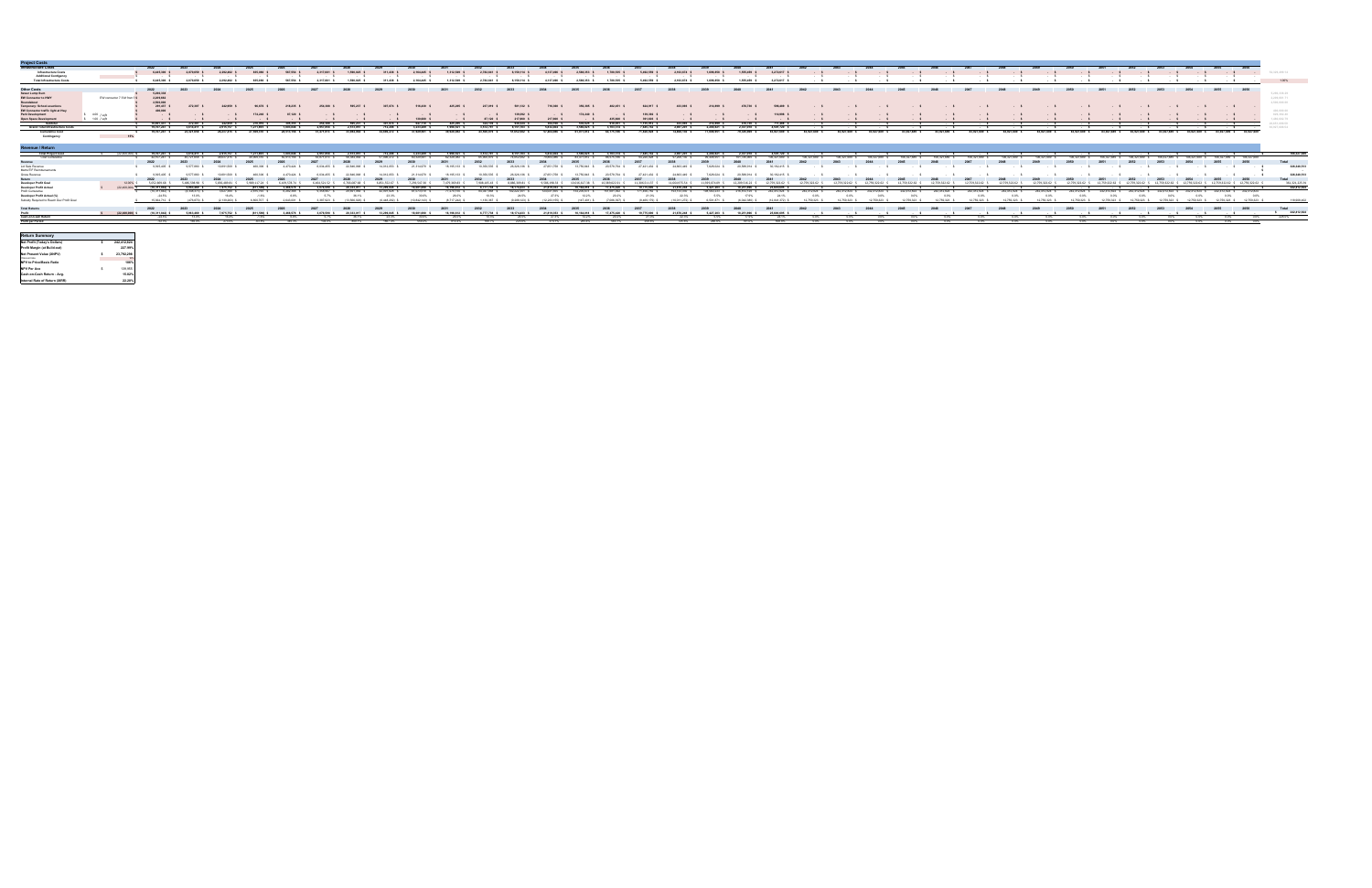| <b>Project Costs</b>                      |                              |                                 |               |                             |               |              |               |                 |               |                 |               |              |                |                |              |                |               |                |              |               |              |              |            |            |                   |               |              |              |            |              |              |               |               |                           |                               |                                   |               |
|-------------------------------------------|------------------------------|---------------------------------|---------------|-----------------------------|---------------|--------------|---------------|-----------------|---------------|-----------------|---------------|--------------|----------------|----------------|--------------|----------------|---------------|----------------|--------------|---------------|--------------|--------------|------------|------------|-------------------|---------------|--------------|--------------|------------|--------------|--------------|---------------|---------------|---------------------------|-------------------------------|-----------------------------------|---------------|
| <b>Infrastructure Costs</b>               |                              |                                 |               |                             |               |              |               |                 |               |                 |               |              |                |                |              |                |               |                |              |               |              |              |            |            |                   |               |              |              |            |              |              |               |               |                           |                               |                                   |               |
| <b>Infrastructure Costs</b>               |                              | 6,445,300 \$                    |               | 2.292.482                   | 835,080 S     | 567.554 \$   |               |                 |               |                 |               | 2,782.641    | 6,150,114      |                | 2.588.353    | 1,780,535      |               |                |              | 1.555.459 9   |              |              |            |            |                   |               |              |              |            |              |              |               |               |                           |                               | <b>Contract Contract Contract</b> | 52.329.499.14 |
| <b>Additional Contigency</b>              |                              | $\sim$ $s$                      | $\sim$ $s$    | $\sim$ $\sim$ $\sim$ $\sim$ | $\sim$ $s$    | $\sim$ s     | $\sim$ $s$    | .               | $\sim$ s      | $\sim$ s        | $\sim$ s      | $\sim$ s     | .              | .              | . . s        | $\sim$ s       | .             | $\sim$ s       | $\sim$ s     | $\sim$ s      |              |              |            |            |                   |               |              |              |            |              |              |               | $\sim$ $\sim$ | $\sim$ s                  | $\sim$ s                      | $\sim$                            |               |
| Total Infrastructure Costs                |                              | 6,445,300 \$                    | 2,870,659 \$  | 2.292.482 \$                | 835,080 \$    | 567,554 \$   | 2.317.661 \$  | 1,590,025 \$    | 311 438 \$    | 2.164.445 \$    | 1.312.549     | 2,782.641 \$ | 6.150.114 S    | 4.137.496 \$   | 2 588 353 \$ | 1780 535 \$    | 5 492 559 \$  | 2.163.674 \$   | 1 698 858    | 1 555 459 \$  | 3 272 617    |              |            |            |                   |               |              |              |            |              |              |               | $\sim$ $\sim$ | $\sim$ $\sim$             |                               | the contract of the con-          | 1.00%         |
|                                           |                              |                                 |               |                             |               |              |               |                 |               |                 |               |              |                |                |              |                |               |                |              |               |              |              |            |            |                   |               |              |              |            |              |              |               |               |                           |                               |                                   |               |
| Other Costs                               |                              |                                 |               |                             |               |              |               |                 |               |                 |               |              |                |                |              |                |               |                |              |               |              |              |            |            |                   |               |              |              |            |              |              |               |               |                           |                               | 2056                              |               |
| Sewer Lump Sum                            |                              | 5.290.338                       |               |                             |               |              |               |                 |               |                 |               |              |                |                |              |                |               |                |              |               |              |              |            |            |                   |               |              |              |            |              |              |               |               |                           |                               |                                   | 5.290.338.29  |
| EW Connector to HWY                       | EW connector 7.5 M from F \$ | 2,209,662                       |               |                             |               |              |               |                 |               |                 |               |              |                |                |              |                |               |                |              |               |              |              |            |            |                   |               |              |              |            |              |              |               |               |                           |                               |                                   | 2,209,661.71  |
| Roundabout<br>Temporary: School exactions |                              | 2,500,000                       |               |                             |               |              |               |                 |               |                 |               |              |                |                |              |                |               |                |              |               |              |              |            |            |                   |               |              |              |            |              |              |               |               |                           |                               |                                   | 2,500,000.00  |
|                                           |                              | 291,437 \$                      | 272.307 \$    | 242,959                     | 96.676        |              |               |                 |               |                 |               |              |                |                | 356,385      | 482 451        | 624 917       | 433.893        | 214,899      | 476,730 \$    | 596,489 \$   |              |            |            |                   |               |              |              |            |              |              | $\sim$ $\sim$ |               |                           |                               |                                   |               |
| EW Connector traffic light at Hwy         |                              | 400,000                         |               |                             |               |              |               |                 |               |                 |               |              |                |                |              |                |               |                |              |               |              |              |            |            |                   |               |              |              |            |              |              |               |               |                           |                               |                                   | 400,000.00    |
| Park Development                          | $4.00$ / snft                | $\cdot$ s                       |               |                             | 174,240       |              |               |                 |               |                 |               |              | 139.392        |                | 174 240      |                | 139 392       |                |              |               | 114,998      |              |            |            |                   |               |              |              |            |              |              |               |               |                           | $\cdot$ s                     |                                   | 829.382.40    |
| Open Space Development<br>Subtotel        | \$ 1.00 / cnft               |                                 |               |                             |               |              |               |                 |               | 130.68          |               |              |                |                |              |                |               |                |              |               |              |              |            |            |                   |               |              |              |            |              |              |               |               | $\sim$                    | $\sim$ $\sim$ $\sim$          |                                   | 1,480,602.79  |
|                                           |                              | 10 691 437 \$                   |               |                             |               | 205.251      |               |                 | 307 874 1     |                 |               | 324 139 \$   |                | 934 160        |              |                |               | 433 893        | 214.89       | 476 730 \$    | 711,488      |              |            |            |                   |               |              |              |            |              |              |               |               |                           |                               |                                   | 20 651 099 59 |
| Grand Total Infrastructure Costs          |                              | 19 707 247 \$                   | 3 614 411     |                             |               | 1.003.846    |               |                 |               |                 |               | 3.572.797 \$ |                | 832404 S       |              | 3 103 374      | 7645742       | 2987201 \$     | 2.200.821    | 2.337.018 \$  | 4 581 720    |              |            |            |                   |               |              |              |            |              |              |               |               |                           |                               |                                   | 83 927 688 54 |
| <b>Cumulative Cost</b>                    |                              | 19,707,247 \$                   | 23.321.658 \$ | 26.237.415 S                | 27,509,310 \$ | 28 513 156   | 31 471 013 \$ | 33 984 954 1    |               |                 |               | 42,600,979   | 51 652 582     | 17 494 996     | 61.071.812   | 64 175 186 \$  | 14 000 000 L  | 74 808 130 \$  | 77 008 951   | 79 345 969 \$ | 83 927 689   | 83 927 689 1 | 83 927 689 | 83927689   | <b>83 927 689</b> | 83 927 689 S  | 93 937 699 1 | 83 927 689 1 |            | 83 927 689 1 | 83 927 689 S | 83 927 689 5  |               | 83 927 689 S 83 927 689 S | 83927689 \$ 83927689          |                                   |               |
| Contingency                               |                              |                                 |               |                             |               |              |               |                 |               |                 |               |              |                |                |              |                |               |                |              |               |              |              |            |            |                   |               |              |              |            |              |              |               |               |                           |                               |                                   |               |
|                                           |                              |                                 |               |                             |               |              |               |                 |               |                 |               |              |                |                |              |                |               |                |              |               |              |              |            |            |                   |               |              |              |            |              |              |               |               |                           |                               |                                   |               |
| Revenue / Return                          |                              |                                 |               |                             |               |              |               |                 |               |                 |               |              |                |                |              |                |               |                |              |               |              |              |            |            |                   |               |              |              |            |              |              |               |               |                           |                               |                                   |               |
| Total Project Cost                        | \$ (22.400.000) \$           | 19,707,247 \$                   | 3614411 1     | 2915 757 1                  |               | 1.003.846 1  | 2957856 \$    | 2.513.051       | 712 208 S     | 3 233 289       |               | 3572797 \$   | 8 151 703      | 5.832.404 \$   | 3 586 825    | 3 103 374 \$   | 7645742 \$    | 2987201 \$     | 2.200.821 \$ | 2337018 \$    | 4581720 \$   | .            | .          |            |                   |               |              |              |            |              |              |               |               |                           |                               | $\sim$ $\sim$ $\sim$              | 106.327.689   |
|                                           |                              | 42.107.247 \$                   |               |                             |               |              |               |                 |               |                 |               |              |                |                |              |                |               |                |              |               | 106.327.68   |              |            |            |                   |               |              |              |            |              |              |               |               |                           |                               | 106327.68                         |               |
| Revenue<br>Lot Sale Revenue               |                              | 2022                            |               |                             |               |              |               |                 |               |                 |               |              |                |                |              |                |               |                |              |               |              |              |            |            |                   |               |              |              |            |              |              |               |               |                           |                               | 2056                              | Total         |
|                                           |                              | 9.395405 \$                     |               | 10,991,509                  |               |              |               |                 |               |                 |               | 10.350.535   | 26.326.136     | 27 651 758     | 13,750,843   | 20 578 794     |               |                | 7 628 024    | 20 588 914    | 30 182 415   |              |            |            |                   |               |              |              |            |              |              |               |               |                           |                               |                                   | 326.340.513   |
| Metro/TIF Reimbursements                  |                              |                                 |               |                             |               |              |               |                 |               |                 |               |              |                |                |              |                |               |                |              |               |              |              |            |            |                   |               |              |              |            |              |              |               |               |                           |                               |                                   |               |
| Gross Revenue                             |                              | 9.395.405                       |               |                             |               |              |               |                 |               |                 |               |              |                |                |              |                |               |                |              | 20 588 91     | 30 182 415   |              |            |            |                   |               |              |              |            |              |              |               |               |                           |                               |                                   | 326.340.51    |
| Return                                    |                              |                                 |               |                             |               |              |               |                 |               |                 |               |              |                |                |              |                |               |                |              |               |              |              |            |            |                   |               |              |              |            |              |              |               |               |                           |                               |                                   |               |
| Developer Profit Goal                     | 12.00% S                     | 5 052 869 68                    |               |                             |               |              |               |                 |               |                 |               |              |                |                |              |                |               |                |              |               |              |              |            |            |                   |               |              |              |            |              |              |               |               |                           | 12 759 322 62 5 12 759 322 62 |                                   | 361 321 225 9 |
| Developer Profit Actual                   | (22,400,000) \$              | (10.311.842) \$                 |               |                             |               |              |               |                 |               |                 |               |              |                |                |              |                |               |                |              |               |              |              |            |            |                   |               |              |              |            |              |              |               |               |                           |                               |                                   | 242.412.824   |
| Profit Cumulative                         |                              | $(10.311.842)$ S                | (4.348.373)   | 3.627.380                   |               |              |               | 29 691 984      |               |                 |               | 84 047 868   |                |                |              |                |               |                | 198 560 23   |               |              |              |            |            |                   |               |              |              |            |              |              |               |               |                           | 242.412.824 \$242.412.824     |                                   |               |
| Developer Profit Actual (%)               |                              | $-24.5%$                        | 13.0%         | 16.4%                       |               | 6.8%         | 5.7%          | 36.1%           | 23.3%         | 30.0%           | 26.0%         | 10.3%        | 24.5%          | 27.3%          | 12.2%        | 20.2%          | 21.0%         | 22.3%          | 5.5%         | 17.9%         | 24 1%        | 0.0%         |            |            |                   |               |              |              |            |              |              |               |               |                           |                               | 0.0%                              |               |
| Subsidy Required to Reach Dev Profit G    |                              | 15.364.712 \$                   | (476,870) \$  | (2.139.263) \$              | 6.800.707 \$  | 2 643 001 \$ | 3.387.923 \$  | (13.566.929) \$ | (6.448.292) S | (10.842.143) \$ | (9.717.2421.9 | 1.130.367 \$ | (9.288.123) \$ | (12.222.155) C | (147,401) \$ | (7.086.397) \$ | (8.469.179) S | (10.011.272) 9 | 6.501.871 \$ | (6.042.380) S | (12841372) 3 | 12 759 323   | 12 759 323 | 12.759.222 | 12 759 323        | 12.759.323 \$ | 12 759 323 1 | 12 759 323   | 12.759.323 | 12 759 323   |              |               | 12.750.222 0  | 12 759 323 \$             | 12 759 323 \$12 759 323       |                                   | 118,908.40    |
|                                           |                              |                                 |               |                             |               |              |               |                 |               |                 |               |              |                |                |              |                |               |                |              |               |              |              |            |            |                   |               |              |              |            |              |              |               |               |                           |                               |                                   |               |
| <b>Total Returns</b>                      |                              |                                 |               |                             |               |              |               |                 |               |                 |               |              |                |                |              |                |               |                |              |               |              |              |            |            |                   |               |              |              |            |              |              |               |               |                           |                               |                                   |               |
| Profit                                    |                              | (22.400.000) \$ (10.311.842) \$ | 5963469 1     | 7975752                     | (811,589)     | 3 466 578    | 3.076.598     | 20.333.017      | 13,299,845 \$ | 18.081.690      | 16 196 612    | 6.777.738 \$ | 18 174 433     | 21819353 \$    | 10164018     | 17,475,420 \$  | 19,775,690 \$ | 21,676,248 \$  | 5.427.203    | 18,251,896 1  | 25,600,695   |              |            |            |                   |               |              |              |            |              |              |               |               |                           |                               | $\sim$ $\sim$                     | 242 412 824   |
| Cash-on-Cash Return                       |                              | -24.5%                          |               | 16.4%                       |               |              |               |                 | 22.200        | 30.0%           | 26.0%         | 10.2%        | 24.5%          |                |              |                |               |                |              |               | 24.12        |              |            |            |                   |               |              |              |            |              |              |               |               |                           |                               | 0.0%                              | 228.0%        |
| Profit per Period                         |                              | -52.3%                          | 165.0%        | 273.5%                      | LCD ON        | 345.3%       | 104,0%        | 809.1%          | 1867.4%       | 559.2%          | 810.4%        | 189,7%       | 222,006        | 374 1%         | 283.4%       | 563.1%         | 259.0%        | 725,6%         | 246,6%       | 781.0%        | EER PM       | O OBC        | 0.055      |            | O OSC             |               | O ON         | O ORG        |            | O ON         |              | O ON-         | O ON          | O ORG                     | 0.0%                          | 0.0%                              |               |
|                                           |                              |                                 |               |                             |               |              |               |                 |               |                 |               |              |                |                |              |                |               |                |              |               |              |              |            |            |                   |               |              |              |            |              |              |               |               |                           |                               |                                   |               |
|                                           |                              |                                 |               |                             |               |              |               |                 |               |                 |               |              |                |                |              |                |               |                |              |               |              |              |            |            |                   |               |              |              |            |              |              |               |               |                           |                               |                                   |               |
|                                           |                              |                                 |               |                             |               |              |               |                 |               |                 |               |              |                |                |              |                |               |                |              |               |              |              |            |            |                   |               |              |              |            |              |              |               |               |                           |                               |                                   |               |

| <b>Return Summary</b>                     |   |                         |
|-------------------------------------------|---|-------------------------|
| Net Profit (Today's Dollars)              | Ś | 242.412.824             |
| Profit Margin (at Build-out)              |   | 227.99%                 |
| Net Present Value (XNPV)<br>Discount rate | Ś | 23,792,298<br><b>MN</b> |
| <b>NPV to Price/Basis Ratio</b>           |   | 106%                    |
| <b>NPV Per Ace</b>                        | s | 139.955                 |
| Cash-on-Cash Return - Avg.                |   | 15.82%                  |
| Internal Rate of Return (XIRR)            |   | 22.28%                  |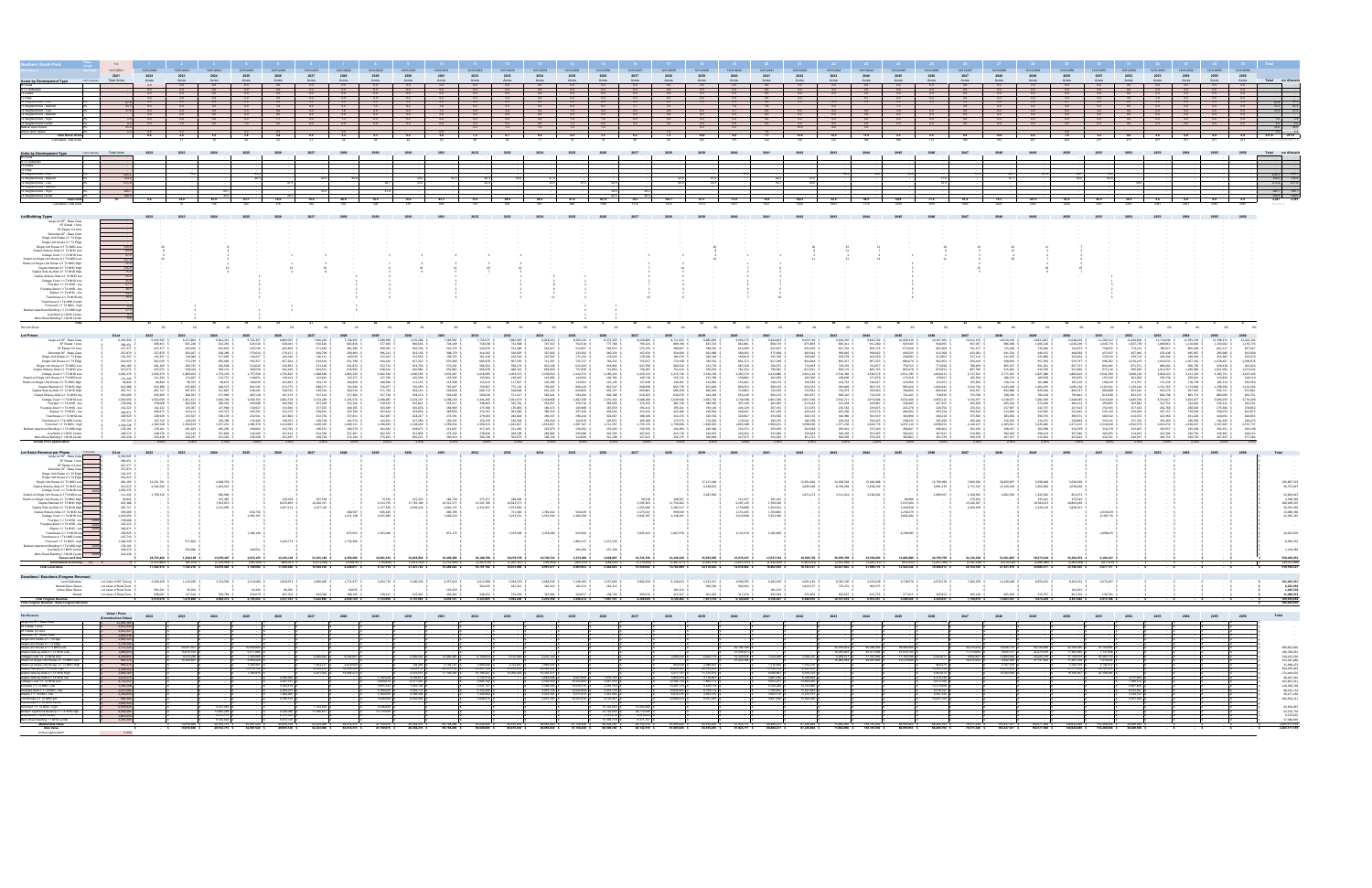| cres by Development ⊺<br>Neighborhood - Mediu<br>Neighborhood - Mediu<br>Neighborhood - High<br>Neighborhood Center<br>tive Open Space<br>Total Gross Acr<br><b>Units by Development Type</b>                                                                                                                                                                                                                                                                                                                                                                                                                                                                                                                                                                                                                                                                                                                                                                                                                                                                                                                                                                                | 12/31/2021<br>2021                                                                                                                                                                                                                                                                                                                                                                                                                                                                                                                                                                                                                                                                                                                   | 2022                                                                                                                                                                                                                                                         | 12/31/2023                                                                                                                                                                                                              |                                                                                                                                                                                                                |                                                                                                                                                                                                       | 2026                                                                                                                                                                                 | 2027                                                                                                                                                                                      | 2028                                                                                                                                                                                                                                                                                                                        | 2029                                                                                                                                                                                              | 2030                                                                                                                                                                                                                                                                                                | 2031                                                                                                                                                                                           | 2032                                                                                                                                                                                                                                          |                                                                                                                                                                                             |                                                                                                                                                                                                                                                                                                                     | 2035                                                                                                                                                                                                           | 2036                                                                                                                                                                                                                                                                                                                                                                                                          | 2037                                                                                                                                                                   | 2038                                                                                                                                                                                                                                                             | 2039                                                                                                                                                                                                           |                                                                                                                                                                               |                                                                                                                                                                                                                                                                                                                                                                                        | 2042                                                                                                                                                                                                                                                   |                                                                                                                                                                                                  |                                                                                                                                                                                                                                                                                                                                                                                                                                                                              |                                                                                                                                                                                  |                                                                                                                                                                                                       |                                                                                                                                                                                                           |                                                                                                                                                                                                   |                                                                                                                                                                                                         | 2050                                                                                                                                                                                                     | 2051                                                                                                                                                                                                | 2052                                                                                                                                                                                                     | 2053                                                                                                                                                                                                                 | 2054                                                                                                                                                                                                                   | 2055                                                                                                                                                                                                                  | 2056                                                                                                                                                                                      |                                                                                                                                                                                                                                                                                               |
|------------------------------------------------------------------------------------------------------------------------------------------------------------------------------------------------------------------------------------------------------------------------------------------------------------------------------------------------------------------------------------------------------------------------------------------------------------------------------------------------------------------------------------------------------------------------------------------------------------------------------------------------------------------------------------------------------------------------------------------------------------------------------------------------------------------------------------------------------------------------------------------------------------------------------------------------------------------------------------------------------------------------------------------------------------------------------------------------------------------------------------------------------------------------------|--------------------------------------------------------------------------------------------------------------------------------------------------------------------------------------------------------------------------------------------------------------------------------------------------------------------------------------------------------------------------------------------------------------------------------------------------------------------------------------------------------------------------------------------------------------------------------------------------------------------------------------------------------------------------------------------------------------------------------------|--------------------------------------------------------------------------------------------------------------------------------------------------------------------------------------------------------------------------------------------------------------|-------------------------------------------------------------------------------------------------------------------------------------------------------------------------------------------------------------------------|----------------------------------------------------------------------------------------------------------------------------------------------------------------------------------------------------------------|-------------------------------------------------------------------------------------------------------------------------------------------------------------------------------------------------------|--------------------------------------------------------------------------------------------------------------------------------------------------------------------------------------|-------------------------------------------------------------------------------------------------------------------------------------------------------------------------------------------|-----------------------------------------------------------------------------------------------------------------------------------------------------------------------------------------------------------------------------------------------------------------------------------------------------------------------------|---------------------------------------------------------------------------------------------------------------------------------------------------------------------------------------------------|-----------------------------------------------------------------------------------------------------------------------------------------------------------------------------------------------------------------------------------------------------------------------------------------------------|------------------------------------------------------------------------------------------------------------------------------------------------------------------------------------------------|-----------------------------------------------------------------------------------------------------------------------------------------------------------------------------------------------------------------------------------------------|---------------------------------------------------------------------------------------------------------------------------------------------------------------------------------------------|---------------------------------------------------------------------------------------------------------------------------------------------------------------------------------------------------------------------------------------------------------------------------------------------------------------------|----------------------------------------------------------------------------------------------------------------------------------------------------------------------------------------------------------------|---------------------------------------------------------------------------------------------------------------------------------------------------------------------------------------------------------------------------------------------------------------------------------------------------------------------------------------------------------------------------------------------------------------|------------------------------------------------------------------------------------------------------------------------------------------------------------------------|------------------------------------------------------------------------------------------------------------------------------------------------------------------------------------------------------------------------------------------------------------------|----------------------------------------------------------------------------------------------------------------------------------------------------------------------------------------------------------------|-------------------------------------------------------------------------------------------------------------------------------------------------------------------------------|----------------------------------------------------------------------------------------------------------------------------------------------------------------------------------------------------------------------------------------------------------------------------------------------------------------------------------------------------------------------------------------|--------------------------------------------------------------------------------------------------------------------------------------------------------------------------------------------------------------------------------------------------------|--------------------------------------------------------------------------------------------------------------------------------------------------------------------------------------------------|------------------------------------------------------------------------------------------------------------------------------------------------------------------------------------------------------------------------------------------------------------------------------------------------------------------------------------------------------------------------------------------------------------------------------------------------------------------------------|----------------------------------------------------------------------------------------------------------------------------------------------------------------------------------|-------------------------------------------------------------------------------------------------------------------------------------------------------------------------------------------------------|-----------------------------------------------------------------------------------------------------------------------------------------------------------------------------------------------------------|---------------------------------------------------------------------------------------------------------------------------------------------------------------------------------------------------|---------------------------------------------------------------------------------------------------------------------------------------------------------------------------------------------------------|----------------------------------------------------------------------------------------------------------------------------------------------------------------------------------------------------------|-----------------------------------------------------------------------------------------------------------------------------------------------------------------------------------------------------|----------------------------------------------------------------------------------------------------------------------------------------------------------------------------------------------------------|----------------------------------------------------------------------------------------------------------------------------------------------------------------------------------------------------------------------|------------------------------------------------------------------------------------------------------------------------------------------------------------------------------------------------------------------------|-----------------------------------------------------------------------------------------------------------------------------------------------------------------------------------------------------------------------|-------------------------------------------------------------------------------------------------------------------------------------------------------------------------------------------|-----------------------------------------------------------------------------------------------------------------------------------------------------------------------------------------------------------------------------------------------------------------------------------------------|
| leighborhood - Mediun<br>Neighborhood - Low<br>Neighborhood - Mediun<br>Neighborhood - High<br>leighborhood Cente                                                                                                                                                                                                                                                                                                                                                                                                                                                                                                                                                                                                                                                                                                                                                                                                                                                                                                                                                                                                                                                            |                                                                                                                                                                                                                                                                                                                                                                                                                                                                                                                                                                                                                                                                                                                                      |                                                                                                                                                                                                                                                              |                                                                                                                                                                                                                         |                                                                                                                                                                                                                |                                                                                                                                                                                                       |                                                                                                                                                                                      |                                                                                                                                                                                           |                                                                                                                                                                                                                                                                                                                             |                                                                                                                                                                                                   |                                                                                                                                                                                                                                                                                                     |                                                                                                                                                                                                |                                                                                                                                                                                                                                               |                                                                                                                                                                                             |                                                                                                                                                                                                                                                                                                                     |                                                                                                                                                                                                                |                                                                                                                                                                                                                                                                                                                                                                                                               |                                                                                                                                                                        |                                                                                                                                                                                                                                                                  |                                                                                                                                                                                                                |                                                                                                                                                                               |                                                                                                                                                                                                                                                                                                                                                                                        |                                                                                                                                                                                                                                                        |                                                                                                                                                                                                  |                                                                                                                                                                                                                                                                                                                                                                                                                                                                              |                                                                                                                                                                                  |                                                                                                                                                                                                       |                                                                                                                                                                                                           |                                                                                                                                                                                                   |                                                                                                                                                                                                         |                                                                                                                                                                                                          |                                                                                                                                                                                                     |                                                                                                                                                                                                          |                                                                                                                                                                                                                      |                                                                                                                                                                                                                        |                                                                                                                                                                                                                       |                                                                                                                                                                                           |                                                                                                                                                                                                                                                                                               |
| <b>Lot/Building Types</b><br>Large Lot SF - Base Case<br>SF Estate 1 Acre<br>SF Estate 1/2 Acre<br>Suburban SF - Base Case<br>Single Unit Estate 2:1 T3 Edge<br>Single Unit House 2:1 T3 Edge<br>Single Unit House 2:1 T3 NHD-Low<br>Duplex Side-by-Side 2:1 T3 NHD Low<br>Cottage Court 1:1 T3 NHD Low<br>Small Lot Single Unit House 2:1 T3 NHD-Low<br>Small Lot Single Unit House 2.1 T3 NHD-High<br>Duplex Stacked 2:1 T3 NHD High<br>Duplex Side-by-Side 2:1 T3 NHD High<br>Duplex Side-by-Side 2:1 T4 NHD low<br>Cottage Court 1:1 T4 NHD Low<br>Fourplex 1:1 T4 NHD - low<br>Fourplex 2bed 1:1 T4 NHD - low<br>Steplex 1:1 T4 NHD - low<br>Townhouse 2:1 T4 NHD-low<br>Townhouse 2:1 T4 NHD Center<br>Forecourt 1:1 T4 NHD - high<br>Medium Apartment Building 1:1 T4 NHD-high<br>Live/Work 2:1 NHD Center<br>Main Street Building 1:1 NHD Center<br>Percent Share<br><b>Lot Prices</b><br>Large Lot SF - Base Case<br>SF Estate 1 Acre<br>SF Estate 1/2 Acre<br>Suburban SF - Base Case<br>Single Unit Estate 2:1 T3 Edge<br>Single Unit House 2:1 T3 Edge<br>Single Unit House 2:1 T3 NHD-Low<br>Duplex Side-by-Side 2:1 T3 NHD Low<br>Cottage Court 1:1 T3 NHD Low | \$/Lot<br>6,345,945 \$<br>589,451 \$<br>427,377 \$<br>257,870 \$<br>132,337 \$<br>$561,019$ \$<br>481,169 \$<br>547,072 \$<br>1,656,279 \$                                                                                                                                                                                                                                                                                                                                                                                                                                                                                                                                                                                           | 2022<br>6,345,945<br>589,451<br>427,377<br>257,870 \$<br>132,337<br>561,019 \$<br>481,169 \$<br>547,072<br>1,656,279 \$                                                                                                                                      | 1%<br>2023<br>6,472,864<br>601.240 S<br>435,924 \$<br>263,027 9<br>134,984 \$<br>572,239 \$<br>490,792 \$<br>558,014 \$<br>1,689,405 \$                                                                                 | 3%<br>2024<br>6,602,321<br>613,265 \$<br>444,643<br>268,288 \$<br>137,683 \$<br>583,684 \$<br>500,608 \$<br>569,174 \$<br>1,723,193 \$                                                                         | 2%<br>2025<br>6,734,367 \$<br>625.530 S<br>453,536 \$<br>273,654<br>140,437 \$<br>595,357 \$<br>510,620 \$<br>580,558 \$<br>1,757,656 \$                                                              | 2026<br>6,869,055<br>638,041<br>462,606<br>279,127<br>143,246<br>607,264<br>520,833<br>$592,169$ 3<br>1,792,810 3                                                                    | 2027<br>7,006,436<br>650,802<br>471,859 \$<br>284,709<br>146,111<br>619,410<br>531,249<br>604,012<br>1,828,666                                                                            | 1%<br>2028<br>7,146,564<br>663,818 \$<br>481,296<br>$\begin{array}{rr} 290,404 & \text{\bf \large{\textbf{\large{5}}}}\\ 149,033 & \text{\bf \large{\textbf{\large{5}}}} \end{array}$<br>631,798 \$<br>541,874 \$<br>616,092<br>1,865,239 \$                                                                                | 2029<br>7,289,496<br>677.094 9<br>490,922 \$<br>296,212 \$<br>152,013 \$<br>644,434 \$<br>552,712 \$<br>$628,414$ :<br>1,902,544 \$                                                               | 7,435,286 \$<br>690,636 S<br>500,740 \$<br>302.136 S<br>155,054 \$<br>657,323 \$<br>563,766 \$<br>640,982<br>1,940,595 \$                                                                                                                                                                           | 7,583,991<br>704,449 S<br>510,755 \$<br>308.179 S<br>158,155 \$<br>670,469 \$<br>575,041 \$<br>653,802 \$<br>1,979,407 \$                                                                      | 7,735,671<br>718,538 S<br>520,970 \$<br>314.342 S<br>161,318 \$<br>683,878 \$<br>586,542 \$<br>666,878 \$<br>2,018,995 \$                                                                                                                     | 2033<br>7,890,385<br>732.908<br>531,389<br>320.629<br>164,544<br>697,556<br>598,273<br>680,216 \$<br>2,059,375 \$                                                                           | 2034<br>8,048,192<br>747.567<br>542,017 \$<br>327.042<br>167,835 \$<br>711,507 \$<br>610,238 \$<br>693,820 \$<br>2,100,562 \$                                                                                                                                                                                       | 2035<br>8,209,156<br>762.518 S<br>552,857 9<br>333.582 9<br>171,192 \$<br>725,737 9<br>622,443<br>707,696 9<br>2,142,573 \$                                                                                    | 2036<br>8,373,339<br>777,768 9<br>563,915<br>340,254 \$<br>174,616 \$<br>740,252 \$<br>634,892 \$<br>721,850<br>2,185,425 \$                                                                                                                                                                                                                                                                                  | 4%<br>2037<br>8,540,806<br>793.324 9<br>575,193<br>347,059<br>178,108<br>755,057 \$<br>647,590<br>736,287<br>2,229,133 \$                                              | 2038<br>8,711,622<br>809.190 S<br>586,697 \$<br>354,000<br>181,670 \$<br>770,158 \$<br>660,542 \$<br>751,013<br>2,273,716 \$                                                                                                                                     | 2039<br>8,885,855<br>825.374<br>598,431<br>361,080<br>185,303<br>785,561 \$<br>673,753 \$<br>766,033<br>2,319,190                                                                                              | 9,063,572<br>841.881<br>610,399<br>368,302<br>189,010 \$<br>801,273 \$<br>687,228<br>781,354<br>2,365,574                                                                     | 9,244,843<br>858,719 S<br>622,607 \$<br>375,668 \$<br>192,790 \$<br>$817,298$ \$<br>700,972 \$<br>796,981<br>2,412,886 \$                                                                                                                                                                                                                                                              | 9,429,740<br>875,893<br>635,059<br>383.181 9<br>196,646<br>833,644<br>714,992 9<br>812,921<br>2,461,143 \$                                                                                                                                             | 9,618,335<br>893,411<br>647,761<br>390.845<br>200,578<br>850,317 \$<br>729,291<br>829,179<br>2,510,366 \$                                                                                        | 9,810,702<br>911,280 9<br>660,716 \$<br>398.662<br>204,590 9<br>867,323 \$<br>743,877 \$<br>845,763<br>2,560,574 \$                                                                                                                                                                                                                                                                                                                                                          | 10,006,916<br>929.505<br>673,930<br>406.635<br>208,682<br>884,670<br>758,755<br>862,678<br>2,611,785 9                                                                           | 2046<br>10,207,054<br>948,095 9<br>687,409<br>414,768 9<br>212,855 9<br>902,363 \$<br>773,930 \$<br>879,932<br>2,664,021                                                                              | 10,411,195<br>967.057<br>701,157 \$<br>423,063<br>217,113<br>920,410 \$<br>789,409<br>897,530 \$<br>2,717,301 \$                                                                                          | 10,619,419<br>986,398 S<br>715,180 \$<br>431,524 \$<br>221,455<br>938,819 \$<br>805,197 \$<br>915,481 \$<br>2,771,647 \$                                                                          | 10,831,807<br>1,006,126 9<br>729,484<br>440,155 \$<br>225,884<br>957,595 \$<br>821,301 \$<br>933,790 \$<br>2,827,080 \$                                                                                 | 2050<br>11,048,443<br>1.026.249 S<br>744,073<br>448,958<br>230,402<br>976,747 \$<br>837,727<br>952,466<br>2,883,622 \$                                                                                   | 2051<br>2051<br>11,269,412<br>1,046,774 \$<br>758,955 \$<br>457,937 \$<br>235,010 \$<br>996,282 \$<br>854,481 \$<br>971,516 \$<br>2,941,294 \$                                                      | 2052<br>2052<br>11,494,800<br>1.067.709 S<br>774,134 \$<br>467,096 \$<br>239,710 \$<br>871,571 \$<br>990,946 \$<br>3,000,120 \$                                                                          | 0%<br>2053<br>11,724,696<br>1,089,063 \$<br>789,617<br>$\begin{array}{r} 476,438 \quad \  \  \, 5 \\ 244,504 \quad \  \  \, 5 \end{array}$<br>1,036,532 \$<br>889,002 \$<br>1,010,765 \$<br>3,060,122 \$             | 2054<br>11,959,190<br>1.110.845<br>805,409 \$<br>485,967 \$<br>249,394 \$<br>1,057,262 \$<br>906,782 \$<br>1,030,980 \$<br>3,121,325 \$                                                                                | 2055<br>12,198,374<br>1,133,062 \$<br>821,517 \$<br>495,686<br>254,382 \$<br>$1,078,407$ \$<br>924,918 \$<br>1,051,600 \$<br>3,183,751 \$                                                                             | 2056<br>12,442,342<br>1,155,723<br>837,947<br>505,600<br>259,470<br>1,099,976<br>943,416<br>1,072,632<br>3,247,426                                                                        |                                                                                                                                                                                                                                                                                               |
| Small Lot Single Unit House 2:1 T3 NHD-Lov<br>Small Lot Single Unit House 2:1 T3 NHD-High<br>Duplex Stacked 2:1 T3 NHD Hig<br>Duplex Side-by-Side 2:1 T3 NHD High<br>Duplex Side-by-Side 2:1 T4 NHD los<br>Cottage Court 1:1 T4 NHD Low<br>Fourplex 1:1 T4 NHD - low<br>Fourplex 2bed 1:1 T4 NHD - low<br>Steplex 1:1 T4 NHD - low<br>Townhouse 2:1 T4 NHD-low<br>Townhouse 2:1 T4 NHD Center<br>Forecourt 1:1 T4 NHD - high<br>Medium Apartment Building 1:1 T4 NHD-high<br>Live/Work 2:1 NHD Cente<br>Main Street Building 1:1 NHD Center<br>Annual Price Appreciation                                                                                                                                                                                                                                                                                                                                                                                                                                                                                                                                                                                                     | $111,242$ \$<br>94,844 \$<br>623,388 \$<br>497,717 S<br>459,409 \$<br>$\begin{array}{rr} 1,923,056 & \text{\bf 5} \\ 278,068 & \text{\bf 5} \end{array}$<br>142,222 \$<br>306,971 \$<br>228,929 \$<br>125,710 \$<br>1,304,528 \$<br>178,101 \$<br>228,570 \$<br>243,428 \$                                                                                                                                                                                                                                                                                                                                                                                                                                                           | $\begin{array}{cc} 111,242 & \text{\bf 5} \\ -94,844 & \text{\bf 5} \end{array}$<br>623,388<br>497,717<br>459,409 \$<br>1,923,056 \$<br>278,068<br>142,222 \$<br>306,971 \$<br>228,929 9<br>125,710 \$<br>1.304.528 S<br>178,101 \$<br>228,570 \$<br>243,428 | 113,467 \$<br>96,741 \$<br>635,856 \$<br>507,671 \$<br>468,597 \$<br>1,961,517 \$<br>283,629 \$<br>145,067 \$<br>$313,111$ \$<br>233,507 S<br>128,224 \$<br>1,330,619 \$<br>181,663 \$<br>233,142 \$<br>248,297 \$      | 115,737 \$<br>98,676 \$<br>648,573 \$<br>517,825 \$<br>477,969 \$<br>2,000,748 \$<br>289,302<br>147,968 \$<br>319,373 \$<br>238,178 \$<br>130,788 \$<br>1,357,231 \$<br>185,296 \$<br>237,804 \$<br>253,263 \$ | 118,051<br>100,649<br>661,545<br>528,181 \$<br>487,528 \$<br>2,040,763 \$<br>295,088 \$<br>150,927 \$<br>325,761 \$<br>242,941 \$<br>133,404 \$<br>1.384.376 S<br>189,002 \$<br>242,560 \$<br>258,328 | 120,412<br>102,662<br>674,775<br>538,745<br>497,279<br>2,081,578<br>300,990<br>153,946<br>332,276 \$<br>247,800 \$<br>136,072 \$<br>1,412,063<br>192,782<br>247,412 \$<br>263,495 \$ | 122,821<br>104,716<br>688,271<br>549,520<br>$507,224$ \$<br>2,123,209 \$<br>307,009<br>157,025<br>338,921 \$<br>252,756<br>138,794<br>1,440,305 \$<br>196,637 \$<br>252,360 \$<br>268,764 | $\begin{array}{ccc} 125,277 & \text{\$5$} \\ 106,810 & \text{\$5$} \end{array}$<br>702,036<br>560,510 \$<br>517,369 \$<br>2,165,674 \$<br>313,150<br>160,165 \$<br>345,700 \$<br>$\begin{array}{ccc} 257,811 & \text{\bf 5} \\ 141,570 & \text{\bf 5} \end{array}$<br>1,469,111 S<br>200,570 \$<br>257,407 \$<br>274,140 \$ | 127,783<br>108,946 \$<br>716,077<br>571,720 \$<br>527,716 \$<br>2,208,987<br>319,413<br>163,369 \$<br>352,614 \$<br>262,967 \$<br>144,401 \$<br>1,498,493 \$<br>204,582 \$<br>262,555 \$          | 130,338 \$<br>111,125 \$<br>730,399<br>583,154 \$<br>538,270 \$<br>2,253,167 \$<br>325,801<br>166,636 \$<br>359,666 \$<br>268,227 \$<br>147,289 \$<br>1,528,463 S<br>208,673 \$<br>267,806 \$                                                                                                       | 132,945<br>113,348 \$<br>745,007<br>594,818 \$<br>549,036 \$<br>2,298,230 \$<br>332,317 \$<br>169,969 \$<br>366,859 \$<br>273,591 \$<br>150,235 \$<br>1,559,032 \$<br>212,847 \$<br>273,162 \$ | 135,604 \$<br>115,615 \$<br>759,907 \$<br>606,714 \$<br>560,016 \$<br>2,344,195 \$<br>338,963 \$<br>173,368 \$<br>374,197 \$<br>279,063 \$<br>153,239 \$<br>1,590,213 \$<br>217,104 \$<br>278,626 \$<br>296,738 \$                            | 138,316 \$<br>117,927 \$<br>775,105<br>618,848 \$<br>571,217 \$<br>2,391,079 \$<br>345,742 \$<br>176,836 \$<br>381,680 \$<br>284,644<br>156,304 \$<br>1,622,017 \$<br>221,446<br>284,198 \$ | 141,082 \$<br>120,285 \$<br>790,607<br>631,225 \$<br>582,641 \$<br>2,438,900 \$<br>352,657<br>180,372 \$<br>389,314 \$<br>290,337 \$<br>159,430 \$<br>1,654,457 \$<br>225,875 \$<br>289,882 \$<br>308,726 \$                                                                                                        | 143,904 \$<br>122,691 \$<br>806,419<br>643,850 \$<br>594,294 \$<br>2,487,678 \$<br>359,710 \$<br>183,980 \$<br>397,100 \$<br>296,144 \$<br>162,619 \$<br>1.687.547 S<br>230,392 \$<br>295,680 \$<br>314,900 \$ | 146,782<br>125,145 \$<br>822,547<br>656,727<br>606,180 \$<br>2,537,432 \$<br>366,905<br>187,659 \$<br>405,042<br>302,067 \$<br>165,871<br>1,721,297 9<br>235,000 \$<br>301,593 \$<br>321,198 \$                                                                                                                                                                                                               | 149,718 \$<br>127,648<br>838,998<br>669,861<br>618,303<br>2,588,180 \$<br>374,243<br>191,413<br>$413,143$ \$<br>308,108 \$<br>1,755,723 \$<br>239,700 \$<br>307,625 \$ | $152,712$ \$<br>130,201 \$<br>855,778<br>683,258 \$<br>630,670 \$<br>2,639,944<br>381,728<br>195,241 \$<br>421,406 \$<br>314,270 \$<br>172,573 \$<br>$\begin{matrix} 1,790,838 & \text{\bf 5}\\ 244,494 & \text{\bf 5} \end{matrix}$<br>313,778 \$<br>334,175 \$ | 155,766<br>132,805<br>$\begin{array}{r} 872,894 \\ 696,924 \end{array} ;$<br>643,283<br>2,692,743<br>389,362<br>199,146<br>429,834 \$<br>320,556 \$<br>176,024 \$<br>1.826.655<br>249,384<br>320,053<br>40,858 | 158,882<br>135,461<br>890,352<br>710,862 :<br>656,149 \$<br>2,746,598<br>397,149<br>203,129 \$<br>438,431 \$<br>326,967<br>179,544<br>1.863.188 S<br>254,372 \$<br>326,454 \$ | 162,059 \$<br>138,170 \$<br>908,159 \$<br>725,079 S<br>669,272 \$<br>2,801,530 \$<br>405,092 \$<br>207,191 \$<br>447,199 \$<br>333,506 \$<br>183,135 \$<br>1,900,451 S<br>259,459 \$<br>332,984 \$                                                                                                                                                                                     | $165,300$ 3<br>140,934 \$<br>926,322<br>739,581<br>682,657<br>2,857,560 \$<br>$413,194$ :<br>211,335 \$<br>456,143 \$<br>340,176 \$<br>186,798<br>1,938,460 \$<br>264,648<br>339,643 \$                                                                | 168,606<br>143,752 \$<br>944,849<br>754,373<br>696,310 \$<br>2,914,711 \$<br>421,458<br>215,562 \$<br>465,266 \$<br>346,980 \$<br>190,534<br>1,977,230 \$<br>269,941 \$<br>346,436 \$<br>368,956 | 171,979 \$<br>146,627 \$<br>963,745<br>769,460 \$<br>710,236 \$<br>2,973,006 \$<br>429,887<br>219,873 \$<br>474,572 \$<br>353,919 \$<br>194,345 \$<br>2,016,774 \$<br>275,340 \$<br>353,365 \$<br>376,335 \$                                                                                                                                                                                                                                                                 | 175,418<br>149,560<br>983,020<br>784,849<br>724,441<br>3,032,466<br>438,485<br>224,270 \$<br>484,063<br>360,998<br>198,232<br>2.057.110 S<br>280,847<br>360,432 \$<br>383,862 \$ | 178,927<br>152,551 9<br>1,002,681<br>800,546 \$<br>738,930<br>3,093,115 \$<br>447,255<br>228,756 \$<br>493,744 \$<br>368,218 9<br>202,196 \$<br>2.098.252 S<br>286,464 \$<br>367,641 \$<br>391,539 \$ | 182,505<br>155,602<br>$1,022,734$ \$<br>816,557 \$<br>753,708 \$<br>3,154,977<br>456,200 \$<br>233,331 \$<br>503,619<br>375,582 \$<br>206,240 \$<br>2.140.217 S<br>292,193 \$<br>374,994 \$<br>399,370 \$ | 186,155 \$<br>158,714 \$<br>1,043,189 \$<br>832,888 \$<br>768,783 \$<br>3,218,077 9<br>465,324 \$<br>237,997 \$<br>513,692<br>383,094 S<br>210,365 \$<br>2,183,021 \$<br>298,037 \$<br>382,493 \$ | 189,878 \$<br>161,888 \$<br>1,064,053<br>849,546 \$<br>784,158 \$<br>3,282,439 \$<br>474,630<br>242,757 \$<br>523,965<br>390,755 \$<br>214,572 \$<br>2.226.682 S<br>303,998 \$<br>390,143 \$<br>115,504 | 193,676 \$<br>165,126 \$<br>1,085,334 \$<br>866,537<br>799,841<br>3,348,087<br>484,123<br>247,613 \$<br>534,445 \$<br>398,571 \$<br>218,864 \$<br>2,271,215 \$<br>310,078 \$<br>397,946 \$<br>423,814 \$ | $197,549$ \$<br>$168,429$ \$<br>$1,107,041$ \$<br>883,868 \$<br>815,838 \$<br>3,415,049 \$<br>493,805<br>252,565 \$<br>545,134 \$<br>406,542 \$<br>2,316,640 \$<br>316,279 \$<br>405,905 \$         | 201,500 \$<br>171,797 \$<br>1,129,181 \$<br>901,545 \$<br>832,155 \$<br>3,483,350 \$<br>503,682 \$<br>257,616 \$<br>556,036 \$<br>414,673 \$<br>227,706 \$<br>2,362,973 \$<br>$322,605$ \$<br>414,023 \$ | 205,530 \$<br>175,233 \$<br>1,151,765 \$<br>919,576 \$<br>848,798 \$<br>3,553,017 \$<br>513,755 \$<br>262,768 \$<br>567,157 \$<br>422,966 \$<br>232,260 \$<br>2,410,232 \$<br>329,057 \$<br>422,304 \$<br>449,755 \$ | $209,641$ \$<br>178,738 \$<br>1,174,800 \$<br>937,967 \$<br>865,774 \$<br>3,624,077 \$<br>524,030 \$<br>268,024 \$<br>578,500 \$<br>431,426 \$<br>236,905 \$<br>2,458,437 \$<br>335,638 \$<br>430,750 \$<br>458,750 \$ | 213,834 \$<br>182,313 \$<br>1,198,296 \$<br>956,727 \$<br>883,090 \$<br>3,696,559 \$<br>534,511 \$<br>273,384 \$<br>590,070 \$<br>$440,054$ \$<br>241,643 \$<br>2,507,605 \$<br>$342,351$ \$<br>439,365 \$<br>467,925 | 218,110<br>185,959<br>1,222,262<br>975,861<br>900,751<br>3,770,490<br>545,201<br>278,852<br>601,872<br>448,855<br>246,476<br>2,557,757<br>$349,198$<br>$448,152$<br>$477,284$<br>$2.00\%$ |                                                                                                                                                                                                                                                                                               |
| Lot Sales Revenue per Phase<br>Large Lot SF - Base Case<br>SF Estate 1/2 Acre<br>Suburban SF - Base Case<br>Single Unit Estate 2:1 T3 Edge<br>Single Unit House 2:1 T3 NHD-Low<br>Duplex Side-by-Side 2:1 T3 NHD Low<br>Cottage Court 1:1 T3 NHD Low<br>Small Lot Single Unit House 2:1 T3 NHD-Low<br>Small Lot Single Unit House 2:1 T3 NHD-Hig<br>Duplex Stacked 2:1 T3 NHD Hig<br>Duplex Side-by-Side 2:1 T3 NHD Hig<br>Duplex Side-by-Side 2:1 T4 NHD los<br>Cottage Court 1:1 T4 NHD Lov<br>Fourplex 1:1 T4 NHD - low<br>Fourplex 2bed 1:1 T4 NHD - low<br>Steplex 1:1 T4 NHD - low<br>Townhouse 2:1 T4 NHD-Io<br>Townhouse 2:1 T4 NHD Center<br>Forecourt 1:1 T4 NHD - high<br>Medium Apartment Building 1:1 T4 NHD-Nigh<br>Live/Work 2:1 NHD Center<br>Main Street Building 1:1 NHD Center 100% \$<br>Gross Land Sale<br>Commission & Closing 6% \$ 0 \$ (1,312,882) \$ (85,973) \$<br>Land Sales \$ 17,442,578 \$ 1,142,216 \$<br>Total Land Sales                                                                                                                                                                                                                   | \$/Lot<br>6,345,945 \$<br>589,451 \$<br>427.377 S<br>257,870 \$<br>132.337 S<br>561,019 \$<br>481,169 \$<br>547,072 \$<br>1,656,279 \$<br>111,242 \$<br>94,844<br>623,388 \$<br>497,717<br>459,409 \$<br>1,923,056 \$<br>278,068 \$<br>142,222<br>306,971 \$<br>228,929<br>125,710 \$<br>1,304,528 \$<br>178,101 \$<br>228,570 \$<br>243,428 \$                                                                                                                                                                                                                                                                                                                                                                                      | 12.451.701<br>4,504,549<br>1,799,210                                                                                                                                                                                                                         | 977,804<br>250,386 \$<br>1,228,189                                                                                                                                                                                      | 4.048.359<br>1,464,541<br>584,968<br>135,487 \$<br>7,633,055 \$<br>2,132,996<br>$(1,119,958)$ \$<br>14,879,448 \$                                                                                              | 634,756<br>1,186,149<br>260,501<br>$(285, 194)$ \$<br>3,789,000 \$                                                                                                                                    | 150,358<br>8,470,859<br>2,367,114<br>1,426,773                                                                                                                                       | 287.560<br>16,200,517<br>4,527,10                                                                                                                                                         | 468,597<br>1,471,138<br>875,653<br>1,754,308                                                                                                                                                                                                                                                                                | 74,794 9<br>4,213,755 \$<br>$1,177,500$ :<br>836,445 \$<br>2,625,982<br>1,563,040                                                                                                                 | 315.333 S<br>17,765,189 \$<br>4,964,340                                                                                                                                                                                                                                                             | 186,758 \$<br>10,521,577 \$<br>2,940,171<br>466,199 \$<br>1,463,610 \$<br>871,172 \$                                                                                                           | 275.157 S<br>15,501,789 \$<br>$4,331,851$ \$<br>$(1,407,616)$ \$<br>18,701,182 \$                                                                                                                                                             | 188,906<br>10,642,575 \$<br>2,973,983<br>711,382 \$<br>2,233,351<br>1,329,338                                                                                                               | 1,781,042 \$<br>5,591,500 \$<br>3,328,180                                                                                                                                                                                                                                                                           | 504,629 \$<br>1,584,258<br>942,984<br>1,860,137<br>381,060 9<br>$(369,115)$ \$<br>4,903,953 \$                                                                                                                 | 2,371,530<br>257,336                                                                                                                                                                                                                                                                                                                                                                                          | 99.318<br>5,595,363<br>1,563,580<br>1,575,047<br>4,944,787<br>2,943,243                                                                                                | 208,567<br>11,750,262<br>3,283,517<br>999,630<br>3,138,291<br>1,867,978 \$                                                                                                                                                                                       | 17.217.446<br>6,228,613<br>2,487,836                                                                                                                                                                           | 111 597<br>6,287,129<br>1,756,888<br>1,151,445 :<br>3,614,908<br>2,151,670 \$                                                                                                 | 101.181<br>5,700,330 \$<br>1,592,912<br>1,704,881 \$<br>5,352,396<br>3,185,860 \$                                                                                                                                                                                                                                                                                                      | 12.951.801 9<br>4,685,466<br>1,871,472 :                                                                                                                                                                                                               | 24,298,504<br>8,790,269<br>3,511,014                                                                                                                                                             | 15,640,688<br>5,658,202<br>2,260,002                                                                                                                                                                                                                                                                                                                                                                                                                                         | <b>88 986</b><br>5,013,304<br>1,400,928<br>1,230,279<br>3,862,404<br>2,298,985                                                                                                   | 13,769,099 9<br>4,981,133<br>1,989,567<br>$(1,451,786)$ \$<br>19,288,013 \$                                                                                                                           | 7.660.626<br>2,771,321<br>$1,106,923$ \$<br>270,622<br>15,246,307<br>4,260,459                                                                                                                            | 33,859,967 \$<br>12,249,240<br>4,892,599 \$                                                                                                                                                       | 9,298,468 9<br>3,363,830<br>1,343,583<br>333,421<br>18,784,253 \$<br>5,249,110                                                                                                                          | 5,690,662<br>2,058,664<br>822,273<br>370,320<br>20,863,043 \$<br>5,830,011                                                                                                                               | 1,016,029<br>3,189,776<br>1,898,623                                                                                                                                                                 |                                                                                                                                                                                                          |                                                                                                                                                                                                                      |                                                                                                                                                                                                                        |                                                                                                                                                                                                                       |                                                                                                                                                                                           | 156,887,323<br>56,755,827<br>22,669,447<br>3,198,365<br>180,189,307<br>50,352,465<br>13,080,360<br>41,065,187<br>24,442,876<br>8,390,55<br>1,149,282                                                                                                                                          |
| Donations / Exactions (Forgone Revenue)<br><b>Land Dedication</b><br>Natural Open Space<br>Active Open Space<br>Total Forgone Revenue<br>Total Forgone Revenue<br>Total Forgone Revenue<br>Total Forgone Revenue - Base Forgone Revenue                                                                                                                                                                                                                                                                                                                                                                                                                                                                                                                                                                                                                                                                                                                                                                                                                                                                                                                                      | Lot Value of MF Zoning \$<br>Lot value of Rural Zone S<br>Lot value of Rural Zone \$<br>Lot value of Rural Zone \$                                                                                                                                                                                                                                                                                                                                                                                                                                                                                                                                                                                                                   |                                                                                                                                                                                                                                                              | $4{,}500{,}429 \quad \  \  \, 5 \qquad \qquad 1{,}116{,}290 \quad \  \  \, 5 \qquad \qquad 3{,}734{,}590 \quad \  \  \, 5 \qquad \qquad 2{,}519{,}080 \quad \  \  \, 5$<br>508,005 \$127,316 \$5,570,076 \$1,279,868 \$ | 4,094,372 \$2,793,552 \$                                                                                                                                                                                       | 220.079 S                                                                                                                                                                                             | 11,546,046 \$<br>2,958,973 \$<br>$287,704$ \$<br>3,337,333 \$                                                                                                                        | 19,544,120 \$<br>$\begin{array}{ccc} & & & 5 \\ & & & 5 \\ \end{array}$<br>5,222,890 \$                                                                                                   | 4,249,817 \$<br>4,820,830 \$ 1,771,877 \$<br>$\begin{matrix} . & S \\ 90,656 & S \end{matrix}$<br>188,195 \$<br>2,050,729 \$                                                                                                                                                                                                | 9,757,110 \$<br>3,454,779 \$<br>3,733,096 \$                                                                                                                                                      | $21,431,722$ \$<br>5,286,433 \$<br>$\begin{array}{ccc} & & & s \\ & & \cdot & & s \\ & & & \cdot & & \end{array}$<br>5,701,895 \$                                                                                                                                                                   | 15,298,022 \$<br>4,357,610 \$<br>$ 5$<br>145,050 $5$<br>336,487 9<br>4,839,147 \$                                                                                                              | $362,625$ \$<br>348,452<br>5,323,985 \$                                                                                                                                                                                                       | $16,813,968$ \$<br>4,612,908 \$ 5,038,749 \$<br>181,313 \$<br>$5 - 5$<br>374.236 S<br>5,594,298 \$                                                                                          | $9,951,671$ \$<br>4,686,334 \$<br>$\cdot$ s<br>342,904<br>5,210,550 \$                                                                                                                                                                                                                                              | 3,140,945 \$<br>$\cdot$ $\cdot$ $\cdot$ $\cdot$<br>264.017<br>3,586,274 \$                                                                                                                                     | 2,444,845 \$<br>1,567,064 \$<br>$181,313 \quad \  \  \, 5 \qquad \qquad 181,313 \quad \  \  \, 5 \qquad \qquad 181,313 \quad \  \  \, 5$<br>$\sim$ $ \sim$<br>158,724<br>1,907,101 \$                                                                                                                                                                                                                         | 15,550,843 \$<br>5,809,339 \$<br>6,209,009 \$                                                                                                                          | 19,760,869 \$<br>6,126,813 \$<br>$\cdot$ s<br>181,313 \$<br>412.337 S<br>6,720,462 \$                                                                                                                                                                            | 24,118,522 \$<br>6,222,917 \$<br>$906,564$ \$<br>7,631,136 \$                                                                                                                                                  | 14,018,482 \$<br>4,900,595 \$<br>906,564 \$<br>$\cdot$ s<br>317,470<br>6,124,629 \$                                                                                           | 16,402,932 \$<br>6,182,199 \$<br>$\begin{array}{ccc} & . & \phantom{00} & \phantom{00} & . \\ 181,313 & \phantom{0}5 \\ \end{array}$<br>392.969 S<br>6,756,481 \$                                                                                                                                                                                                                      | 18, 143, 127 \$<br>4,681,181 \$<br>1,813,127 \$<br>355,604<br>6,849,912 \$                                                                                                                                                                             | $34,037,802$ \$<br>8,782,230 \$<br>725,251 \$<br>10,161,538 \$                                                                                                                                   | $21,909,770$ \$<br>5,653,028 \$<br>906,575 \$<br>$\cdot$ s<br>6,972,357 \$                                                                                                                                                                                                                                                                                                                                                                                                   | $12,922,244$ \$<br>4,728,970 \$<br>5,006,585 \$                                                                                                                                  | 4,976,578 \$<br>5,325,831 \$                                                                                                                                                                          | 29,124,120 \$<br>7,305,670 \$<br>7,750,810 \$                                                                                                                                                             | 47,431,679 \$<br>12,238,038 \$<br>825,509<br>13,063,547 \$                                                                                                                                        | 35,686,577<br>8,950,432 \$<br>9,474,229 \$                                                                                                                                                              | 33,140,525 \$<br>8,265,051 \$<br>104,292 \$<br>461,700 \$<br>8,831,044 \$                                                                                                                                | 2,673,407 \$<br>139,701<br>2,813,108                                                                                                                                                                |                                                                                                                                                                                                          |                                                                                                                                                                                                                      |                                                                                                                                                                                                                        |                                                                                                                                                                                                                       |                                                                                                                                                                                           | 151,063,337<br>6,345,956<br>1,445,578<br>11,080,973<br>169,935,844<br>166,465,855                                                                                                                                                                                                             |
| Tax Revenue<br>I am versures<br>Large Lot SF - Base Case<br>SF Estate 1/2 Acre<br>Suburban SF - Base Case<br>Sungle Unit Estate 2:1 T3 Edge<br>Single Unit House 2:1 T3 Edge<br>Single Unit House 2:1 T3 Edge<br>Single Unit House 2:1 T3 NHD-Low<br>Single Unit House 2-17 SHR-Duw<br>Config Court 1:17 SHR-Duw<br>Couples Side-ay-Side 2-17 SHR-Duw<br>Small Lot Single Unit House 2-173 MH-Duw<br>Small Lot Single Unit House 2-173 MH-Duw<br>Dugles Since<br>at 2-173 MH-DH High Court Couples Si<br>Sixplex 1:1 T4 NHD - low<br>Townhouse 2:1 T4 NHD-low<br>Townhouse 2:1 T4 NHD Center<br>Forecourt 1:1 T4 NHD - high<br>Medium Apartment Building 1:1:T4 NHD-high<br>LiveWork 2:1 NHD Center<br>Main Street Building 1:1:NHD Center<br>Main Street Building 1:1:NHD Center<br>New Value                                                                                                                                                                                                                                                                                                                                                                               | Value / Price<br>(Construction Value)<br>$\frac{(\text{Construction Value})}{\text{S}}$<br>$\frac{12,046,289}{\text{S}}$<br>$\frac{3,615,430}{\text{S}}$<br>$\frac{3,012,947}{\text{S}}$<br>$\frac{2,947}{\text{S}}$<br>$\begin{array}{r} 3 & 3.02,993 \\ 5 & 2,809,938 \\ 6 & 2,400,323 \\ 7 & 1,732,244 \\ 8 & 1,1732,226 \\ 5 & 1,839,619 \\ 7 & 1,839,619 \\ 8 & 3214,915 \\ 6 & 900,776 \\ \end{array}$<br>1,690,563<br>$\begin{array}{cccc} 5 & 1,674,575 \\ 5 & 4,722,052 \\ 5 & 1,392,558 \end{array}$<br>1,675,004<br>2,230,039<br>$981,306$<br>$1,605,924$<br>6,959,826<br>4,464,603<br>$\begin{array}{ c c c }\n\hline\n\text{S} & \text{1,807,610} \\ \text{S} & \text{3,341,309}\n\hline\n\end{array}$<br>$\frac{1}{s}$ |                                                                                                                                                                                                                                                              | 2022 2023 2024 2025 2026<br>20.041,001<br>15,618,192<br>8,910,256<br>15,348,647<br>70,818,686 \$                                                                                                                        | $\frac{6,321,043}{13,666,288}$ \$<br>$\frac{2,019,737}{8,145,644}$ \$<br>$29,152,713$ \$                                                                                                                       | 10.000.000 0<br>5,077,865 \$<br>4,990,229 \$<br>1,355,497<br>16,730,134<br>7,389,915<br>$\frac{5}{5}$ $\frac{4,991,141}{5,352,414}$<br>52,997,520 \$                                                  | 4,292,013<br>1964265<br>5,186,133<br>$40,950,120 S$                                                                                                                                  | 2027<br>4,990,644<br>18,566,434 \$<br>8,201,032<br>11,206,421<br>$\frac{52,233,066}{52,233,066}$ \$                                                                                       | 2028<br>9,544,607<br>$\frac{2,876,929}{35,508,305}$ \$<br>15,684,473                                                                                                                                                                                                                                                        | 2029 10:00<br>1,742,228 \$<br>$3,684,618$ \$<br>3.951.322 \$<br>3,168,500 \$<br>1450 083 S<br>3,828,568 \$<br>9,546,649<br>13,779,008<br>$\sim$ $\sim$ $\sim$<br>$41,150,976$ \$<br>41,150,976 \$ | 2,482,552<br>$\begin{array}{r l} . & 5 \\ \hline 748,289 & 5 \\ \hline 9,235,710 & 5 \\ \hline 4,079,531 & 5 \\ \hline 3,109,877 & 5 \\ \hline 7,577 & 043 & 5 \\ \hline \end{array}$<br>$\frac{6,577,043}{7,053,109}$ \$<br>5,655,773<br>2,588,398 \$<br>6,833,994<br>$48,364,276$ $48,364,276$ \$ | 10,466,440<br>$\begin{array}{r} 3.154,787 & S \\ 38,937,754 & S \end{array}$<br>17,199,304<br>$\frac{69,758,286}{69,758,286}$ \$                                                               | 6,198,834<br>$\begin{array}{r} 5 \\ 1,868,448 \\ 23,061,199 \\ 10,186,427 \\ 5 \\ 3,665,762 \\ 3,931,101 \\ 5 \\ 3,162,285 \\ \end{array}$<br>1,442,662 \$<br>3,808,975 \$<br>$\begin{array}{r} 69,049,005 & 5 \\ 59,049,005 & 5 \end{array}$ | 15,008,002<br>60,870,630 \$                                                                                                                                                                 | 6,270.120<br>1,889,935<br>23,326,402 \$<br>10,303,571 \$<br>2,644,896 \$<br>$\frac{6,693,659}{5,998,545}$ S<br>4,810,135 \$<br>$\frac{2,201,387}{5,812,191}$<br>$\sim$ $\sim$<br>$\begin{array}{r} \begin{array}{r} \text{B} \\ \text{B},850,843 & \text{S} \\ \text{B},850,843 & \text{S} \end{array} \end{array}$ | 14,004,489 \$15.018.176 \$<br>12,042,829 \$<br>5511472 \$<br>14,551,614 \$                                                                                                                                     | 6,621,858 \$ 1,876,193 \$<br>3,967,939 \$<br>4,255,150 \$<br>3,412,135 \$<br>1,561,584 \$<br>4,122,957<br>$\begin{array}{r} \bf 5 & 10, 122, 533 \\ \bf 5 & 10, 122, 533 \\ \bf 5 & 23, 720, 636 \\ \bf 5 & 3, 073, 816 \\ \bf 67, 750, 438 \\ \bf 67, 750, 438 \\ \bf 7 & 68, 500, 740 \\ \bf 8 & 68, 500, 740 \\ \bf 9 & 740, 75 \\ \bf 10 & 740, 75 \\ \bf 11 & 740, 75 \\ \bf 12 & 750, 750, 750 \\ \bf $ | $48,132,319$ \$                                                                                                                                                        | 2038<br>3,296,533<br>993,639 \$<br>12,263,920 \$<br>5,417,131 \$<br>5,855,974 \$<br>$\frac{12,384,730}{13.281,174}$ S<br>10,649,955 \$<br>4,874,015 \$<br>12,868,574 \$                                                                                          | 2039 2011<br>6.922.719<br>2,086,64<br>$\begin{array}{r l} \hline 7,860,175 & S \\ \hline 8,429,118 & S \\ \hline 6,759,172 & S \\ \hline \end{array}$<br>3.093.375<br>8,167,255                                | 2040 2041 2042<br>42.704.120 0<br>21,595,873 \$<br>12,320,554<br>21,223,1<br>$\frac{97,923,717}{97,923,717}$ \$                                                               | 3,704,090 \$<br>$\begin{array}{r} 5 \\ \hline 1,116,484 \quad 5 \\ 13,780,134 \quad 5 \end{array}$<br>6,086,861 \$<br>4,281,035 \$<br>$\frac{5}{5}$ 9,053,911 \$<br>7,785,697 \$<br>$3,663,170$<br>9,407,628 \$<br>$\sim$ $\sim$<br>$\begin{array}{r} \begin{array}{r} \text{3} \\ \text{68,488,271} \text{ } \text{5} \\ \text{68,488,271} \text{ } \text{5} \end{array} \end{array}$ | 3,358,375<br>12,493,988<br>5,518,754 \$<br>6,338,694 \$<br>13,405,630 \$<br>11,527,854<br>5.275.791<br>13,929,358<br>$\begin{array}{r} 87,236,694 \overline{\smash)5} \\ 87,236,694 \overline{\smash)5} \\ 87,236,694 \overline{\smash)5} \end{array}$ | 22, 104, 204<br>16,245,468 \$<br>9,268,12<br>15,965,098<br>$\begin{array}{r l} \hline . & . & . & . \\ \hline 73,662,990 & S \\ 73,662,990 & S \\ \hline \end{array}$                            | co sen nes le<br>30,477,658 \$<br>17.387.656<br>29,951,663<br>$\begin{array}{r@{\hspace{1em}}c@{\hspace{1em}}c@{\hspace{1em}}c@{\hspace{1em}}c@{\hspace{1em}}c@{\hspace{1em}}c@{\hspace{1em}}c@{\hspace{1em}}c@{\hspace{1em}}c@{\hspace{1em}}c@{\hspace{1em}}c@{\hspace{1em}}c@{\hspace{1em}}c@{\hspace{1em}}c@{\hspace{1em}}c@{\hspace{1em}}c@{\hspace{1em}}c@{\hspace{1em}}c@{\hspace{1em}}c@{\hspace{1em}}c@{\hspace{1em}}c@{\hspace{1em}}c@{\hspace{1em}}c@{\hspace{1em$ | 20 BEE DOE<br>19,618,143<br>88,955,953 \$                                                                                                                                        | 2,953,6<br>10,988,164 \$<br>4,853,613 \$<br>4,574,138 \$<br>9,673,790 \$<br>10,374,008 \$<br>8,318,747<br>3807124<br>10,051,724                                                                       | 24.215.220 6<br>17,270,606 \$                                                                                                                                                                             | 10000110<br>$9,608,737$ \$<br>14,464,262<br>9,442,906 \$<br>2,707,478 \$<br>33,416,866 \$<br>14,760,658                                                                                           | 2043 2044 2045 2046 2047 2048 2049 2050<br>the contract of the contract of<br>94,490,000<br>42,470,618<br>24,229,7                                                                                      | $\frac{1}{2}$<br>11,663,085 \$<br>11,461.7<br>3,335,755<br>41,171,338<br>18, 185, 907                                                                                                                    | 2051<br>7,137,808<br>16,363,710 \$<br>7,014,621<br>45,727,633<br>20,198,481<br>$\begin{array}{r} 14,288,056 \quad \text{S} \\ 114,288,056 \quad \text{S} \\ 114,288,056 \quad \text{S} \end{array}$ | 2052 2053 2054<br>7,989,123<br>6,870,057<br>3 144 123<br>8,301,240                                                                                                                                       |                                                                                                                                                                                                                      |                                                                                                                                                                                                                        | 2055                                                                                                                                                                                                                  | 2056                                                                                                                                                                                      | Total<br>389,853,820<br>196,784,051<br>218,425,620<br>193,387,880<br>31,998,473<br>394,939,045<br>174,449,635<br>48,632,361<br>102,852,011<br>110,296,746<br>88,445,152<br>40,477,450<br>106,870,211<br>45.659.967<br>93,379,750<br>9.270.691<br>37,388,895<br>2,283,111,759<br>2,283,111,759 |

Annual Appreciation 2.00%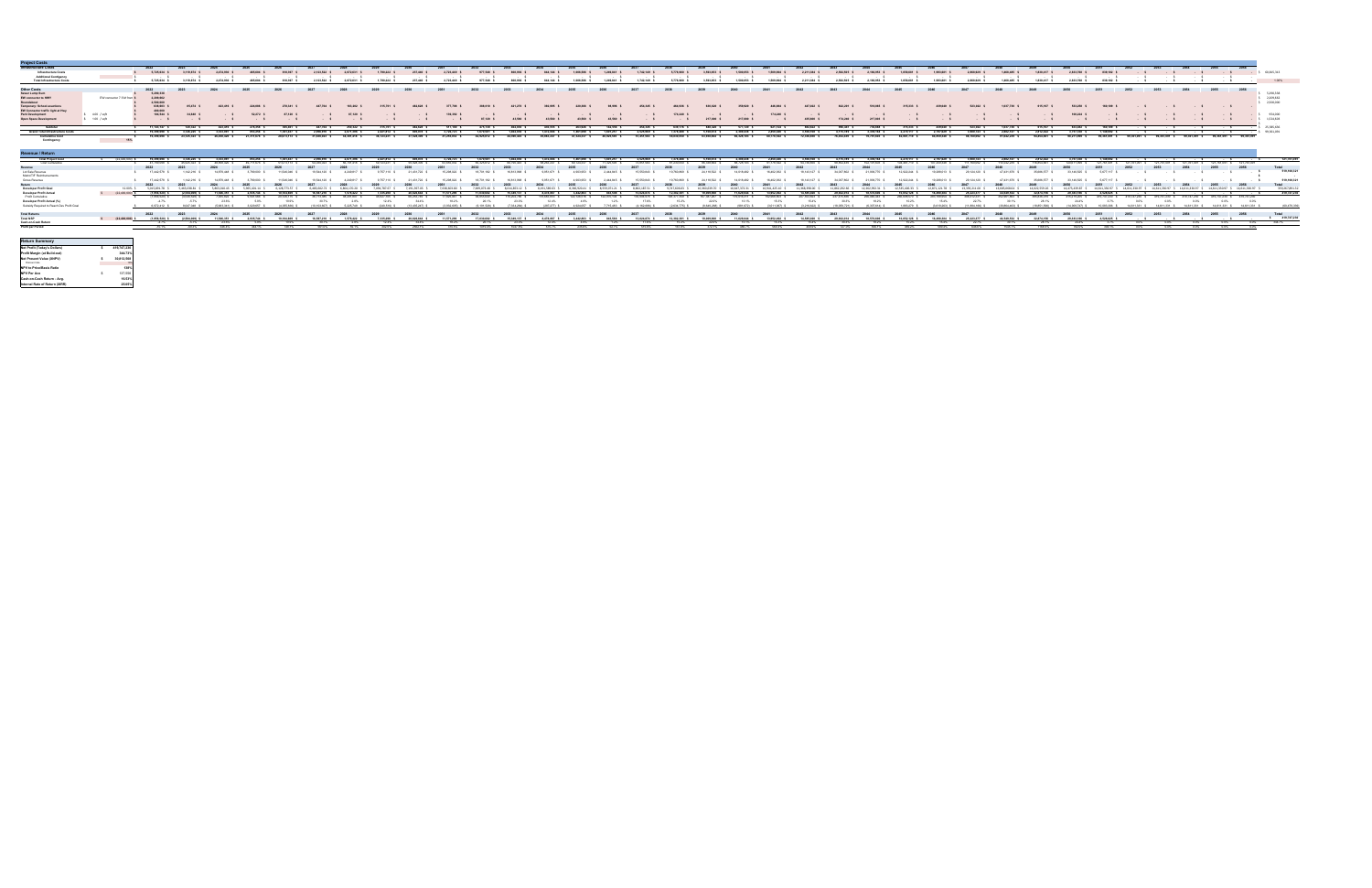| EW connector 7.5 M from \$<br>\$ 4.00 / saft<br>\$ 1.00 / saft | 2022<br>5725634 \$<br>$\sim$ s<br>5.725.634<br>2022 | 3 119 874<br>.<br>3 119 874 \$ | 2.474.930                | 465 604 5     | 818 397       |               |               | 1790 222 \$   | 237,440       |               | 977 548 1     | 808.936 S        |                |                |                |               |                |                 |               |               |                |                | 2.166.953     |               |               |                |                 |               |               | 839 102 1      |               |                 |                     | 2056                                                                             |                  |
|----------------------------------------------------------------|-----------------------------------------------------|--------------------------------|--------------------------|---------------|---------------|---------------|---------------|---------------|---------------|---------------|---------------|------------------|----------------|----------------|----------------|---------------|----------------|-----------------|---------------|---------------|----------------|----------------|---------------|---------------|---------------|----------------|-----------------|---------------|---------------|----------------|---------------|-----------------|---------------------|----------------------------------------------------------------------------------|------------------|
|                                                                |                                                     |                                |                          |               |               |               |               |               |               |               |               |                  |                |                |                |               |                |                 |               |               |                |                |               |               |               |                |                 |               |               |                |               |                 |                     |                                                                                  |                  |
|                                                                |                                                     |                                |                          |               |               |               |               |               |               |               |               |                  |                |                |                | 1742149       | 5.776.900      | 3,593,853       |               | 1.509.694 \$  | 2 211 384 \$   | 2 582 505      |               |               |               | 2868929        | 1468 485        | 1830417       |               |                |               |                 |                     | $\begin{array}{cccccccc}\n & - & 5 & \end{array}$ 5 60,815,313                   |                  |
|                                                                |                                                     |                                |                          |               |               |               |               | $\sim$ s      |               |               |               |                  |                |                |                |               |                |                 |               |               | $\sim$ s       |                | .             |               | .             |                | $\sim$ s        |               |               |                |               |                 | $\sim$ s            | $\sim$ s<br><b>State Street</b>                                                  |                  |
|                                                                |                                                     |                                |                          |               | 818 397       |               | 2072631       | 1790 222 \$   | 237,440       | 2723449       | 977 548 \$    | <b>808 936 S</b> | 844 144 \$     | 1.006.586 \$   | 1 249 841      | 1742149       | 5.776.900      | 3 593 853       | 1.500.053 1   | 1.509.694 \$  | 2 211 384 \$   | 2.582.505 \$   | 2.166.953 \$  | 1658 681      | 1993 681      | 2 868 929      | 1468485 \$      | 1830 417      | 2 633 768     | 839 102        |               |                 | $\sim$ $\sim$       | $\sim$ $\sim$ $\sim$<br>the control of the con-                                  | 1.00%            |
|                                                                |                                                     |                                |                          |               |               |               |               |               |               |               |               |                  |                |                |                |               |                |                 |               |               |                |                |               |               |               |                |                 |               |               |                |               |                 |                     |                                                                                  |                  |
|                                                                |                                                     |                                |                          |               |               |               |               |               |               |               |               |                  |                |                |                |               |                |                 |               |               |                |                |               |               |               |                |                 |               |               |                |               |                 | 2055                | 2056                                                                             |                  |
|                                                                | 5,290,338                                           |                                |                          |               |               |               |               |               |               |               |               |                  |                |                |                |               |                |                 |               |               |                |                |               |               |               |                |                 |               |               |                |               |                 |                     |                                                                                  | \$ 5,290,338     |
|                                                                | 2,209,662                                           |                                |                          |               |               |               |               |               |               |               |               |                  |                |                |                |               |                |                 |               |               |                |                |               |               |               |                |                 |               |               |                |               |                 |                     |                                                                                  | $5$ 2,209,662    |
|                                                                | 2.500.000                                           |                                |                          |               |               |               |               |               |               |               |               |                  |                |                |                |               |                |                 |               |               |                |                |               |               |               |                |                 |               |               |                |               |                 |                     |                                                                                  | $S = 2.500.000$  |
|                                                                | 638,603 \$                                          | 85,474 \$                      | 423,416 S                | 224,086 S     | 278,341       | 447.704 S     | 163.202       | 315,701 S     | 462,628       | 377,788       | 388,010 1     | 421,270 S        | 392.995 \$     | 220,366 \$     | 98,996 S       | 454,345       | 464,936        | 630,620         | 359,920       | 446,884 S     | 447.022 \$     | 822,201        | 518 865       | 315 333 \$    | 439,040       | 523,022 \$     | 1,037,730 \$    | 615,167 \$    | 533,258       | 160,109 \$     |               | $\cdot$ s       | $\cdot$ s $\cdot$ s |                                                                                  |                  |
|                                                                | 400,000                                             |                                |                          |               |               |               |               |               |               |               |               |                  |                |                |                |               |                |                 |               |               |                |                |               |               |               |                |                 |               |               |                |               |                 |                     |                                                                                  |                  |
|                                                                | 104,544 \$                                          | 34.848 S                       |                          | 52.272 S      | 87,120 \$     |               | 87.120 \$     |               |               | 139,392       |               | - s              |                | .              | $\cdot$ s      |               | 174,240 \$     |                 |               | 174,240 S     |                | $\cdot$ s      | $\sim$ s      |               |               |                |                 |               | 100,224       |                |               |                 |                     |                                                                                  | $-5$ 954,000     |
|                                                                | $\cdot$ s                                           | $-5$                           |                          | $\sim$ s      |               | $\sim$ $\sim$ | $\sim$ $\sim$ | $\sim$ $\sim$ |               |               | 87,120 S      | 43,560 \$        | 43,560 \$      | 43,560 S       | 43,560 S       |               |                | 217,800 S       | 217,800 \$    |               | 435,600 S      | 174,240 \$     | 217,803 \$    |               | $\sim$ s      |                |                 |               |               |                |               | $\sim$ $\sim$   | $\sim$ $\sim$       | $\sim$ $\sim$                                                                    | $S = 1.524.603$  |
|                                                                |                                                     |                                |                          |               |               |               |               |               |               |               |               |                  |                |                |                |               |                |                 |               |               |                |                |               |               |               |                |                 |               |               |                |               |                 |                     |                                                                                  | $\sim$           |
|                                                                | 11.143.147 \$                                       | 120,322 \$                     | 423416 \$                |               |               | 447,704 S     |               |               | 462.628       | 517,180       | 475,130 S     | 464,830 S        | 436,555 \$     | 263.926 S      | 142,556 \$     | 454,345       | 639.176 \$     | 848,420 \$      | 577.720 \$    | 621.124 \$    | 882.622 \$     | 996.441 S      | 736,668 \$    |               | 439.040       |                | 1.037.730 \$    | 615,167       | 633,482       | 160,109 \$     |               |                 |                     |                                                                                  | 25.585.636       |
|                                                                | \$ 19,399,098 \$                                    | 3.726.225 \$                   | 3.333.097 \$             | 853,256 \$    | 1,361,437     | 2,956,910 \$  | 2.671.396     | 2,421,812 \$  | 805,078       | 3,726,723     | 1,670,581 \$  | 1,464,830 \$     | 1,472,804      | 1,461,090 \$   | 1.601.257 \$   | 2.525.969     | 7.378.488 \$   | 5.108.614 1     | 2 389 438 \$  | 2,450,440 S   | 3.558.108 \$   |                | 3.339.164 \$  |               | 2.797.629     | 3900743 \$     | 2,882,147 \$    |               |               | 1149 092       |               |                 |                     |                                                                                  | $S = 99.361.091$ |
|                                                                |                                                     | 19.399.098 \$23.125.323 \$     | 26,458,420 \$            | 27.311.676 \$ | 28,673,113 \$ | 31 630 023 5  | 34.301.418 \$ | 36,723,231 \$ | 37 528 309 \$ | 41,255,032 \$ | 42.925.612 \$ | 44,390,443 \$    | 45863247 \$    | 47.324.337 \$  | 48925593 \$    | 51.451.563    | 58.830.050 \$  | 63,938,664 \$   | 66.328.103 \$ | 68,778,542 \$ | 72336650 \$    | 76.452.439 \$  | 79,791,603 \$ | 82,061,719 \$ | 84859348 \$   | 88.760.092 \$  | 91.642.239 \$   | 94 454 661 5  | 98.211.999 \$ |                |               |                 |                     | 99.361.091 \$ 99.361.091 \$ 99.361.091 \$ 99.361.091 \$ 99.361.091 \$ 99.361.091 |                  |
| 15%                                                            |                                                     |                                |                          |               |               |               |               |               |               |               |               |                  |                |                |                |               |                |                 |               |               |                |                |               |               |               |                |                 |               |               |                |               |                 |                     |                                                                                  |                  |
| \$ (22,400,000) \$                                             | 19,399,098                                          | 3.726.225 \$                   | 3.333.097                | 853.256 1     | 1 361 437     | 2956910       |               | 2,421,812 \$  | 805,078       | 3726723       | 1,670,581 (   | 1,464,830        | 1,472,804      | 1,461,090 \$   | 1601257        | 2.525.969     | 7.378.488 1    | 5.108.614 1     | 2.389.438 1   | 2,450,440     | 3.558.108 \$   |                | 3,339,164 \$  | 2.270.117 9   |               | 3,900,743      | 2,882,147 \$    |               | 3,757,338     |                |               |                 |                     |                                                                                  |                  |
|                                                                |                                                     |                                |                          |               |               |               |               |               |               |               |               |                  |                |                |                |               |                |                 |               |               |                |                |               |               |               |                |                 |               |               |                |               |                 |                     | 121,761.091                                                                      |                  |
|                                                                | 2022                                                |                                |                          |               |               |               |               |               |               |               |               |                  |                |                |                |               |                |                 |               |               |                |                |               |               |               |                |                 |               |               |                |               |                 |                     | 2056                                                                             | Total            |
|                                                                | 17 442 578                                          | 1 142 216 1                    |                          | 3.789.000     |               | 19 544 120    |               | 9.757.110     | 21.421.722    |               |               |                  | 9951671        |                |                | 15,550,843    | 19,760,869     |                 |               | 16.402.932    |                |                | 21.000.770    |               | 19.288.013    | 29 124 120 \$  | 47,431,679      | 35,686.57     | 33 140 525    | 5.677.117      |               |                 |                     |                                                                                  | 519,108,321      |
|                                                                |                                                     |                                |                          |               |               |               |               |               |               |               |               |                  |                |                |                |               |                |                 |               |               |                |                |               |               |               |                |                 |               |               |                |               |                 |                     |                                                                                  |                  |
|                                                                | 17 442 578                                          |                                |                          |               |               |               |               |               |               |               |               |                  |                |                |                |               |                |                 |               |               |                |                |               |               |               |                |                 |               |               |                |               |                 |                     |                                                                                  | 519.108.32       |
|                                                                | 2022                                                |                                |                          |               |               |               |               |               |               |               |               |                  |                |                |                |               |                |                 |               |               |                |                |               |               |               |                |                 |               |               |                |               |                 |                     | 2056                                                                             | Total            |
|                                                                | 12,00% S 5,015,891,78 S                             |                                |                          |               |               |               |               | 7.094.797.67  | 7 191 397 03  |               |               |                  |                |                | 9 559 071 21   | 8 862 187 51  | 9.747 606.03   | 10.360.639.70 * | 10 647 372 31 | 10 941 425 10 | 1 368 398 00 1 |                |               |               |               | 13 339 211 00  | 13 685 068 64 · |               |               |                |               | 14 611 330 97 9 |                     | 14 611 330 97 5 14 611 330 97 5 14 611 330 97 5                                  | 359 267 891 31   |
| (22.400.000) \$                                                | (1,956,520) \$                                      | (2.584.009) S                  | 11 546 351               |               | 10 184 609    |               |               | 7336399 1     | 20 626 644    | 11 571 994    | 17.030.602    | 15 349 137       | <b>8478867</b> | 3 442 962      |                | 13 024 874    | 12 382 381     | 19.009.908      | 11.000.044    | 12952.49      | 14,595,020     | 29 922 014     | 10 E70 CDC    |               | 16,490,384    | 25222          | 44 549 532      | 32 874 156    | 29 202 19     |                |               |                 |                     |                                                                                  | 419.747.230      |
|                                                                | $(1.956.520)$ \$                                    | $(4.540.529)$ S                | 7.005.822 1              | 9.941.566 \$  | 20.126.175 1  | 36,713,385 \$ | 38,291,807    | 45.627.105 S  | 66.253.749 \$ | 77 825 047    | 04 855 649 1  | 110,204.786      | 118,683,653    | 122,126,516 \$ | 122,970.104 \$ | 135, 994, 978 | 148,377,359 \$ | 167.387.267 \$  | 179.016.311   | 192.968.803   | 207 553 823 \$ | 237 475 836 \$ | 256 046 443 S | 266,698,570   | 283 188 954   | 308 412 331 \$ | 352.961.863 \$  | 385,836,019   | 415 219 205   | 419.747.230 \$ | 419,747,230 S |                 |                     | 419.747.230 \$ 419.747.230 \$ 419.747.230 \$ 419.747.230                         |                  |
|                                                                | $-4.7%$                                             | -5.7%                          | 23,6%                    | 5,9%          | 19.9%         | 30.7%         |               |               | 34.4%         | 18.2%         | 26.1%         |                  |                |                |                | 17.6%         |                |                 | 13.1%         | 15.3%         | 15.4%          | 30.3%          |               |               | 15.4%         |                | 39.1%           |               |               |                |               |                 |                     | 0.0%<br>$0.0\%$                                                                  |                  |
|                                                                | 6972412                                             | SO47048 S                      | (5.683.341) 1            |               |               |               |               |               |               |               |               |                  |                |                |                |               |                |                 |               |               |                | (18.059.72)    |               |               |               |                |                 |               |               |                |               | 14 811 331 6    | 14 611 331 \$       | 14.611.331 S  14.611.331 S                                                       | (60.479.33)      |
|                                                                |                                                     |                                |                          |               |               |               |               |               |               |               |               |                  |                |                |                |               |                |                 |               |               |                |                |               |               |               |                |                 |               |               |                |               |                 |                     |                                                                                  |                  |
|                                                                | 2022                                                | 2023                           | 2024                     | 2025          |               |               | 2028          |               |               |               |               |                  |                |                | 2036           |               | 2038           |                 |               |               |                |                |               |               | 2046          | 2047           |                 |               |               |                |               |                 |                     | 2056                                                                             | Total            |
|                                                                |                                                     | (2.584.009) \$                 | 11,546,351 \$            | 2.935.744 \$  | 10,184,609    | 16,587,210 \$ | 1,578,422     | 7.335.298 \$  | 20.626.644 1  | 11.571.299    | 17.030.602    | 15,349,137 \$    | 8.478.867 \$   | 3.442.863 \$   | 843,588 S      | 13,024,874    | 12.382.381 \$  | 19,009,908 \$   | 11.629.044 \$ | 13,952,492 \$ | 14,585,020 \$  | 29.922.014 \$  | 18,570,606 \$ | 10.652.128 \$ | 16.490.384 \$ | 25.223.377 \$  | 44.549.532 \$   | 32.874.156 \$ | 29.383.186    | 4.528.025      |               |                 |                     |                                                                                  | 419 747 230      |
| (22,400,000) \$                                                |                                                     |                                |                          |               |               |               |               |               |               |               |               |                  |                |                |                |               |                |                 |               |               | 10.4%          |                |               |               | 15.4%         | $-20.78$       |                 |               |               |                |               |                 |                     |                                                                                  | 344.7%           |
|                                                                | $-10.1\%$                                           |                                |                          |               |               |               |               |               |               |               |               |                  |                |                |                |               |                |                 |               |               |                |                |               |               |               |                |                 |               |               |                |               |                 |                     |                                                                                  |                  |
|                                                                |                                                     |                                |                          |               |               |               |               |               |               |               |               |                  |                |                |                |               |                |                 |               |               |                |                |               |               | 2045          |                |                 |               |               |                |               |                 |                     |                                                                                  |                  |
|                                                                |                                                     |                                | (1,956,520) \$<br>$-47%$ |               |               |               |               |               |               |               |               |                  |                |                |                |               |                |                 |               |               |                |                |               |               |               |                |                 |               |               |                |               |                 |                     |                                                                                  |                  |

| <b>Return Summary</b>           |   |             |
|---------------------------------|---|-------------|
| Net Profit (Today's Dollars)    |   | 419.747.230 |
| Profit Margin (at Build-out)    |   | 344 73%     |
| Net Present Value (XNPV)        |   | 30.812.508  |
| Discount rate                   |   | 16%         |
| <b>NPV to Price/Basis Ratio</b> |   | 138%        |
| <b>NPV Per Ace</b>              | Ś | 137.556     |
| Cash-on-Cash Return - Avg.      |   | 16.53%      |
| Internal Rate of Return (XIRR)  |   | 25.05%      |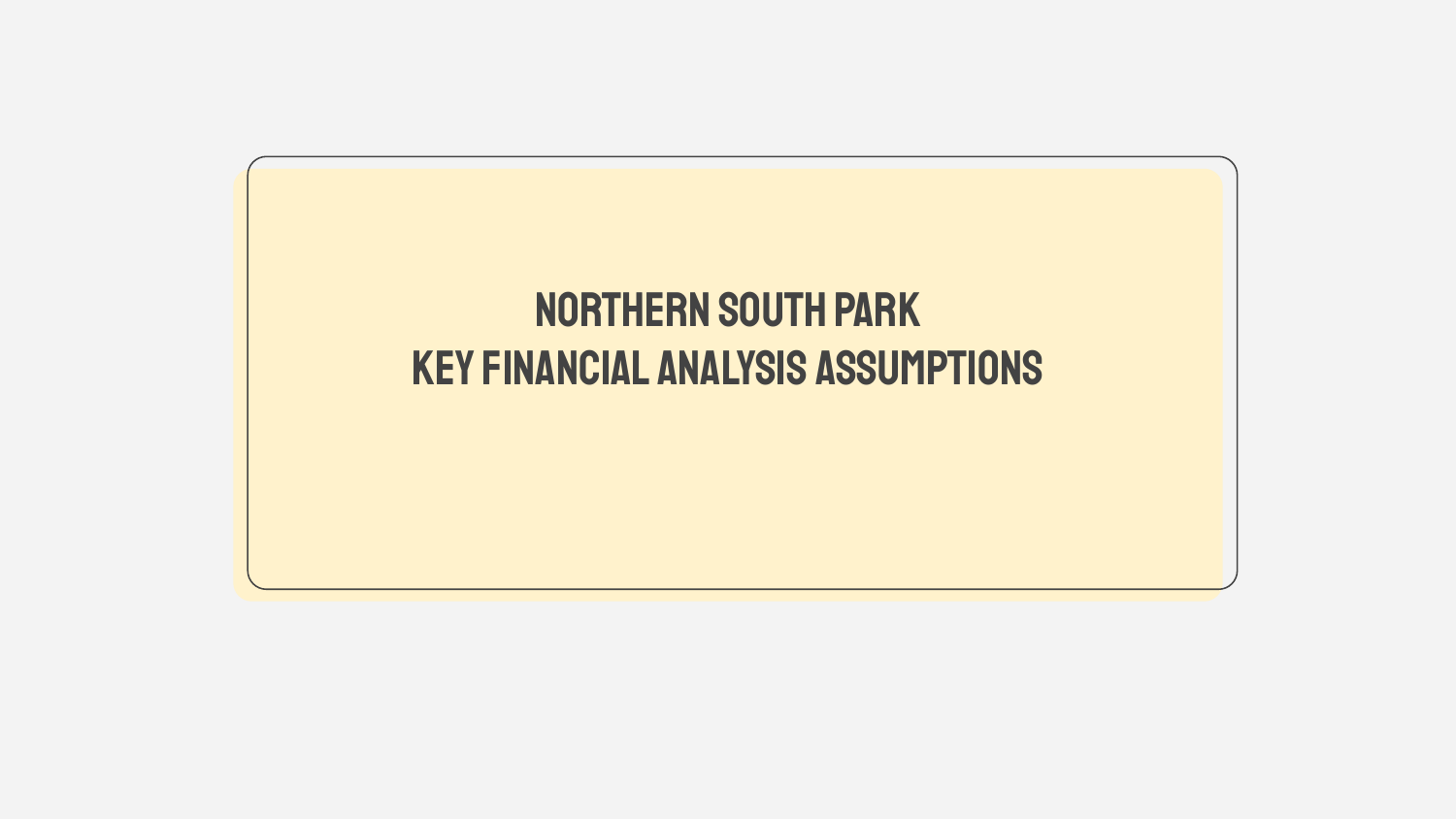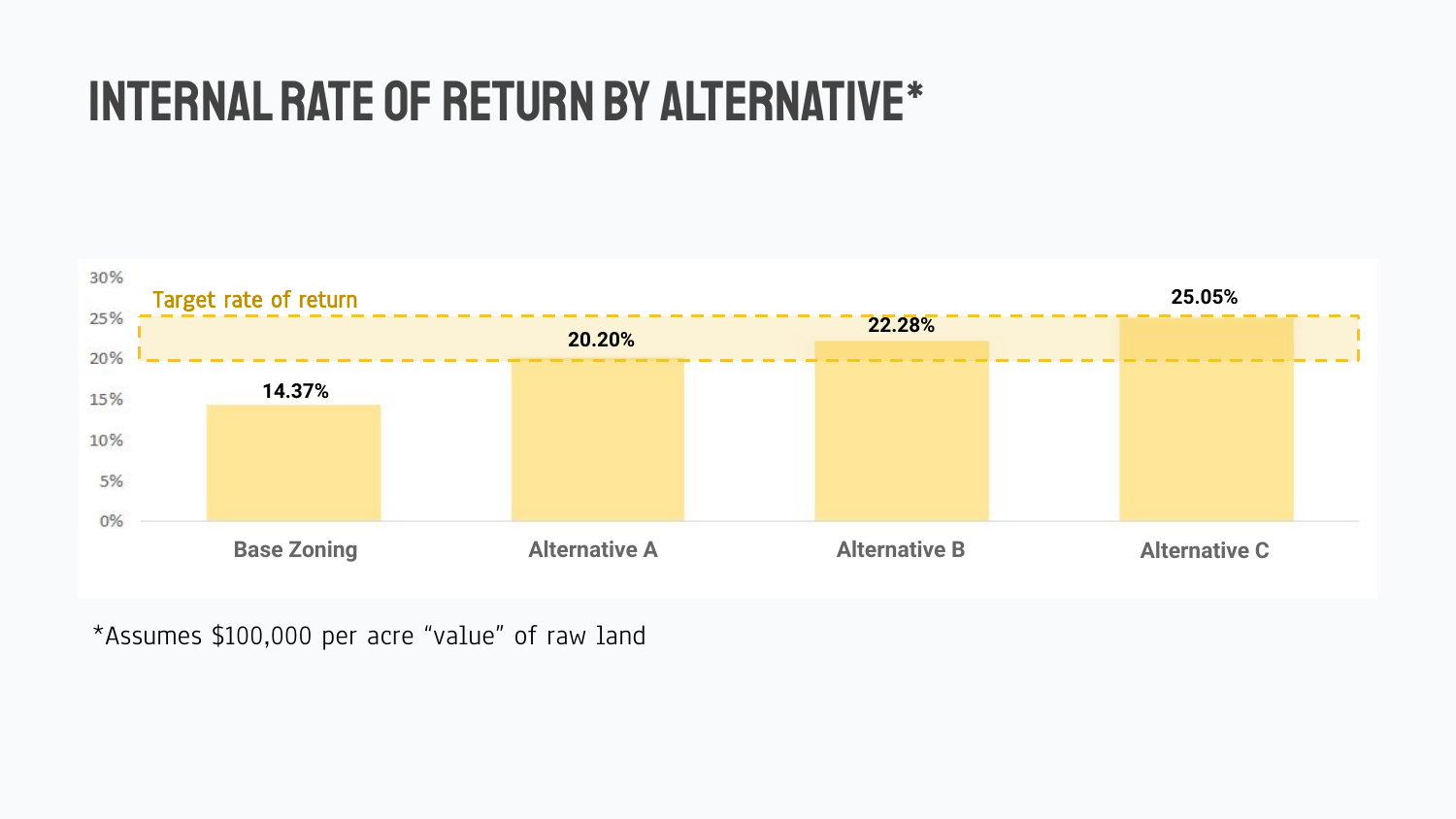#### Internal Rate of Return by Alternative\*



\*Assumes \$100,000 per acre "value" of raw land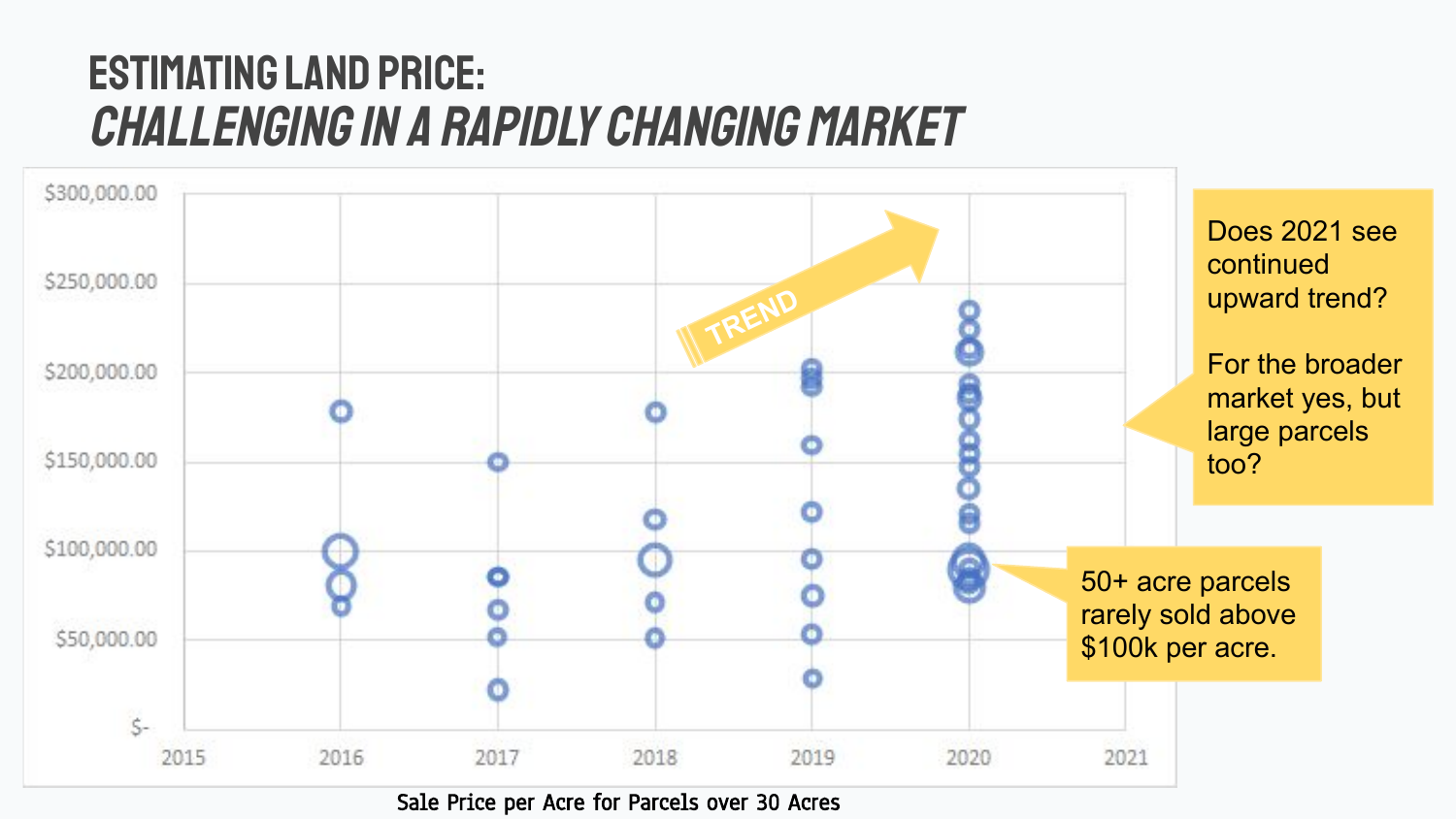#### Estimating Land price: Challenging in a Rapidly Changing Market



Sale Price per Acre for Parcels over 30 Acres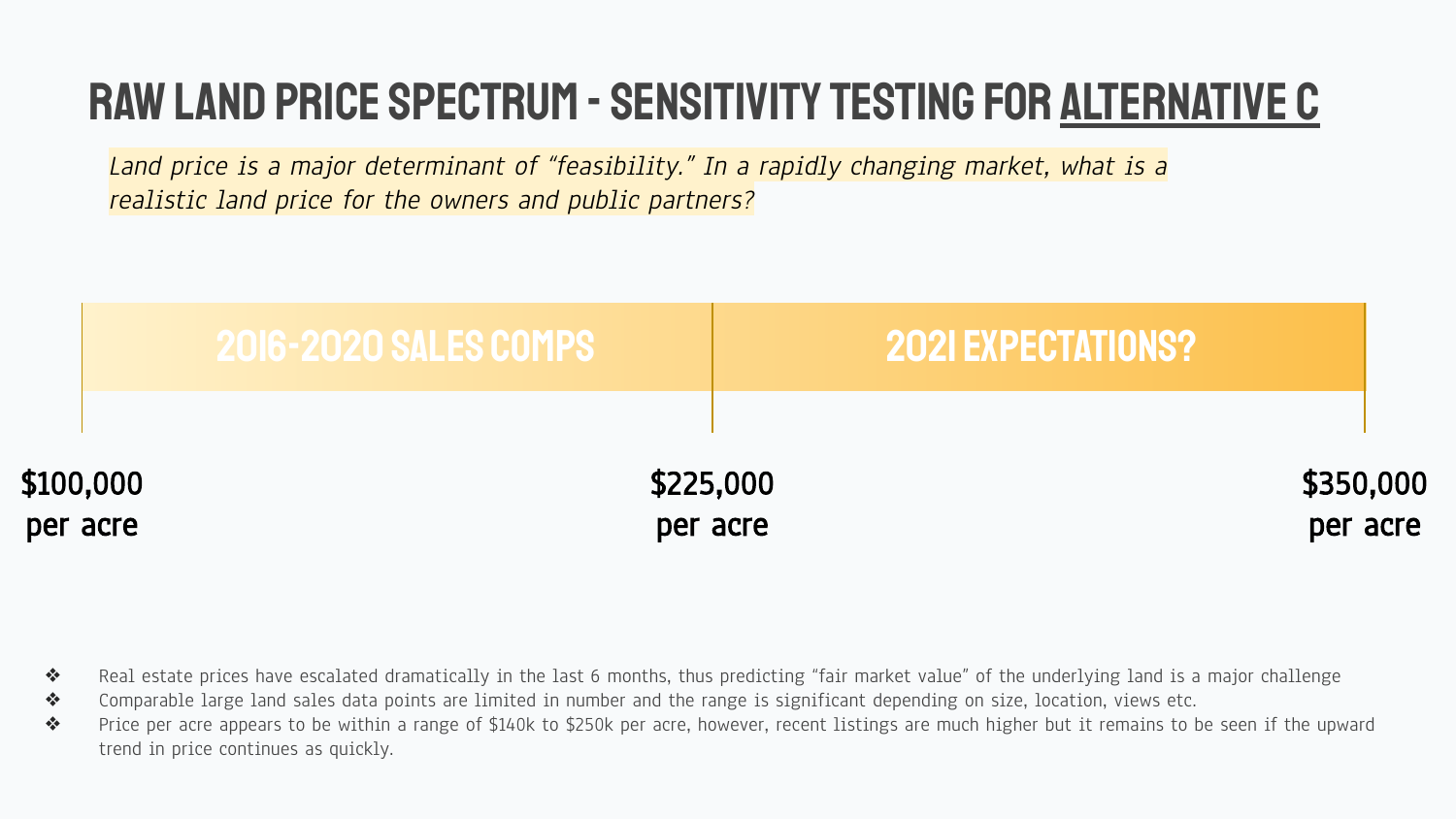#### Raw Land Price Spectrum - Sensitivity Testing for Alternative C

Land price is a major determinant of "feasibility." In a rapidly changing market, what is a realistic land price for the owners and public partners?

|           | 2016-2020 SALES COMPS | <b>2021 EXPECTATIONS?</b> |           |
|-----------|-----------------------|---------------------------|-----------|
| \$100,000 |                       | \$225,000                 | \$350,000 |
| per acre  |                       | per acre                  | per acre  |

❖ Real estate prices have escalated dramatically in the last 6 months, thus predicting "fair market value" of the underlying land is a major challenge

❖ Comparable large land sales data points are limited in number and the range is significant depending on size, location, views etc.

❖ Price per acre appears to be within a range of \$140k to \$250k per acre, however, recent listings are much higher but it remains to be seen if the upward trend in price continues as quickly.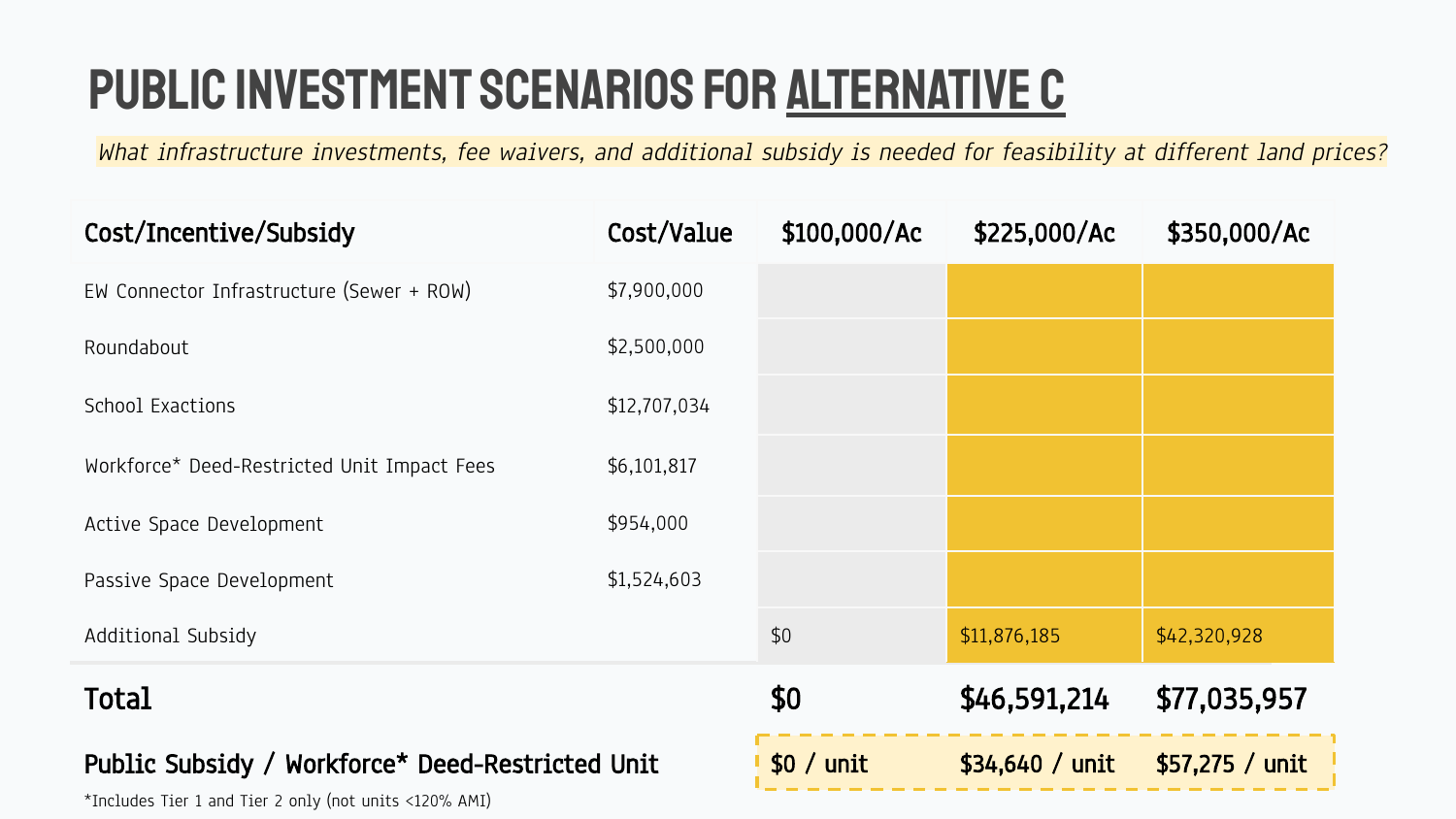# PUBLIC INVESTMENT SCENARIOS FOR ALTERNATIVE C

What infrastructure investments, fee waivers, and additional subsidy is needed for feasibility at different land prices?

| Cost/Incentive/Subsidy                           | Cost/Value   | \$100,000/Ac | \$225,000/Ac    | \$350,000/Ac    |
|--------------------------------------------------|--------------|--------------|-----------------|-----------------|
| EW Connector Infrastructure (Sewer + ROW)        | \$7,900,000  |              |                 |                 |
| Roundabout                                       | \$2,500,000  |              |                 |                 |
| School Exactions                                 | \$12,707,034 |              |                 |                 |
| Workforce* Deed-Restricted Unit Impact Fees      | \$6,101,817  |              |                 |                 |
| Active Space Development                         | \$954,000    |              |                 |                 |
| Passive Space Development                        | \$1,524,603  |              |                 |                 |
| Additional Subsidy                               |              | \$0          | \$11,876,185    | \$42,320,928    |
| <b>Total</b>                                     |              | \$0          | \$46,591,214    | \$77,035,957    |
| Public Subsidy / Workforce* Deed-Restricted Unit |              | \$0 / unit   | \$34,640 / unit | \$57,275 / unit |

\*Includes Tier 1 and Tier 2 only (not units <120% AMI)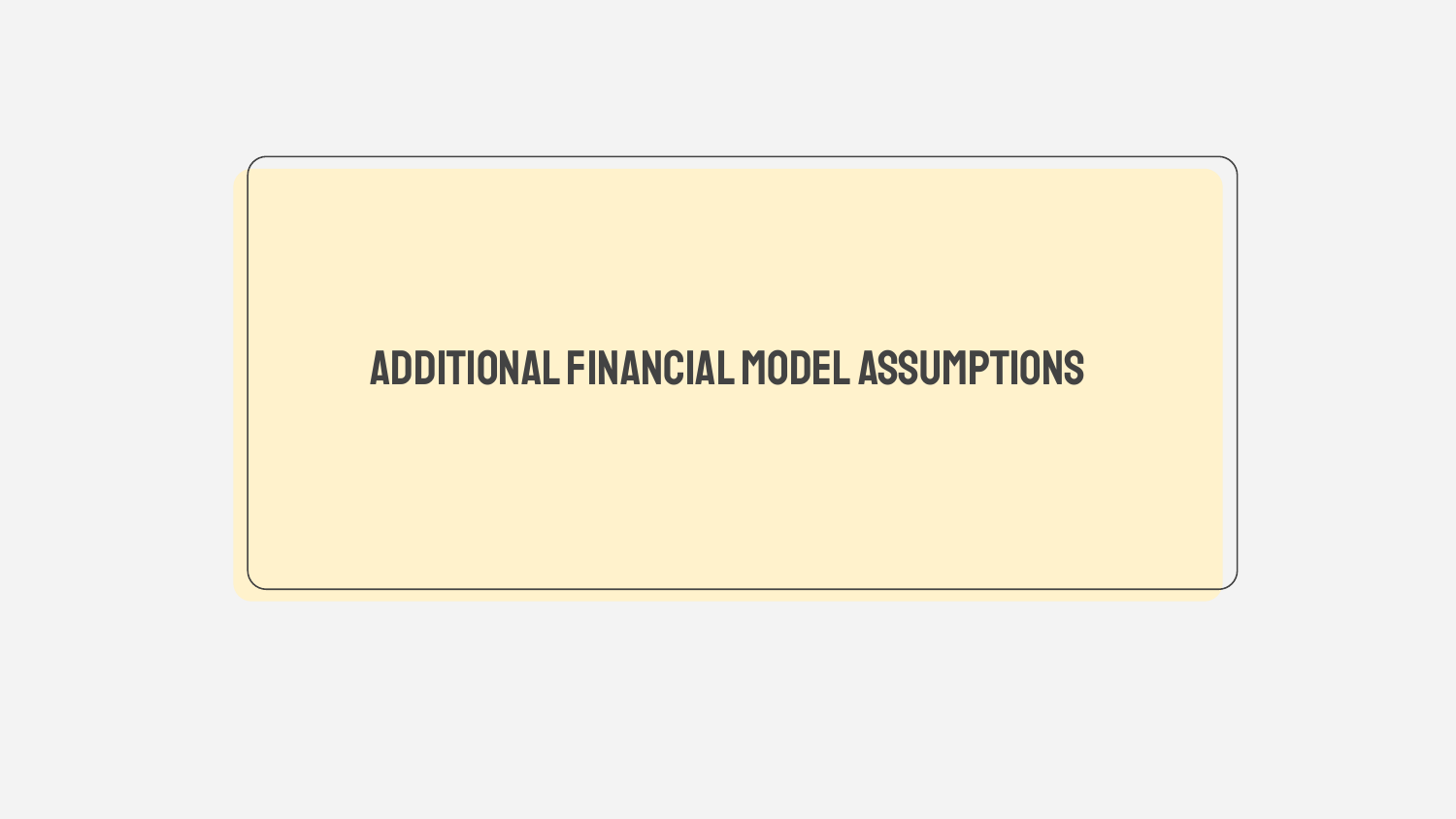#### Additional Financial Model Assumptions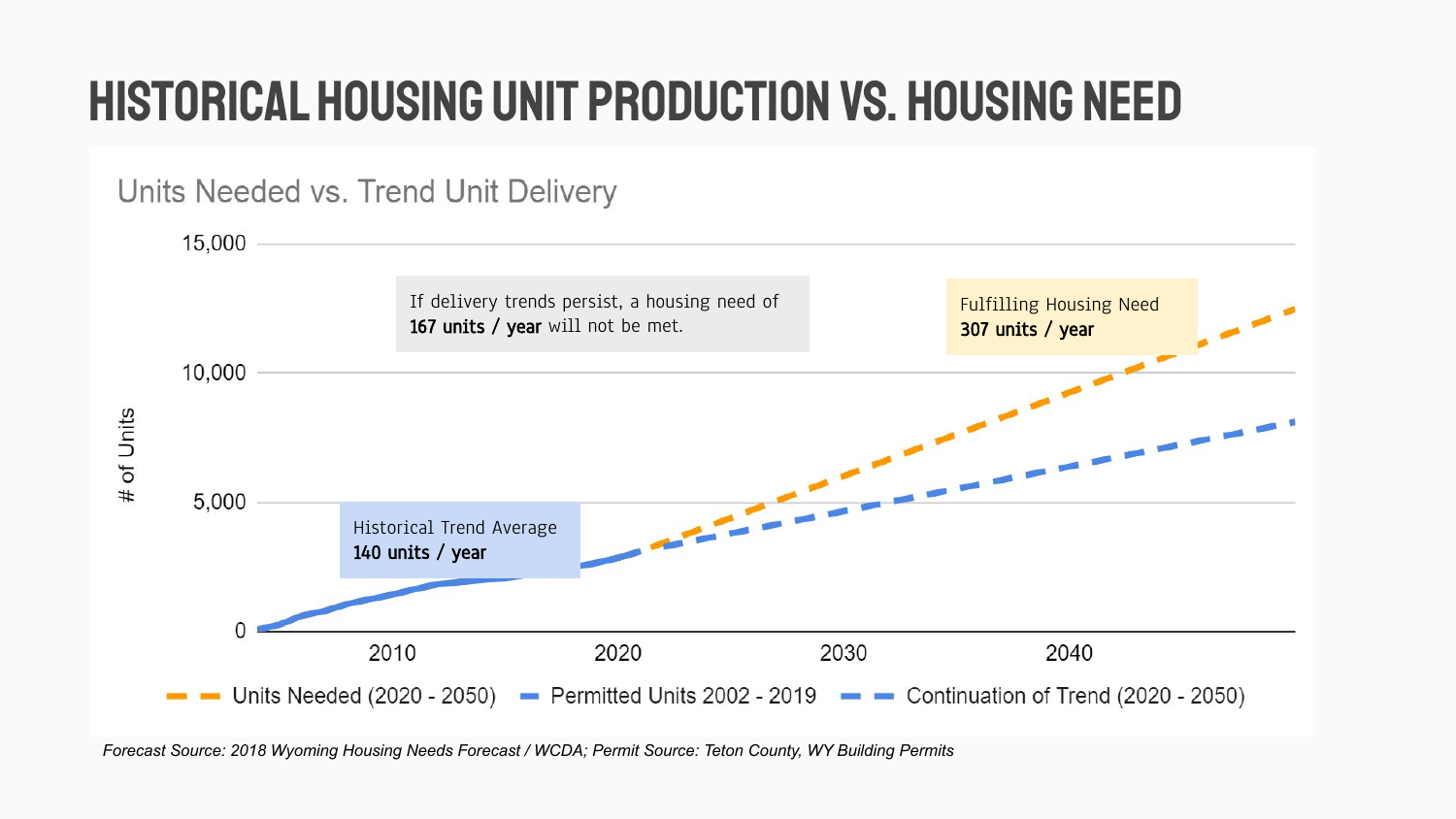## Historical Housing Unit production vs. Housing Need



*Forecast Source: 2018 Wyoming Housing Needs Forecast / WCDA; Permit Source: Teton County, WY Building Permits*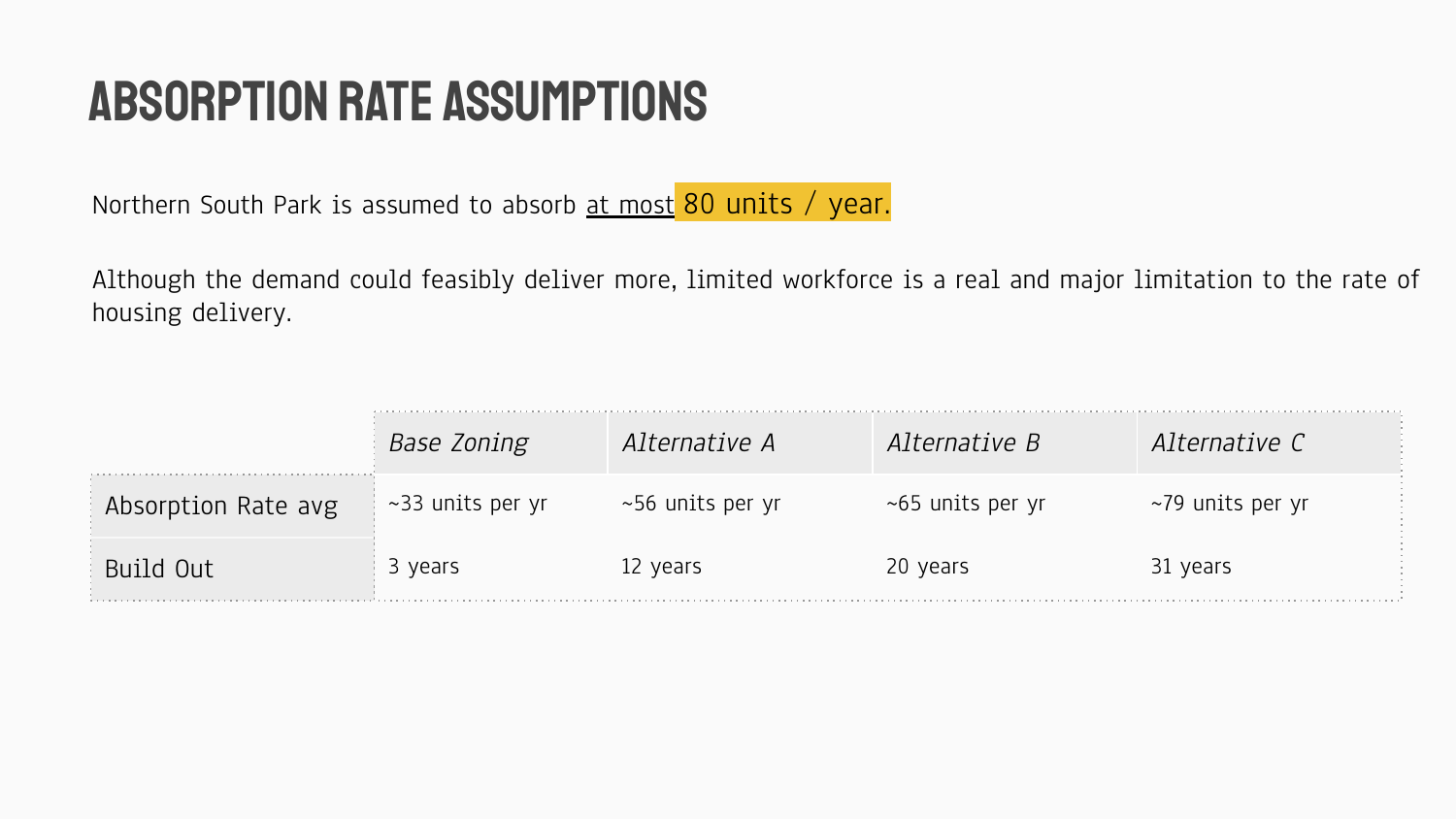## Absorption Rate assumptions

Northern South Park is assumed to absorb at most 80 units / year.

Although the demand could feasibly deliver more, limited workforce is a real and major limitation to the rate of housing delivery.

|                     | Base Zoning            | Alternative A      | Alternative B        | Alternative C         |
|---------------------|------------------------|--------------------|----------------------|-----------------------|
| Absorption Rate avg | $\sim$ 33 units per yr | $~56$ units per yr | $~5$ 65 units per yr | $~1$ -79 units per yr |
| Build Out           | 3 years                | 12 years           | 20 years             | 31 years              |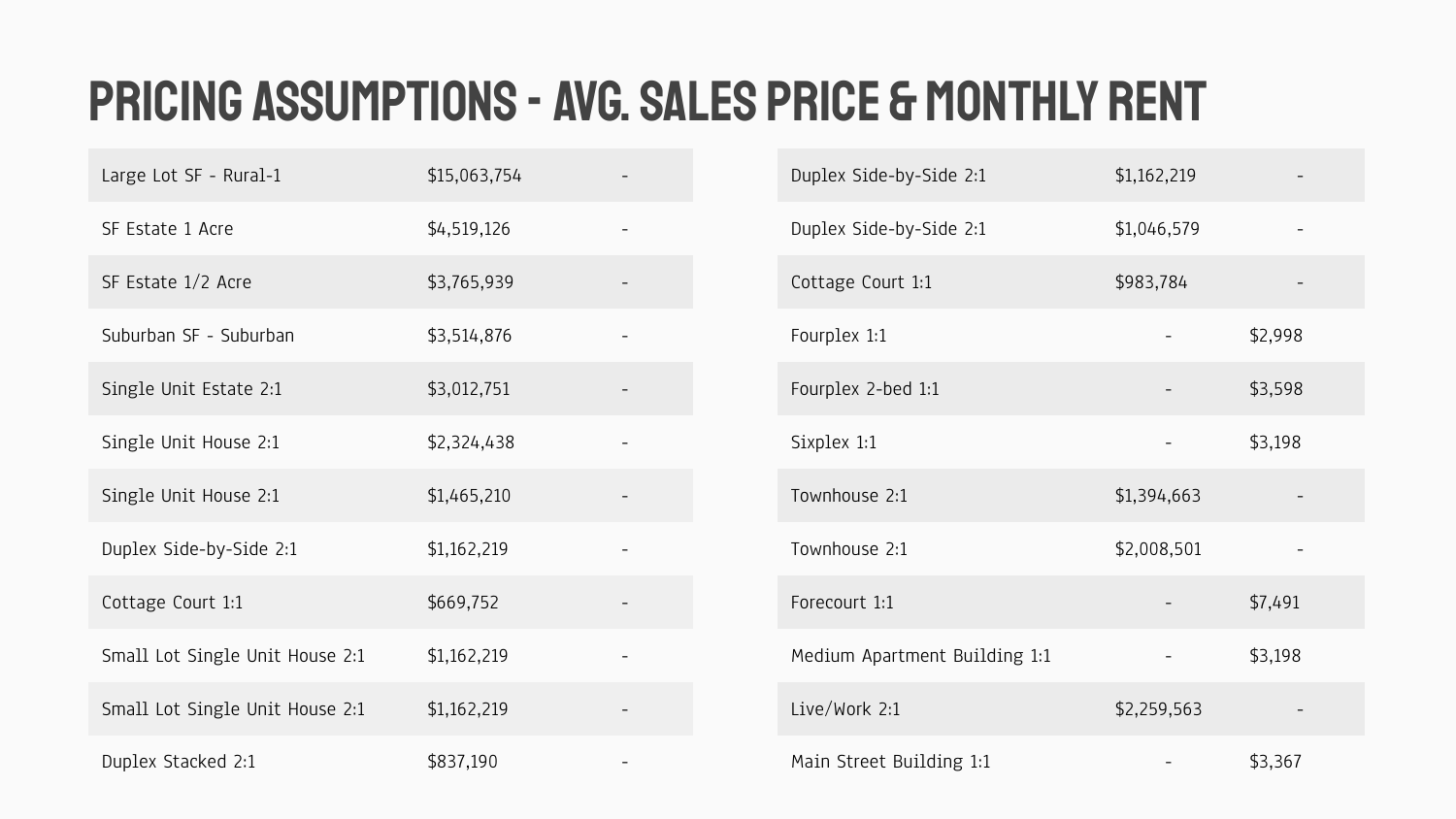## Pricing Assumptions - avg. Sales Price & Monthly Rent

| Large Lot SF - Rural-1          | \$15,063,754 | Duplex Side-by-Side 2:1       | \$1,162,219              |         |
|---------------------------------|--------------|-------------------------------|--------------------------|---------|
| SF Estate 1 Acre                | \$4,519,126  | Duplex Side-by-Side 2:1       | \$1,046,579              |         |
| SF Estate 1/2 Acre              | \$3,765,939  | Cottage Court 1:1             | \$983,784                |         |
| Suburban SF - Suburban          | \$3,514,876  | Fourplex 1:1                  | $\overline{\phantom{a}}$ | \$2,998 |
| Single Unit Estate 2:1          | \$3,012,751  | Fourplex 2-bed 1:1            | $\overline{\phantom{a}}$ | \$3,598 |
| Single Unit House 2:1           | \$2,324,438  | Sixplex 1:1                   | $\overline{\phantom{a}}$ | \$3,198 |
| Single Unit House 2:1           | \$1,465,210  | Townhouse 2:1                 | \$1,394,663              |         |
| Duplex Side-by-Side 2:1         | \$1,162,219  | Townhouse 2:1                 | \$2,008,501              |         |
| Cottage Court 1:1               | \$669,752    | Forecourt 1:1                 | $\overline{\phantom{m}}$ | \$7,491 |
| Small Lot Single Unit House 2:1 | \$1,162,219  | Medium Apartment Building 1:1 | $\overline{\phantom{a}}$ | \$3,198 |
| Small Lot Single Unit House 2:1 | \$1,162,219  | Live/Work 2:1                 | \$2,259,563              |         |
| Duplex Stacked 2:1              | \$837,190    | Main Street Building 1:1      | $\overline{\phantom{a}}$ | \$3,367 |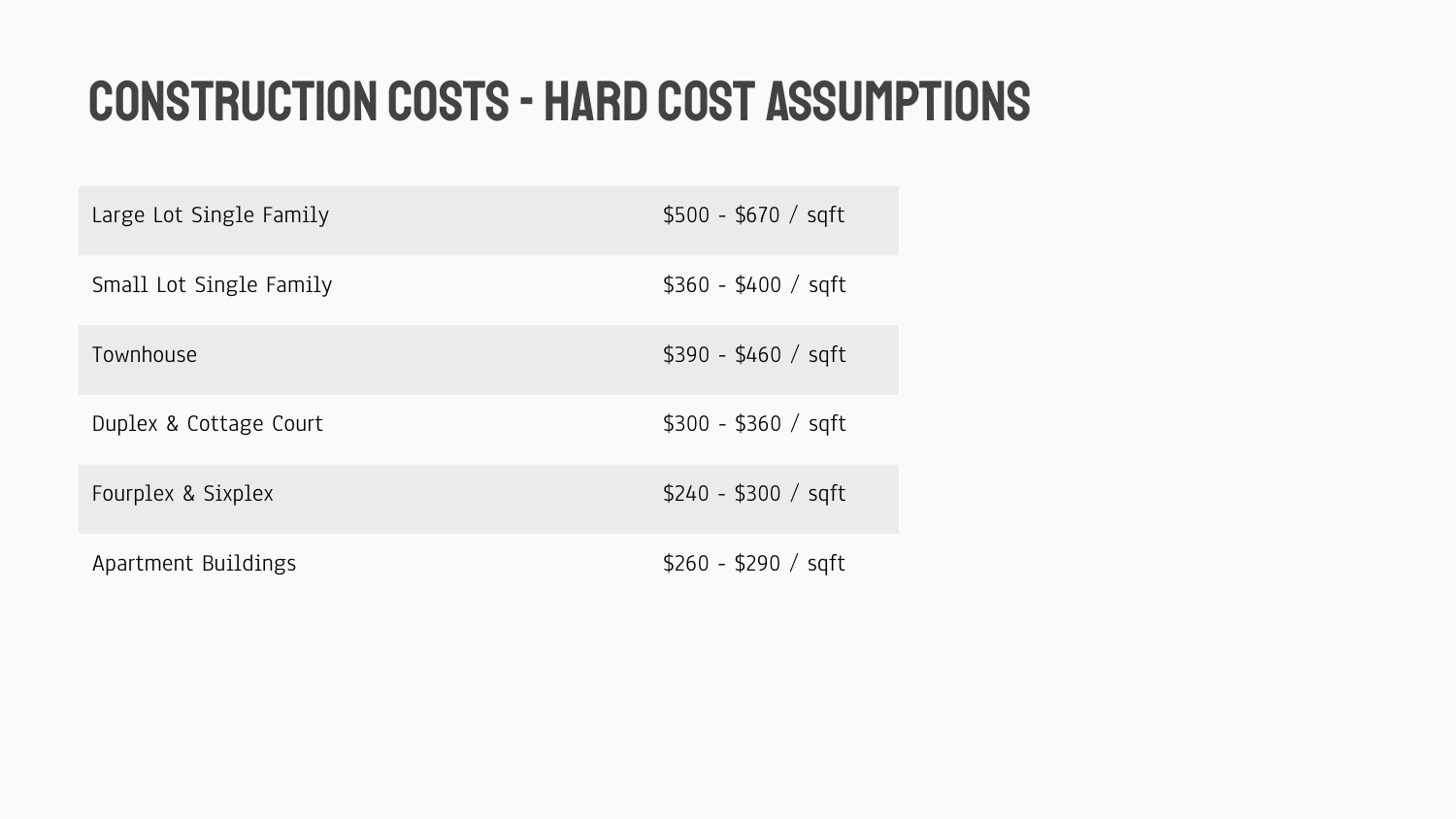## Construction Costs - Hard Cost Assumptions

| Large Lot Single Family | $$500 - $670 / sqft$ |
|-------------------------|----------------------|
| Small Lot Single Family | $$360 - $400 / sqft$ |
| Townhouse               | $$390 - $460 / sqft$ |
| Duplex & Cottage Court  | $$300 - $360 / sqft$ |
| Fourplex & Sixplex      | $$240 - $300 / sqft$ |
| Apartment Buildings     | $$260 - $290 / sqft$ |